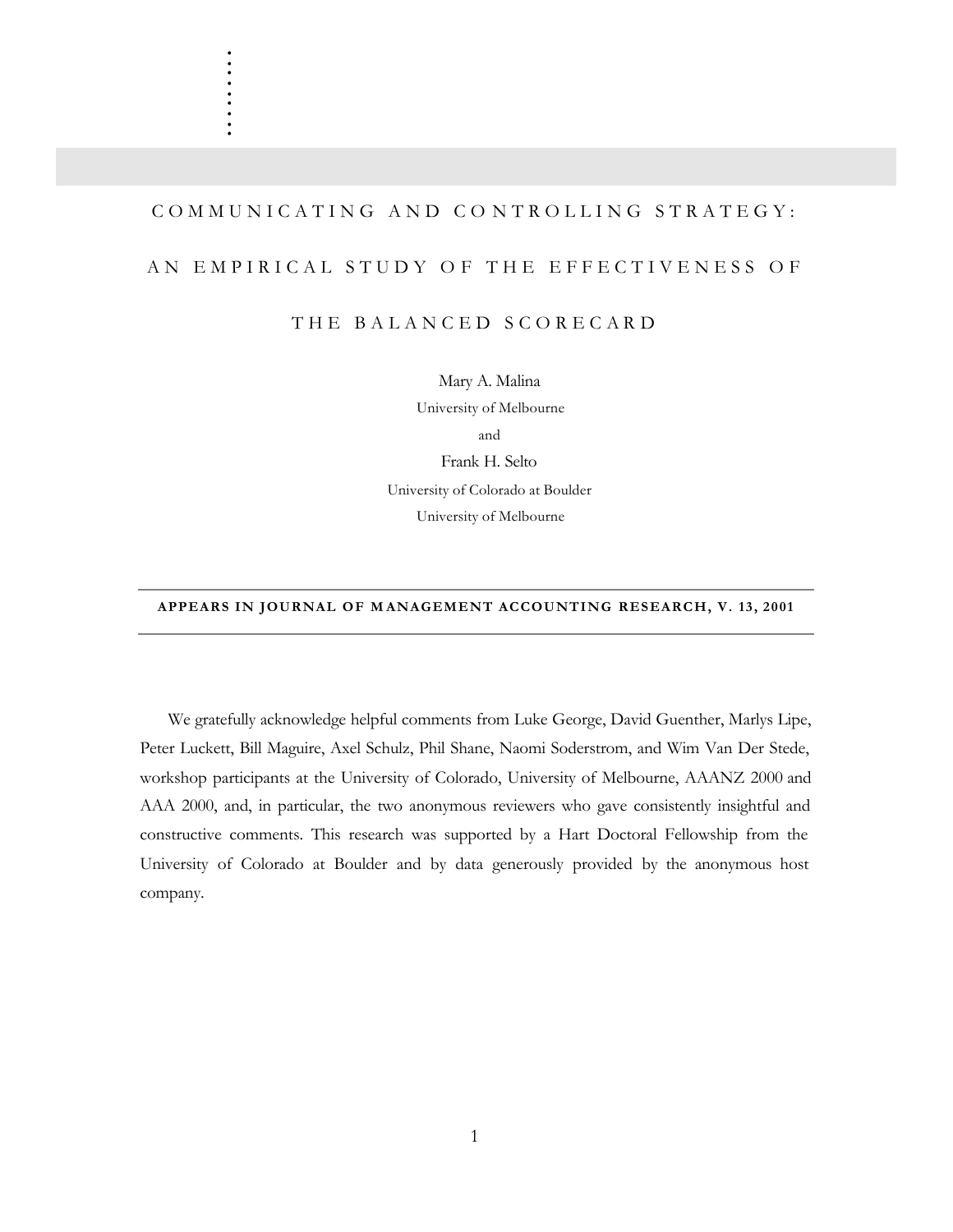# COMMUNICATING AND CO NTROLLING STRATEGY: AN EMPIRICAL STUDY OF THE EFFECTIVENESS OF

. . . . . . . . .

### THE BALANCED SCORECARD

Mary A. Malina

University of Melbourne and Frank H. Selto University of Colorado at Boulder University of Melbourne

#### **APPEARS IN JOURNAL OF M ANAGEMENT ACCOUNTING RESEARCH, V. 13, 2001**

We gratefully acknowledge helpful comments from Luke George, David Guenther, Marlys Lipe, Peter Luckett, Bill Maguire, Axel Schulz, Phil Shane, Naomi Soderstrom, and Wim Van Der Stede, workshop participants at the University of Colorado, University of Melbourne, AAANZ 2000 and AAA 2000, and, in particular, the two anonymous reviewers who gave consistently insightful and constructive comments. This research was supported by a Hart Doctoral Fellowship from the University of Colorado at Boulder and by data generously provided by the anonymous host company.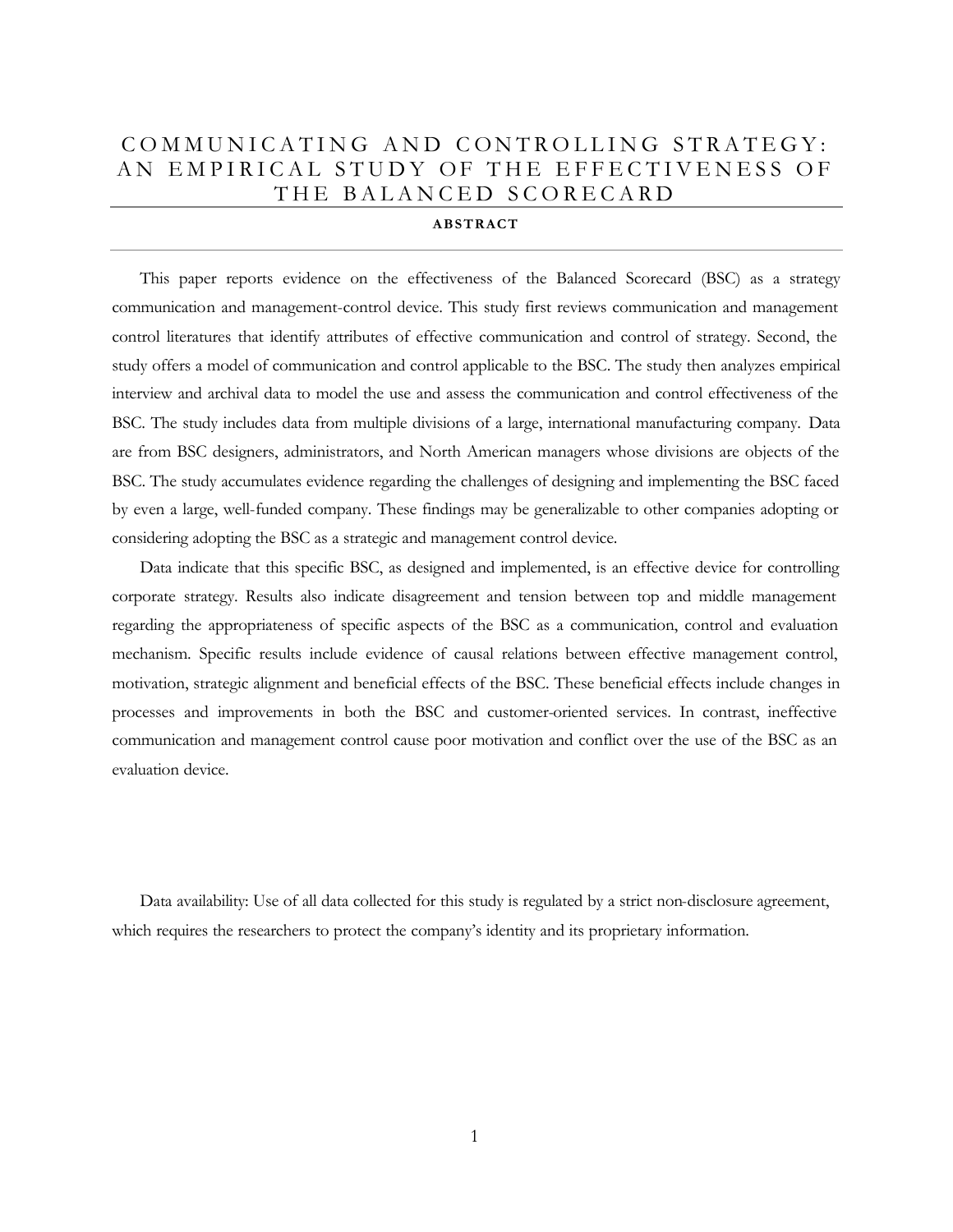# COMMUNICATING AND CONTROLLING STRATEGY: AN EMPIRICAL STUDY OF THE EFFECTIVENESS OF THE BALANCED SCORECARD

#### **ABSTRACT**

This paper reports evidence on the effectiveness of the Balanced Scorecard (BSC) as a strategy communication and management-control device. This study first reviews communication and management control literatures that identify attributes of effective communication and control of strategy. Second, the study offers a model of communication and control applicable to the BSC. The study then analyzes empirical interview and archival data to model the use and assess the communication and control effectiveness of the BSC. The study includes data from multiple divisions of a large, international manufacturing company. Data are from BSC designers, administrators, and North American managers whose divisions are objects of the BSC. The study accumulates evidence regarding the challenges of designing and implementing the BSC faced by even a large, well-funded company. These findings may be generalizable to other companies adopting or considering adopting the BSC as a strategic and management control device.

Data indicate that this specific BSC, as designed and implemented, is an effective device for controlling corporate strategy. Results also indicate disagreement and tension between top and middle management regarding the appropriateness of specific aspects of the BSC as a communication, control and evaluation mechanism. Specific results include evidence of causal relations between effective management control, motivation, strategic alignment and beneficial effects of the BSC. These beneficial effects include changes in processes and improvements in both the BSC and customer-oriented services. In contrast, ineffective communication and management control cause poor motivation and conflict over the use of the BSC as an evaluation device.

Data availability: Use of all data collected for this study is regulated by a strict non-disclosure agreement, which requires the researchers to protect the company's identity and its proprietary information.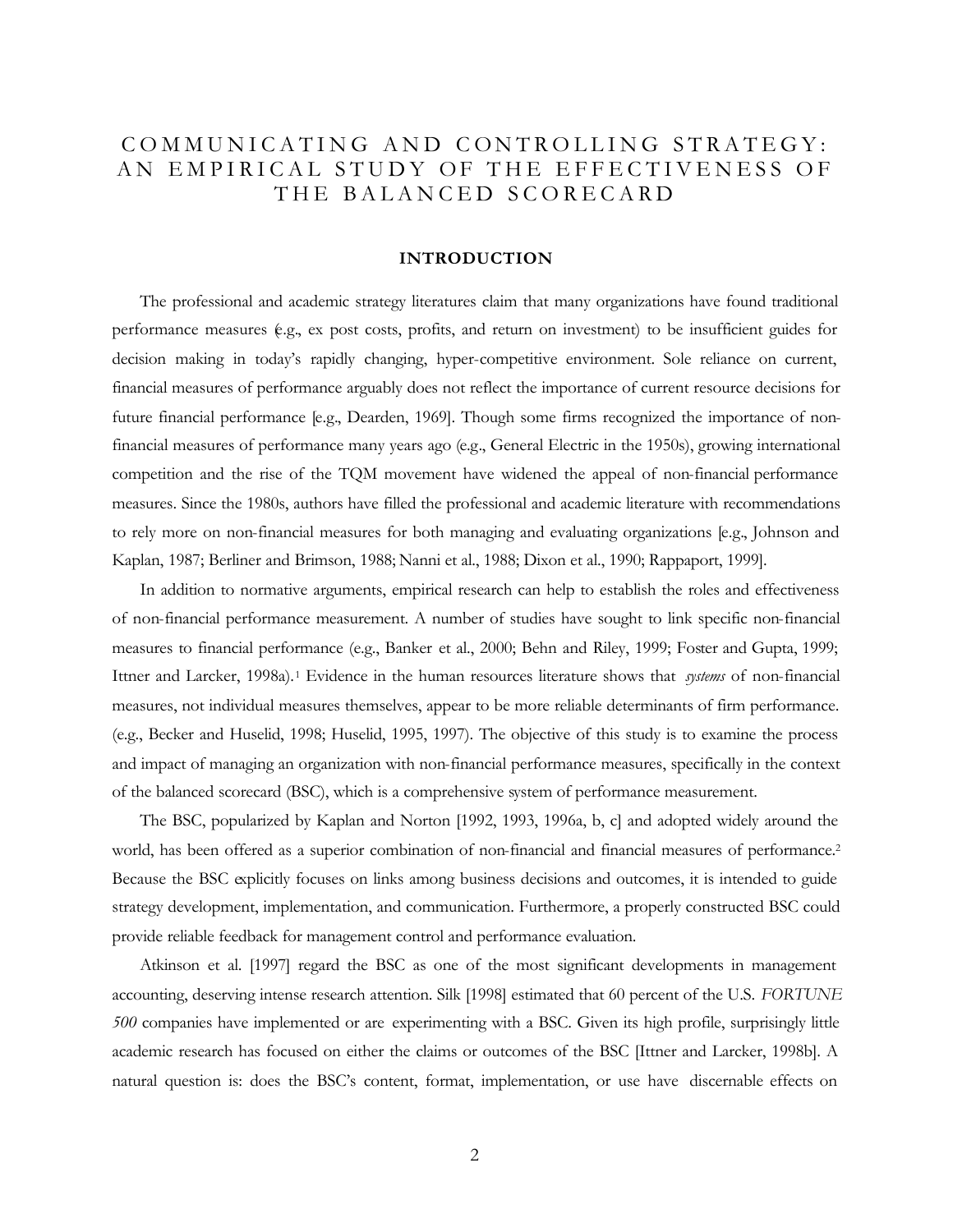# COMMUNICATING AND CONTROLLING STRATEGY: AN EMPIRICAL STUDY OF THE EFFECTIVENESS OF THE BALANCED SCORECARD

### **INTRODUCTION**

The professional and academic strategy literatures claim that many organizations have found traditional performance measures (e.g., ex post costs, profits, and return on investment) to be insufficient guides for decision making in today's rapidly changing, hyper-competitive environment. Sole reliance on current, financial measures of performance arguably does not reflect the importance of current resource decisions for future financial performance [e.g., Dearden, 1969]. Though some firms recognized the importance of nonfinancial measures of performance many years ago (e.g., General Electric in the 1950s), growing international competition and the rise of the TQM movement have widened the appeal of non-financial performance measures. Since the 1980s, authors have filled the professional and academic literature with recommendations to rely more on non-financial measures for both managing and evaluating organizations [e.g., Johnson and Kaplan, 1987; Berliner and Brimson, 1988; Nanni et al., 1988; Dixon et al., 1990; Rappaport, 1999].

In addition to normative arguments, empirical research can help to establish the roles and effectiveness of non-financial performance measurement. A number of studies have sought to link specific non-financial measures to financial performance (e.g., Banker et al., 2000; Behn and Riley, 1999; Foster and Gupta, 1999; Ittner and Larcker, 1998a).1 Evidence in the human resources literature shows that *systems* of non-financial measures, not individual measures themselves, appear to be more reliable determinants of firm performance. (e.g., Becker and Huselid, 1998; Huselid, 1995, 1997). The objective of this study is to examine the process and impact of managing an organization with non-financial performance measures, specifically in the context of the balanced scorecard (BSC), which is a comprehensive system of performance measurement.

The BSC, popularized by Kaplan and Norton [1992, 1993, 1996a, b, c] and adopted widely around the world, has been offered as a superior combination of non-financial and financial measures of performance.<sup>2</sup> Because the BSC explicitly focuses on links among business decisions and outcomes, it is intended to guide strategy development, implementation, and communication. Furthermore, a properly constructed BSC could provide reliable feedback for management control and performance evaluation.

Atkinson et al. [1997] regard the BSC as one of the most significant developments in management accounting, deserving intense research attention. Silk [1998] estimated that 60 percent of the U.S. *FORTUNE 500* companies have implemented or are experimenting with a BSC. Given its high profile, surprisingly little academic research has focused on either the claims or outcomes of the BSC [Ittner and Larcker, 1998b]. A natural question is: does the BSC's content, format, implementation, or use have discernable effects on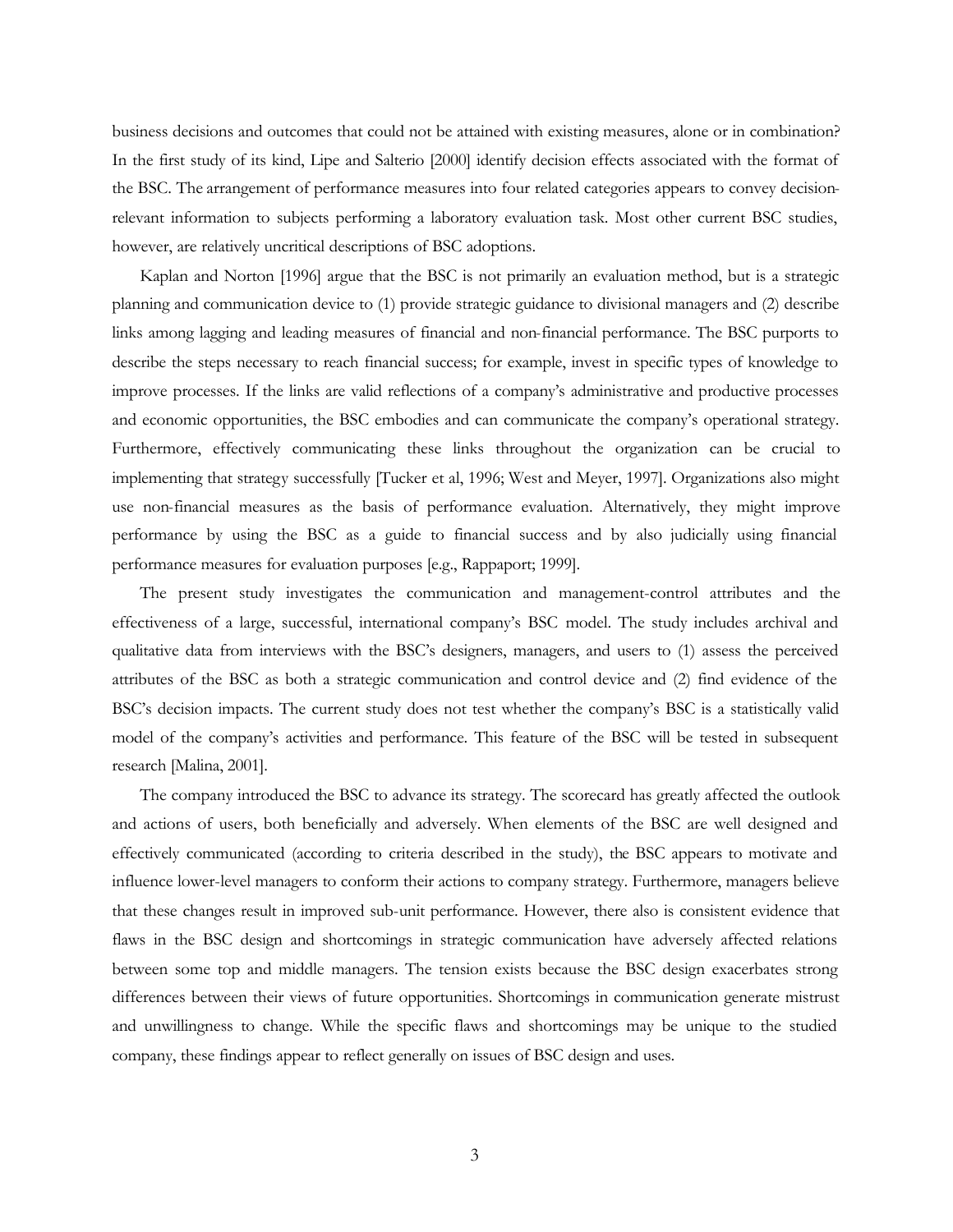business decisions and outcomes that could not be attained with existing measures, alone or in combination? In the first study of its kind, Lipe and Salterio [2000] identify decision effects associated with the format of the BSC. The arrangement of performance measures into four related categories appears to convey decisionrelevant information to subjects performing a laboratory evaluation task. Most other current BSC studies, however, are relatively uncritical descriptions of BSC adoptions.

Kaplan and Norton [1996] argue that the BSC is not primarily an evaluation method, but is a strategic planning and communication device to (1) provide strategic guidance to divisional managers and (2) describe links among lagging and leading measures of financial and non-financial performance. The BSC purports to describe the steps necessary to reach financial success; for example, invest in specific types of knowledge to improve processes. If the links are valid reflections of a company's administrative and productive processes and economic opportunities, the BSC embodies and can communicate the company's operational strategy. Furthermore, effectively communicating these links throughout the organization can be crucial to implementing that strategy successfully [Tucker et al, 1996; West and Meyer, 1997]. Organizations also might use non-financial measures as the basis of performance evaluation. Alternatively, they might improve performance by using the BSC as a guide to financial success and by also judicially using financial performance measures for evaluation purposes [e.g., Rappaport; 1999].

The present study investigates the communication and management-control attributes and the effectiveness of a large, successful, international company's BSC model. The study includes archival and qualitative data from interviews with the BSC's designers, managers, and users to (1) assess the perceived attributes of the BSC as both a strategic communication and control device and (2) find evidence of the BSC's decision impacts. The current study does not test whether the company's BSC is a statistically valid model of the company's activities and performance. This feature of the BSC will be tested in subsequent research [Malina, 2001].

The company introduced the BSC to advance its strategy. The scorecard has greatly affected the outlook and actions of users, both beneficially and adversely. When elements of the BSC are well designed and effectively communicated (according to criteria described in the study), the BSC appears to motivate and influence lower-level managers to conform their actions to company strategy. Furthermore, managers believe that these changes result in improved sub-unit performance. However, there also is consistent evidence that flaws in the BSC design and shortcomings in strategic communication have adversely affected relations between some top and middle managers. The tension exists because the BSC design exacerbates strong differences between their views of future opportunities. Shortcomings in communication generate mistrust and unwillingness to change. While the specific flaws and shortcomings may be unique to the studied company, these findings appear to reflect generally on issues of BSC design and uses.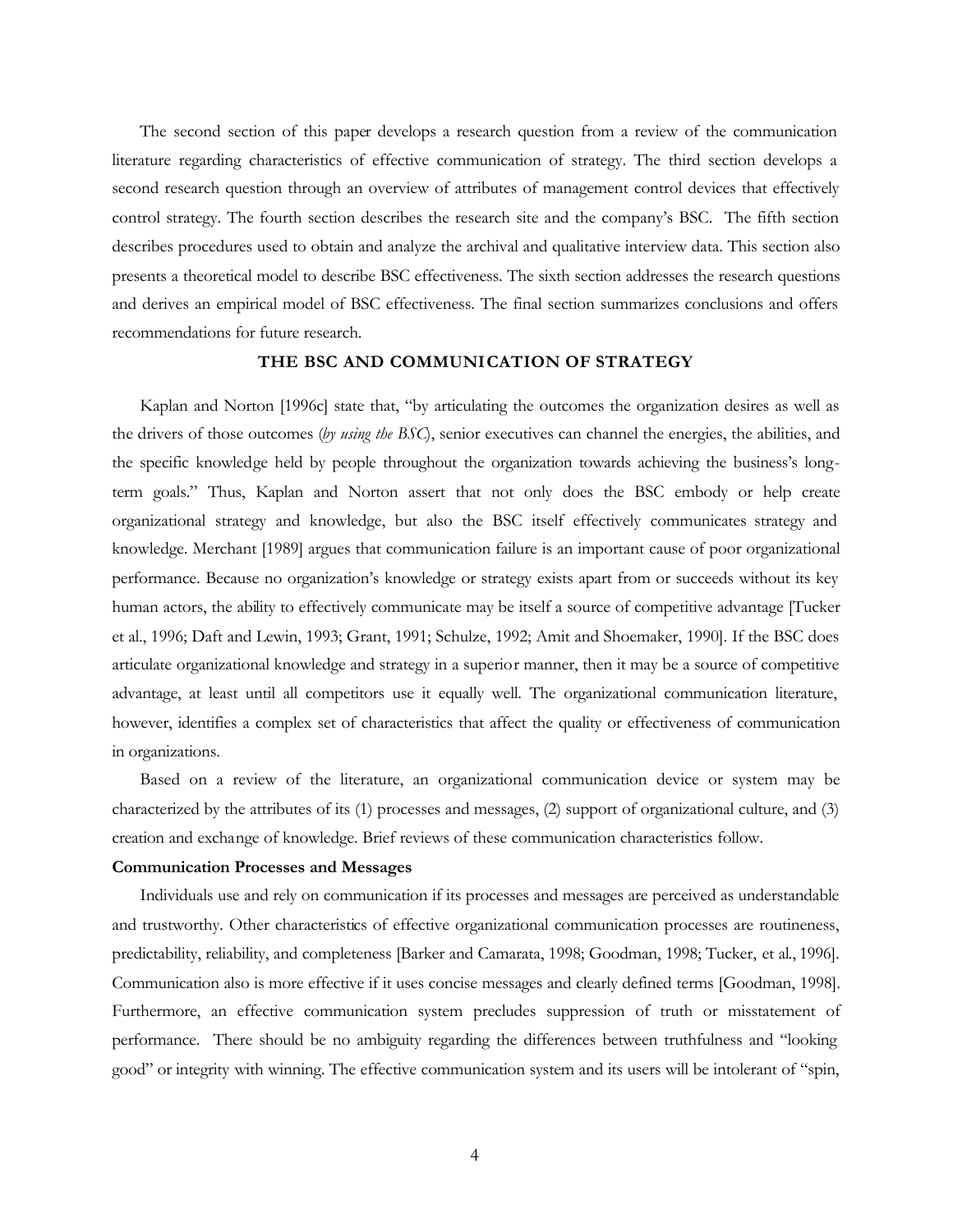The second section of this paper develops a research question from a review of the communication literature regarding characteristics of effective communication of strategy. The third section develops a second research question through an overview of attributes of management control devices that effectively control strategy. The fourth section describes the research site and the company's BSC. The fifth section describes procedures used to obtain and analyze the archival and qualitative interview data. This section also presents a theoretical model to describe BSC effectiveness. The sixth section addresses the research questions and derives an empirical model of BSC effectiveness. The final section summarizes conclusions and offers recommendations for future research.

#### **THE BSC AND COMMUNICATION OF STRATEGY**

Kaplan and Norton [1996c] state that, "by articulating the outcomes the organization desires as well as the drivers of those outcomes (*by using the BSC*), senior executives can channel the energies, the abilities, and the specific knowledge held by people throughout the organization towards achieving the business's longterm goals." Thus, Kaplan and Norton assert that not only does the BSC embody or help create organizational strategy and knowledge, but also the BSC itself effectively communicates strategy and knowledge. Merchant [1989] argues that communication failure is an important cause of poor organizational performance. Because no organization's knowledge or strategy exists apart from or succeeds without its key human actors, the ability to effectively communicate may be itself a source of competitive advantage [Tucker et al., 1996; Daft and Lewin, 1993; Grant, 1991; Schulze, 1992; Amit and Shoemaker, 1990]. If the BSC does articulate organizational knowledge and strategy in a superior manner, then it may be a source of competitive advantage, at least until all competitors use it equally well. The organizational communication literature, however, identifies a complex set of characteristics that affect the quality or effectiveness of communication in organizations.

Based on a review of the literature, an organizational communication device or system may be characterized by the attributes of its (1) processes and messages, (2) support of organizational culture, and (3) creation and exchange of knowledge. Brief reviews of these communication characteristics follow.

#### **Communication Processes and Messages**

Individuals use and rely on communication if its processes and messages are perceived as understandable and trustworthy. Other characteristics of effective organizational communication processes are routineness, predictability, reliability, and completeness [Barker and Camarata, 1998; Goodman, 1998; Tucker, et al*.*, 1996]. Communication also is more effective if it uses concise messages and clearly defined terms [Goodman, 1998]. Furthermore, an effective communication system precludes suppression of truth or misstatement of performance. There should be no ambiguity regarding the differences between truthfulness and "looking good" or integrity with winning. The effective communication system and its users will be intolerant of "spin,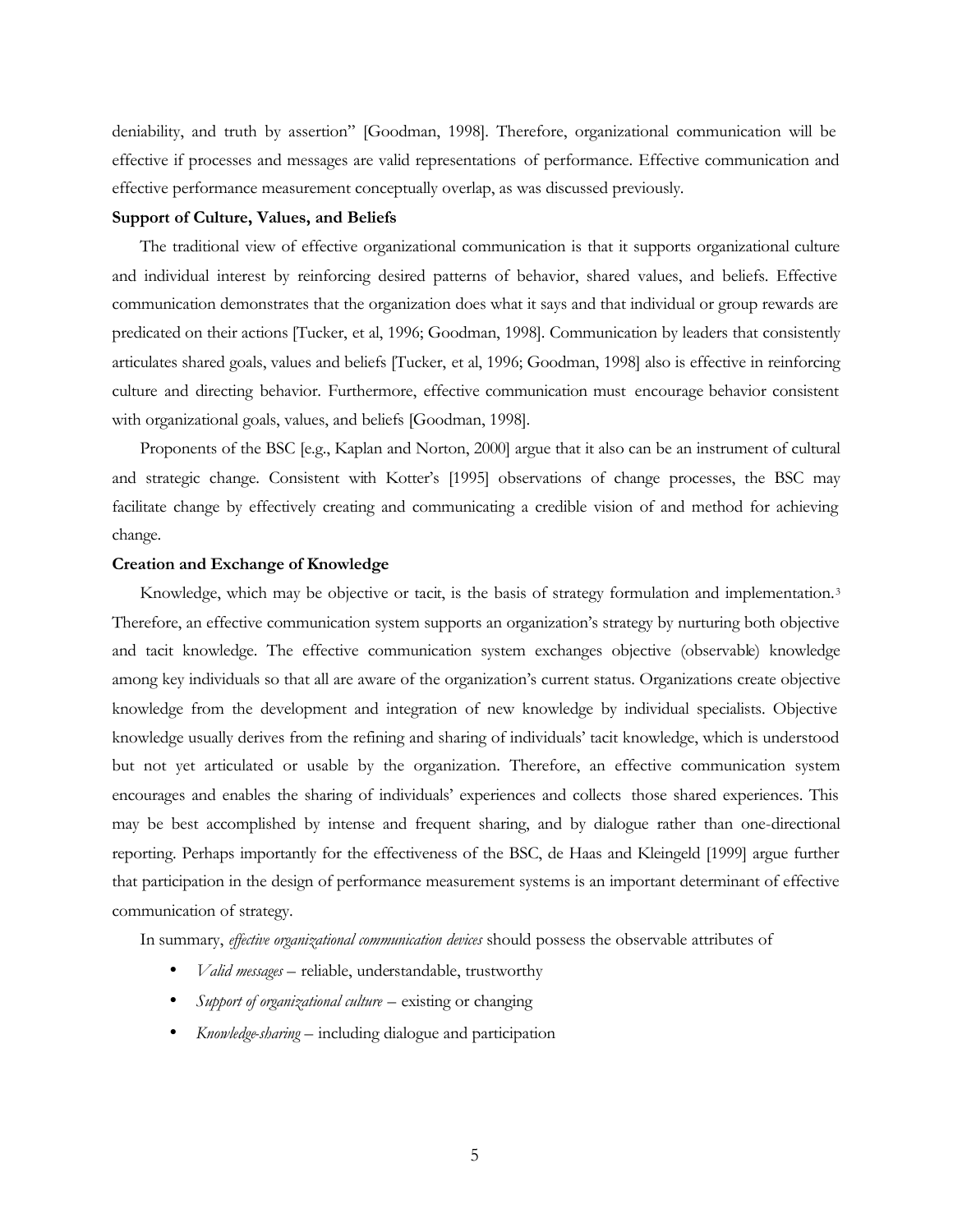deniability, and truth by assertion" [Goodman, 1998]. Therefore, organizational communication will be effective if processes and messages are valid representations of performance. Effective communication and effective performance measurement conceptually overlap, as was discussed previously.

#### **Support of Culture, Values, and Beliefs**

The traditional view of effective organizational communication is that it supports organizational culture and individual interest by reinforcing desired patterns of behavior, shared values, and beliefs. Effective communication demonstrates that the organization does what it says and that individual or group rewards are predicated on their actions [Tucker, et al, 1996; Goodman, 1998]. Communication by leaders that consistently articulates shared goals, values and beliefs [Tucker, et al, 1996; Goodman, 1998] also is effective in reinforcing culture and directing behavior. Furthermore, effective communication must encourage behavior consistent with organizational goals, values, and beliefs [Goodman, 1998].

Proponents of the BSC [e.g., Kaplan and Norton, 2000] argue that it also can be an instrument of cultural and strategic change. Consistent with Kotter's [1995] observations of change processes, the BSC may facilitate change by effectively creating and communicating a credible vision of and method for achieving change.

#### **Creation and Exchange of Knowledge**

Knowledge, which may be objective or tacit, is the basis of strategy formulation and implementation.<sup>3</sup> Therefore, an effective communication system supports an organization's strategy by nurturing both objective and tacit knowledge. The effective communication system exchanges objective (observable) knowledge among key individuals so that all are aware of the organization's current status. Organizations create objective knowledge from the development and integration of new knowledge by individual specialists. Objective knowledge usually derives from the refining and sharing of individuals' tacit knowledge, which is understood but not yet articulated or usable by the organization. Therefore, an effective communication system encourages and enables the sharing of individuals' experiences and collects those shared experiences. This may be best accomplished by intense and frequent sharing, and by dialogue rather than one-directional reporting. Perhaps importantly for the effectiveness of the BSC, de Haas and Kleingeld [1999] argue further that participation in the design of performance measurement systems is an important determinant of effective communication of strategy.

In summary, *effective organizational communication devices* should possess the observable attributes of

- *Valid messages*  reliable, understandable, trustworthy
- *Support of organizational culture –* existing or changing
- *Knowledge-sharing*  including dialogue and participation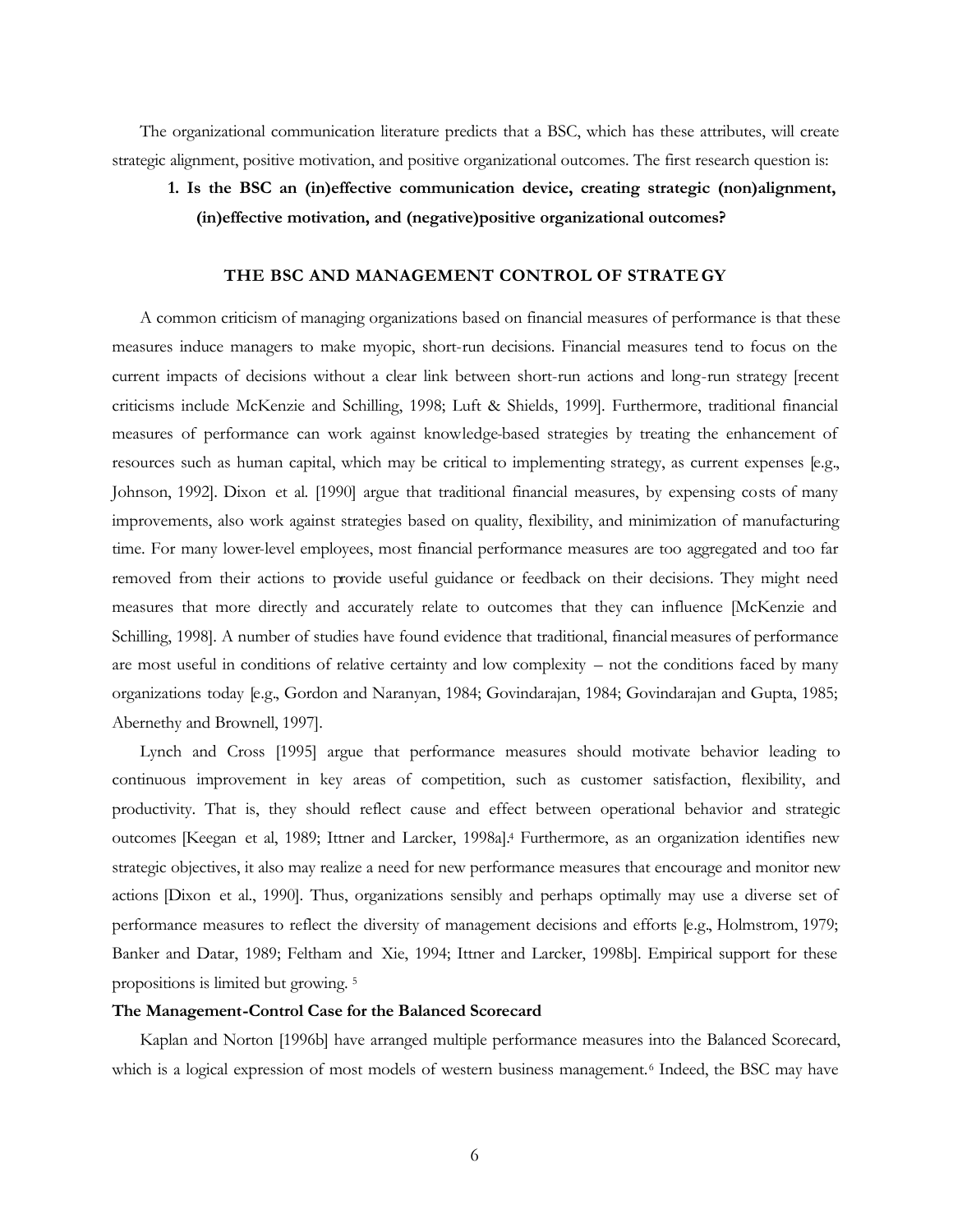The organizational communication literature predicts that a BSC, which has these attributes, will create strategic alignment, positive motivation, and positive organizational outcomes. The first research question is:

# **1. Is the BSC an (in)effective communication device, creating strategic (non)alignment, (in)effective motivation, and (negative)positive organizational outcomes?**

#### **THE BSC AND MANAGEMENT CONTROL OF STRATE GY**

A common criticism of managing organizations based on financial measures of performance is that these measures induce managers to make myopic, short-run decisions. Financial measures tend to focus on the current impacts of decisions without a clear link between short-run actions and long-run strategy [recent criticisms include McKenzie and Schilling, 1998; Luft & Shields, 1999]. Furthermore, traditional financial measures of performance can work against knowledge-based strategies by treating the enhancement of resources such as human capital, which may be critical to implementing strategy, as current expenses [e.g., Johnson, 1992]. Dixon et al. [1990] argue that traditional financial measures, by expensing costs of many improvements, also work against strategies based on quality, flexibility, and minimization of manufacturing time. For many lower-level employees, most financial performance measures are too aggregated and too far removed from their actions to provide useful guidance or feedback on their decisions. They might need measures that more directly and accurately relate to outcomes that they can influence [McKenzie and Schilling, 1998]. A number of studies have found evidence that traditional, financial measures of performance are most useful in conditions of relative certainty and low complexity – not the conditions faced by many organizations today [e.g., Gordon and Naranyan, 1984; Govindarajan, 1984; Govindarajan and Gupta, 1985; Abernethy and Brownell, 1997].

Lynch and Cross [1995] argue that performance measures should motivate behavior leading to continuous improvement in key areas of competition, such as customer satisfaction, flexibility, and productivity. That is, they should reflect cause and effect between operational behavior and strategic outcomes [Keegan et al, 1989; Ittner and Larcker, 1998a].4 Furthermore, as an organization identifies new strategic objectives, it also may realize a need for new performance measures that encourage and monitor new actions [Dixon et al., 1990]. Thus, organizations sensibly and perhaps optimally may use a diverse set of performance measures to reflect the diversity of management decisions and efforts [e.g., Holmstrom, 1979; Banker and Datar, 1989; Feltham and Xie, 1994; Ittner and Larcker, 1998b]. Empirical support for these propositions is limited but growing. <sup>5</sup>

#### **The Management-Control Case for the Balanced Scorecard**

Kaplan and Norton [1996b] have arranged multiple performance measures into the Balanced Scorecard, which is a logical expression of most models of western business management.<sup>6</sup> Indeed, the BSC may have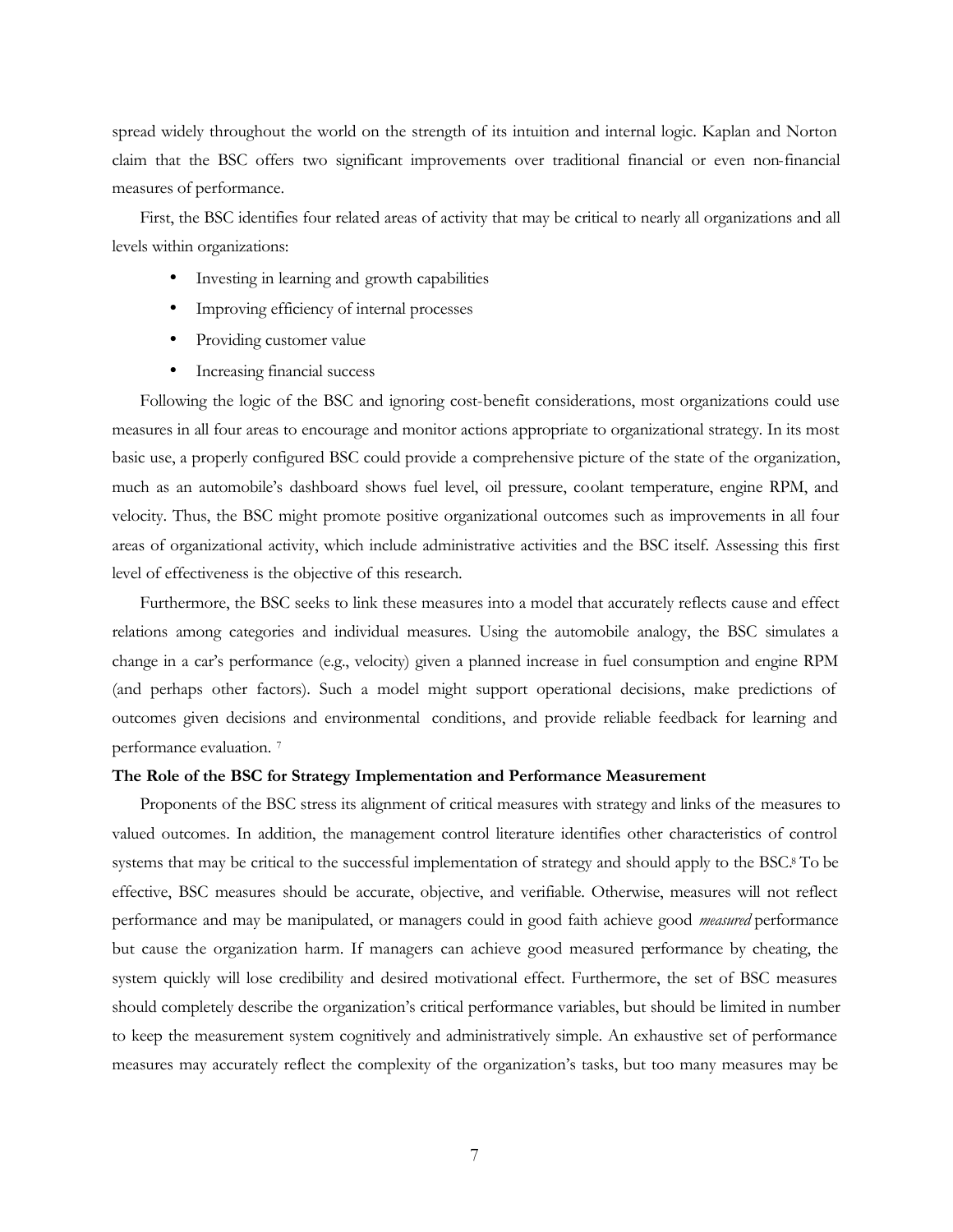spread widely throughout the world on the strength of its intuition and internal logic. Kaplan and Norton claim that the BSC offers two significant improvements over traditional financial or even non-financial measures of performance.

First, the BSC identifies four related areas of activity that may be critical to nearly all organizations and all levels within organizations:

- Investing in learning and growth capabilities
- Improving efficiency of internal processes
- Providing customer value
- Increasing financial success

Following the logic of the BSC and ignoring cost-benefit considerations, most organizations could use measures in all four areas to encourage and monitor actions appropriate to organizational strategy. In its most basic use, a properly configured BSC could provide a comprehensive picture of the state of the organization, much as an automobile's dashboard shows fuel level, oil pressure, coolant temperature, engine RPM, and velocity. Thus, the BSC might promote positive organizational outcomes such as improvements in all four areas of organizational activity, which include administrative activities and the BSC itself. Assessing this first level of effectiveness is the objective of this research.

Furthermore, the BSC seeks to link these measures into a model that accurately reflects cause and effect relations among categories and individual measures. Using the automobile analogy, the BSC simulates a change in a car's performance (e.g., velocity) given a planned increase in fuel consumption and engine RPM (and perhaps other factors). Such a model might support operational decisions, make predictions of outcomes given decisions and environmental conditions, and provide reliable feedback for learning and performance evaluation. <sup>7</sup>

#### **The Role of the BSC for Strategy Implementation and Performance Measurement**

Proponents of the BSC stress its alignment of critical measures with strategy and links of the measures to valued outcomes. In addition, the management control literature identifies other characteristics of control systems that may be critical to the successful implementation of strategy and should apply to the BSC.8 To be effective, BSC measures should be accurate, objective, and verifiable. Otherwise, measures will not reflect performance and may be manipulated, or managers could in good faith achieve good *measured* performance but cause the organization harm. If managers can achieve good measured performance by cheating, the system quickly will lose credibility and desired motivational effect. Furthermore, the set of BSC measures should completely describe the organization's critical performance variables, but should be limited in number to keep the measurement system cognitively and administratively simple. An exhaustive set of performance measures may accurately reflect the complexity of the organization's tasks, but too many measures may be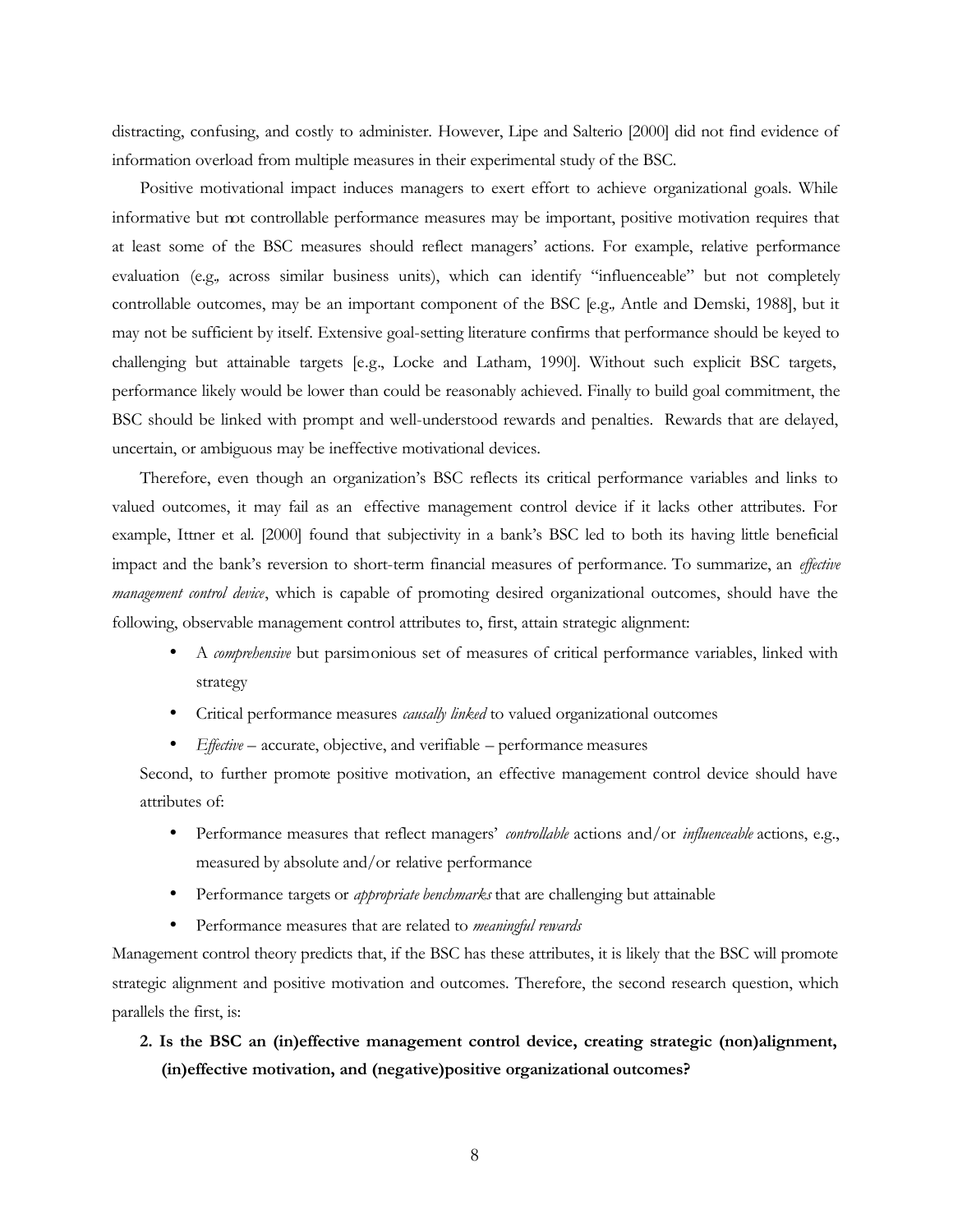distracting, confusing, and costly to administer. However, Lipe and Salterio [2000] did not find evidence of information overload from multiple measures in their experimental study of the BSC.

Positive motivational impact induces managers to exert effort to achieve organizational goals. While informative but not controllable performance measures may be important, positive motivation requires that at least some of the BSC measures should reflect managers' actions. For example, relative performance evaluation (e.g.*,* across similar business units), which can identify "influenceable" but not completely controllable outcomes, may be an important component of the BSC [e.g.*,* Antle and Demski, 1988], but it may not be sufficient by itself. Extensive goal-setting literature confirms that performance should be keyed to challenging but attainable targets [e.g., Locke and Latham, 1990]. Without such explicit BSC targets, performance likely would be lower than could be reasonably achieved. Finally to build goal commitment, the BSC should be linked with prompt and well-understood rewards and penalties. Rewards that are delayed, uncertain, or ambiguous may be ineffective motivational devices.

Therefore, even though an organization's BSC reflects its critical performance variables and links to valued outcomes, it may fail as an effective management control device if it lacks other attributes. For example, Ittner et al*.* [2000] found that subjectivity in a bank's BSC led to both its having little beneficial impact and the bank's reversion to short-term financial measures of performance. To summarize, an *effective management control device*, which is capable of promoting desired organizational outcomes, should have the following, observable management control attributes to, first, attain strategic alignment:

- A *comprehensive* but parsimonious set of measures of critical performance variables, linked with strategy
- Critical performance measures *causally linked* to valued organizational outcomes
- *Effective* accurate, objective, and verifiable performance measures

Second, to further promote positive motivation, an effective management control device should have attributes of:

- Performance measures that reflect managers' *controllable* actions and/or *influenceable* actions, e.g., measured by absolute and/or relative performance
- Performance targets or *appropriate benchmarks* that are challenging but attainable
- Performance measures that are related to *meaningful rewards*

Management control theory predicts that, if the BSC has these attributes, it is likely that the BSC will promote strategic alignment and positive motivation and outcomes. Therefore, the second research question, which parallels the first, is:

**2. Is the BSC an (in)effective management control device, creating strategic (non)alignment, (in)effective motivation, and (negative)positive organizational outcomes?**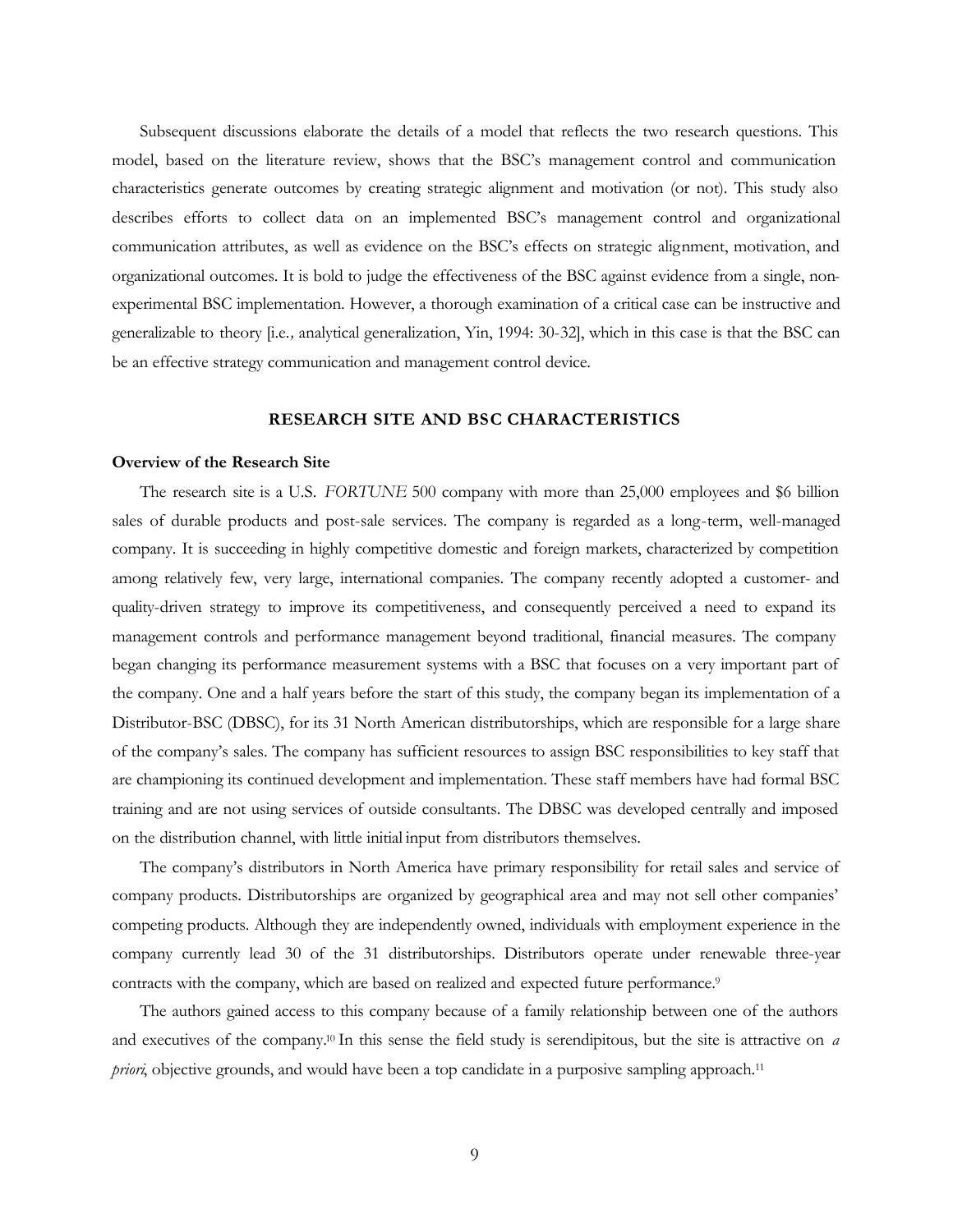Subsequent discussions elaborate the details of a model that reflects the two research questions. This model, based on the literature review, shows that the BSC's management control and communication characteristics generate outcomes by creating strategic alignment and motivation (or not). This study also describes efforts to collect data on an implemented BSC's management control and organizational communication attributes, as well as evidence on the BSC's effects on strategic alignment, motivation, and organizational outcomes. It is bold to judge the effectiveness of the BSC against evidence from a single, nonexperimental BSC implementation. However, a thorough examination of a critical case can be instructive and generalizable to theory [i.e.*,* analytical generalization, Yin, 1994: 30-32], which in this case is that the BSC can be an effective strategy communication and management control device.

#### **RESEARCH SITE AND BSC CHARACTERISTICS**

#### **Overview of the Research Site**

The research site is a U.S. *FORTUNE* 500 company with more than 25,000 employees and \$6 billion sales of durable products and post-sale services. The company is regarded as a long-term, well-managed company. It is succeeding in highly competitive domestic and foreign markets, characterized by competition among relatively few, very large, international companies. The company recently adopted a customer- and quality-driven strategy to improve its competitiveness, and consequently perceived a need to expand its management controls and performance management beyond traditional, financial measures. The company began changing its performance measurement systems with a BSC that focuses on a very important part of the company. One and a half years before the start of this study, the company began its implementation of a Distributor-BSC (DBSC), for its 31 North American distributorships, which are responsible for a large share of the company's sales. The company has sufficient resources to assign BSC responsibilities to key staff that are championing its continued development and implementation. These staff members have had formal BSC training and are not using services of outside consultants. The DBSC was developed centrally and imposed on the distribution channel, with little initial input from distributors themselves.

The company's distributors in North America have primary responsibility for retail sales and service of company products. Distributorships are organized by geographical area and may not sell other companies' competing products. Although they are independently owned, individuals with employment experience in the company currently lead 30 of the 31 distributorships. Distributors operate under renewable three-year contracts with the company, which are based on realized and expected future performance.<sup>9</sup>

The authors gained access to this company because of a family relationship between one of the authors and executives of the company.<sup>10</sup> In this sense the field study is serendipitous, but the site is attractive on *a priori*, objective grounds, and would have been a top candidate in a purposive sampling approach.11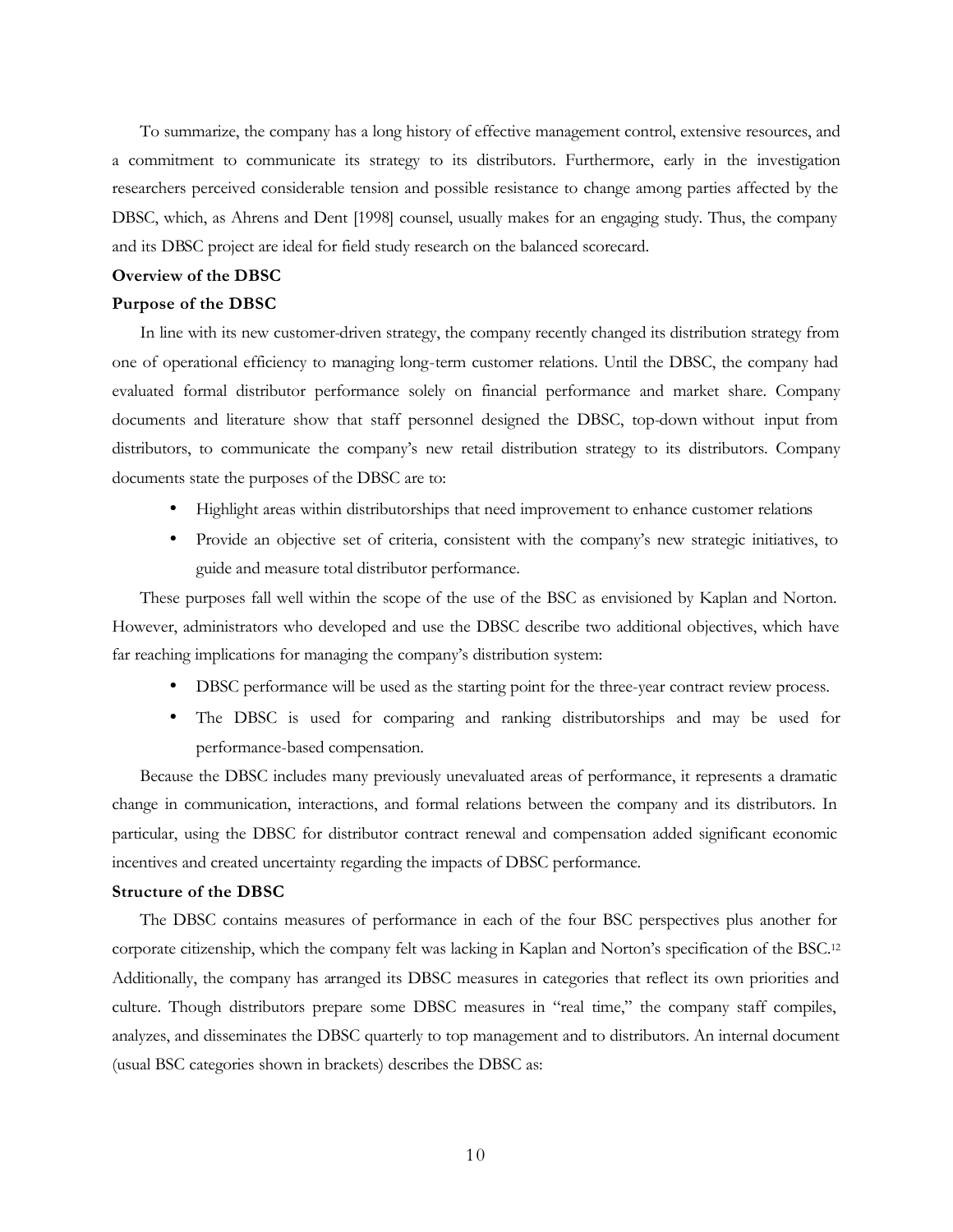To summarize, the company has a long history of effective management control, extensive resources, and a commitment to communicate its strategy to its distributors. Furthermore, early in the investigation researchers perceived considerable tension and possible resistance to change among parties affected by the DBSC, which, as Ahrens and Dent [1998] counsel, usually makes for an engaging study. Thus, the company and its DBSC project are ideal for field study research on the balanced scorecard.

#### **Overview of the DBSC**

#### **Purpose of the DBSC**

In line with its new customer-driven strategy, the company recently changed its distribution strategy from one of operational efficiency to managing long-term customer relations. Until the DBSC, the company had evaluated formal distributor performance solely on financial performance and market share. Company documents and literature show that staff personnel designed the DBSC, top-down without input from distributors, to communicate the company's new retail distribution strategy to its distributors. Company documents state the purposes of the DBSC are to:

- Highlight areas within distributorships that need improvement to enhance customer relations
- Provide an objective set of criteria, consistent with the company's new strategic initiatives, to guide and measure total distributor performance.

These purposes fall well within the scope of the use of the BSC as envisioned by Kaplan and Norton. However, administrators who developed and use the DBSC describe two additional objectives, which have far reaching implications for managing the company's distribution system:

- DBSC performance will be used as the starting point for the three-year contract review process.
- The DBSC is used for comparing and ranking distributorships and may be used for performance-based compensation.

Because the DBSC includes many previously unevaluated areas of performance, it represents a dramatic change in communication, interactions, and formal relations between the company and its distributors. In particular, using the DBSC for distributor contract renewal and compensation added significant economic incentives and created uncertainty regarding the impacts of DBSC performance.

#### **Structure of the DBSC**

The DBSC contains measures of performance in each of the four BSC perspectives plus another for corporate citizenship, which the company felt was lacking in Kaplan and Norton's specification of the BSC.<sup>12</sup> Additionally, the company has arranged its DBSC measures in categories that reflect its own priorities and culture. Though distributors prepare some DBSC measures in "real time," the company staff compiles, analyzes, and disseminates the DBSC quarterly to top management and to distributors. An internal document (usual BSC categories shown in brackets) describes the DBSC as: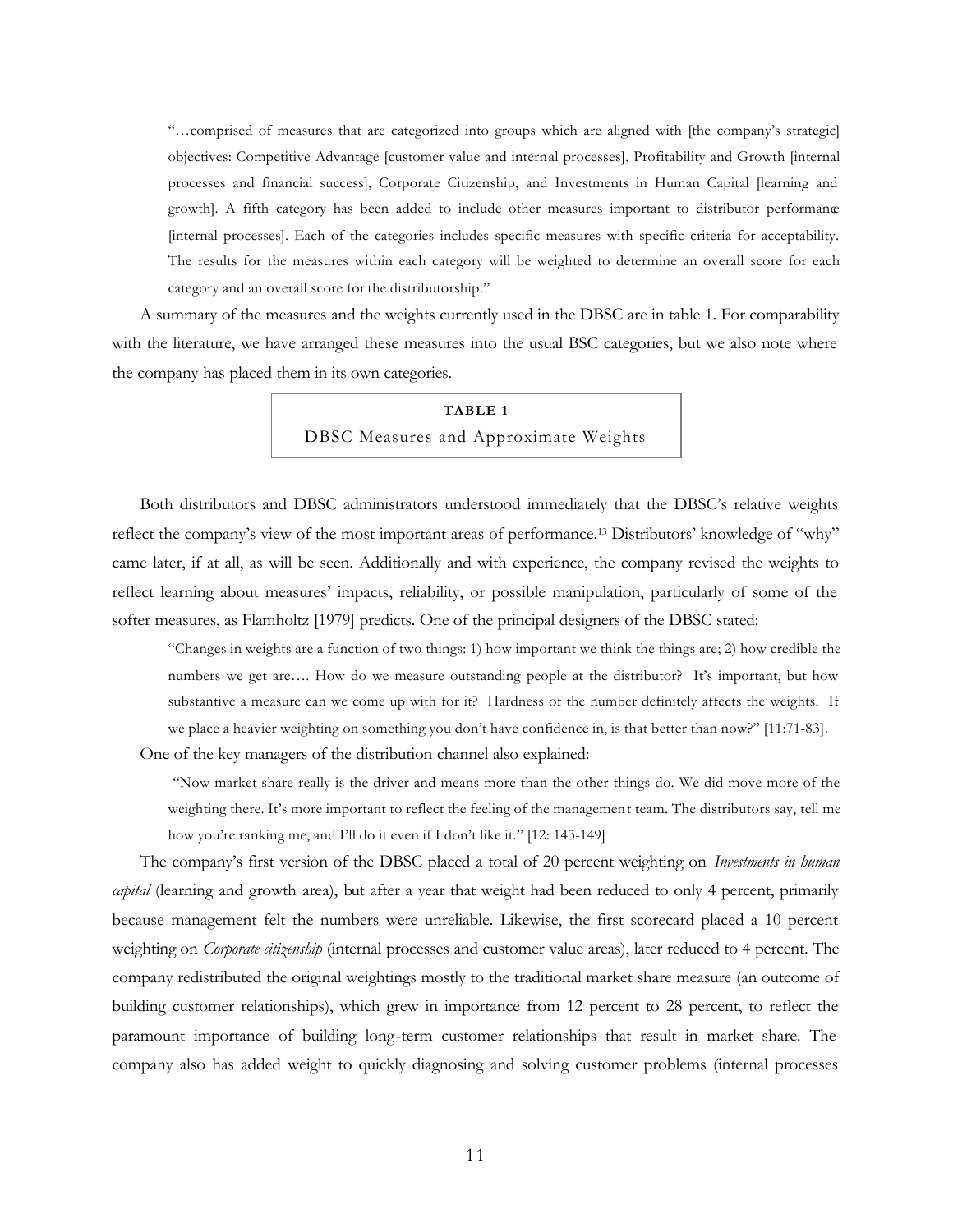"…comprised of measures that are categorized into groups which are aligned with [the company's strategic] objectives: Competitive Advantage [customer value and internal processes], Profitability and Growth [internal processes and financial success], Corporate Citizenship, and Investments in Human Capital [learning and growth]. A fifth category has been added to include other measures important to distributor performance [internal processes]. Each of the categories includes specific measures with specific criteria for acceptability. The results for the measures within each category will be weighted to determine an overall score for each category and an overall score for the distributorship."

A summary of the measures and the weights currently used in the DBSC are in table 1. For comparability with the literature, we have arranged these measures into the usual BSC categories, but we also note where the company has placed them in its own categories.

# **TABLE 1**  DBSC Measures and Approximate Weights

Both distributors and DBSC administrators understood immediately that the DBSC's relative weights reflect the company's view of the most important areas of performance.13 Distributors' knowledge of "why" came later, if at all, as will be seen. Additionally and with experience, the company revised the weights to reflect learning about measures' impacts, reliability, or possible manipulation, particularly of some of the softer measures, as Flamholtz [1979] predicts. One of the principal designers of the DBSC stated:

"Changes in weights are a function of two things: 1) how important we think the things are; 2) how credible the numbers we get are…. How do we measure outstanding people at the distributor? It's important, but how substantive a measure can we come up with for it? Hardness of the number definitely affects the weights. If we place a heavier weighting on something you don't have confidence in, is that better than now?" [11:71-83].

One of the key managers of the distribution channel also explained:

 "Now market share really is the driver and means more than the other things do. We did move more of the weighting there. It's more important to reflect the feeling of the management team. The distributors say, tell me how you're ranking me, and I'll do it even if I don't like it." [12: 143-149]

The company's first version of the DBSC placed a total of 20 percent weighting on *Investments in human capital* (learning and growth area), but after a year that weight had been reduced to only 4 percent, primarily because management felt the numbers were unreliable. Likewise, the first scorecard placed a 10 percent weighting on *Corporate citizenship* (internal processes and customer value areas), later reduced to 4 percent. The company redistributed the original weightings mostly to the traditional market share measure (an outcome of building customer relationships), which grew in importance from 12 percent to 28 percent, to reflect the paramount importance of building long-term customer relationships that result in market share. The company also has added weight to quickly diagnosing and solving customer problems (internal processes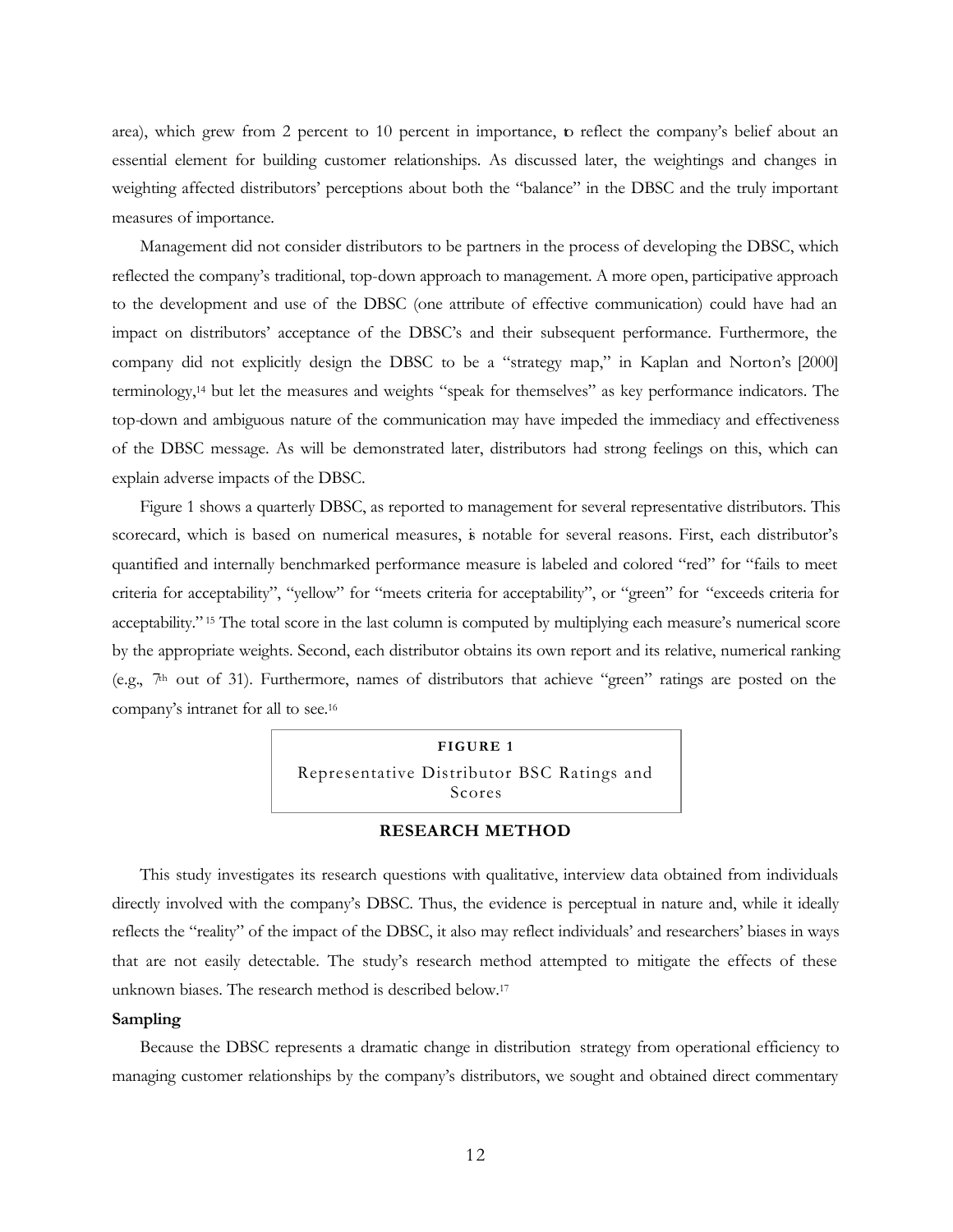area), which grew from 2 percent to 10 percent in importance, to reflect the company's belief about an essential element for building customer relationships. As discussed later, the weightings and changes in weighting affected distributors' perceptions about both the "balance" in the DBSC and the truly important measures of importance.

Management did not consider distributors to be partners in the process of developing the DBSC, which reflected the company's traditional, top-down approach to management. A more open, participative approach to the development and use of the DBSC (one attribute of effective communication) could have had an impact on distributors' acceptance of the DBSC's and their subsequent performance. Furthermore, the company did not explicitly design the DBSC to be a "strategy map," in Kaplan and Norton's [2000] terminology,14 but let the measures and weights "speak for themselves" as key performance indicators. The top-down and ambiguous nature of the communication may have impeded the immediacy and effectiveness of the DBSC message. As will be demonstrated later, distributors had strong feelings on this, which can explain adverse impacts of the DBSC.

Figure 1 shows a quarterly DBSC, as reported to management for several representative distributors. This scorecard, which is based on numerical measures, is notable for several reasons. First, each distributor's quantified and internally benchmarked performance measure is labeled and colored "red" for "fails to meet criteria for acceptability", "yellow" for "meets criteria for acceptability", or "green" for "exceeds criteria for acceptability." <sup>15</sup> The total score in the last column is computed by multiplying each measure's numerical score by the appropriate weights. Second, each distributor obtains its own report and its relative, numerical ranking (e.g., 7th out of 31). Furthermore, names of distributors that achieve "green" ratings are posted on the company's intranet for all to see.<sup>16</sup>

> **FIGURE 1**  Representative Distributor BSC Ratings and Scores

## **RESEARCH METHOD**

This study investigates its research questions with qualitative, interview data obtained from individuals directly involved with the company's DBSC. Thus, the evidence is perceptual in nature and, while it ideally reflects the "reality" of the impact of the DBSC, it also may reflect individuals' and researchers' biases in ways that are not easily detectable. The study's research method attempted to mitigate the effects of these unknown biases. The research method is described below.<sup>17</sup>

#### **Sampling**

Because the DBSC represents a dramatic change in distribution strategy from operational efficiency to managing customer relationships by the company's distributors, we sought and obtained direct commentary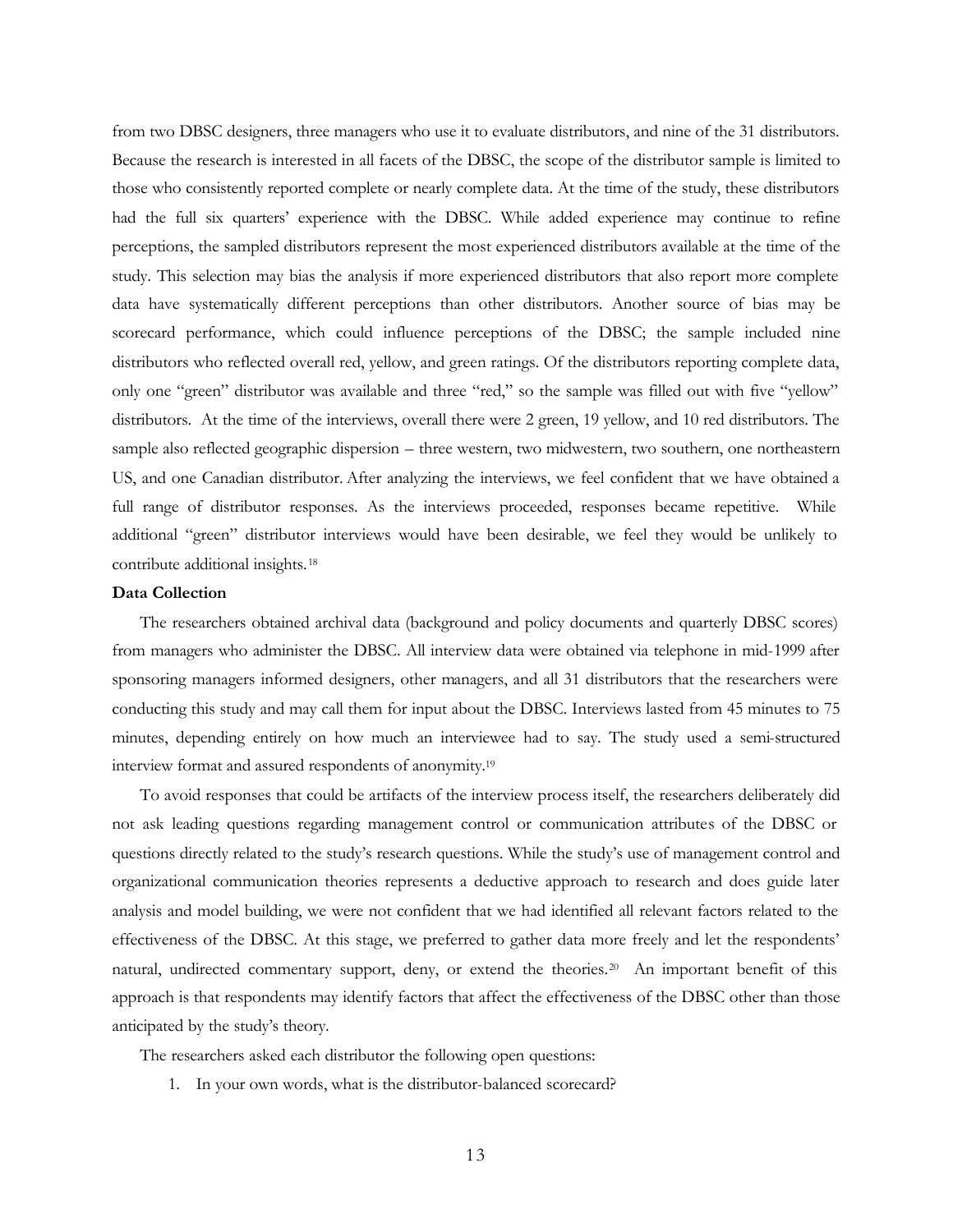from two DBSC designers, three managers who use it to evaluate distributors, and nine of the 31 distributors. Because the research is interested in all facets of the DBSC, the scope of the distributor sample is limited to those who consistently reported complete or nearly complete data. At the time of the study, these distributors had the full six quarters' experience with the DBSC. While added experience may continue to refine perceptions, the sampled distributors represent the most experienced distributors available at the time of the study. This selection may bias the analysis if more experienced distributors that also report more complete data have systematically different perceptions than other distributors. Another source of bias may be scorecard performance, which could influence perceptions of the DBSC; the sample included nine distributors who reflected overall red, yellow, and green ratings. Of the distributors reporting complete data, only one "green" distributor was available and three "red," so the sample was filled out with five "yellow" distributors. At the time of the interviews, overall there were 2 green, 19 yellow, and 10 red distributors. The sample also reflected geographic dispersion – three western, two midwestern, two southern, one northeastern US, and one Canadian distributor. After analyzing the interviews, we feel confident that we have obtained a full range of distributor responses. As the interviews proceeded, responses became repetitive. While additional "green" distributor interviews would have been desirable, we feel they would be unlikely to contribute additional insights.<sup>18</sup>

#### **Data Collection**

The researchers obtained archival data (background and policy documents and quarterly DBSC scores) from managers who administer the DBSC. All interview data were obtained via telephone in mid-1999 after sponsoring managers informed designers, other managers, and all 31 distributors that the researchers were conducting this study and may call them for input about the DBSC. Interviews lasted from 45 minutes to 75 minutes, depending entirely on how much an interviewee had to say. The study used a semi-structured interview format and assured respondents of anonymity.<sup>19</sup>

To avoid responses that could be artifacts of the interview process itself, the researchers deliberately did not ask leading questions regarding management control or communication attributes of the DBSC or questions directly related to the study's research questions. While the study's use of management control and organizational communication theories represents a deductive approach to research and does guide later analysis and model building, we were not confident that we had identified all relevant factors related to the effectiveness of the DBSC. At this stage, we preferred to gather data more freely and let the respondents' natural, undirected commentary support, deny, or extend the theories.20 An important benefit of this approach is that respondents may identify factors that affect the effectiveness of the DBSC other than those anticipated by the study's theory.

The researchers asked each distributor the following open questions:

1. In your own words, what is the distributor-balanced scorecard?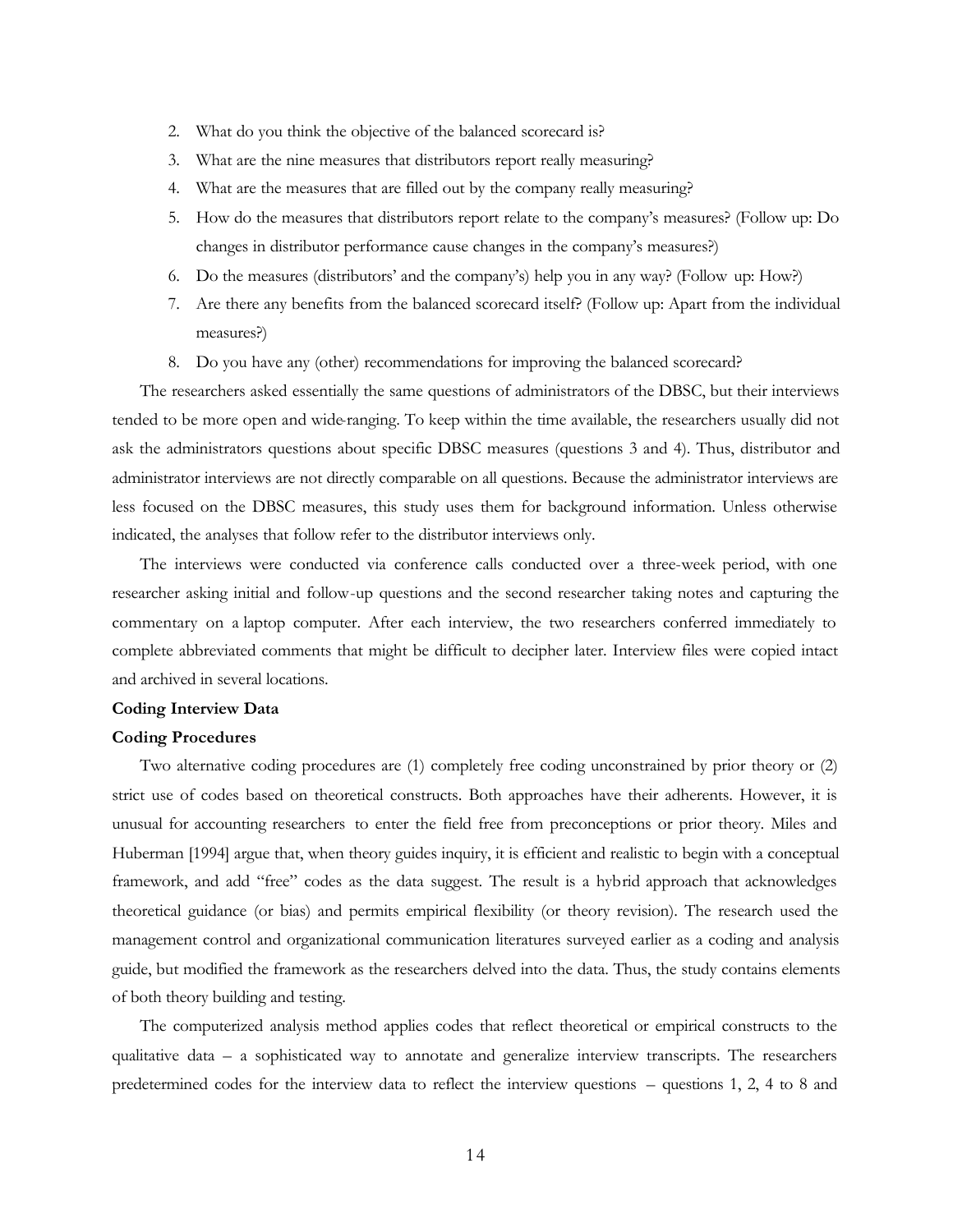- 2. What do you think the objective of the balanced scorecard is?
- 3. What are the nine measures that distributors report really measuring?
- 4. What are the measures that are filled out by the company really measuring?
- 5. How do the measures that distributors report relate to the company's measures? (Follow up: Do changes in distributor performance cause changes in the company's measures?)
- 6. Do the measures (distributors' and the company's) help you in any way? (Follow up: How?)
- 7. Are there any benefits from the balanced scorecard itself? (Follow up: Apart from the individual measures?)
- 8. Do you have any (other) recommendations for improving the balanced scorecard?

The researchers asked essentially the same questions of administrators of the DBSC, but their interviews tended to be more open and wide-ranging. To keep within the time available, the researchers usually did not ask the administrators questions about specific DBSC measures (questions 3 and 4). Thus, distributor and administrator interviews are not directly comparable on all questions. Because the administrator interviews are less focused on the DBSC measures, this study uses them for background information. Unless otherwise indicated, the analyses that follow refer to the distributor interviews only.

The interviews were conducted via conference calls conducted over a three-week period, with one researcher asking initial and follow-up questions and the second researcher taking notes and capturing the commentary on a laptop computer. After each interview, the two researchers conferred immediately to complete abbreviated comments that might be difficult to decipher later. Interview files were copied intact and archived in several locations.

#### **Coding Interview Data**

#### **Coding Procedures**

Two alternative coding procedures are (1) completely free coding unconstrained by prior theory or (2) strict use of codes based on theoretical constructs. Both approaches have their adherents. However, it is unusual for accounting researchers to enter the field free from preconceptions or prior theory. Miles and Huberman [1994] argue that, when theory guides inquiry, it is efficient and realistic to begin with a conceptual framework, and add "free" codes as the data suggest. The result is a hybrid approach that acknowledges theoretical guidance (or bias) and permits empirical flexibility (or theory revision). The research used the management control and organizational communication literatures surveyed earlier as a coding and analysis guide, but modified the framework as the researchers delved into the data. Thus, the study contains elements of both theory building and testing.

The computerized analysis method applies codes that reflect theoretical or empirical constructs to the qualitative data – a sophisticated way to annotate and generalize interview transcripts. The researchers predetermined codes for the interview data to reflect the interview questions – questions 1, 2, 4 to 8 and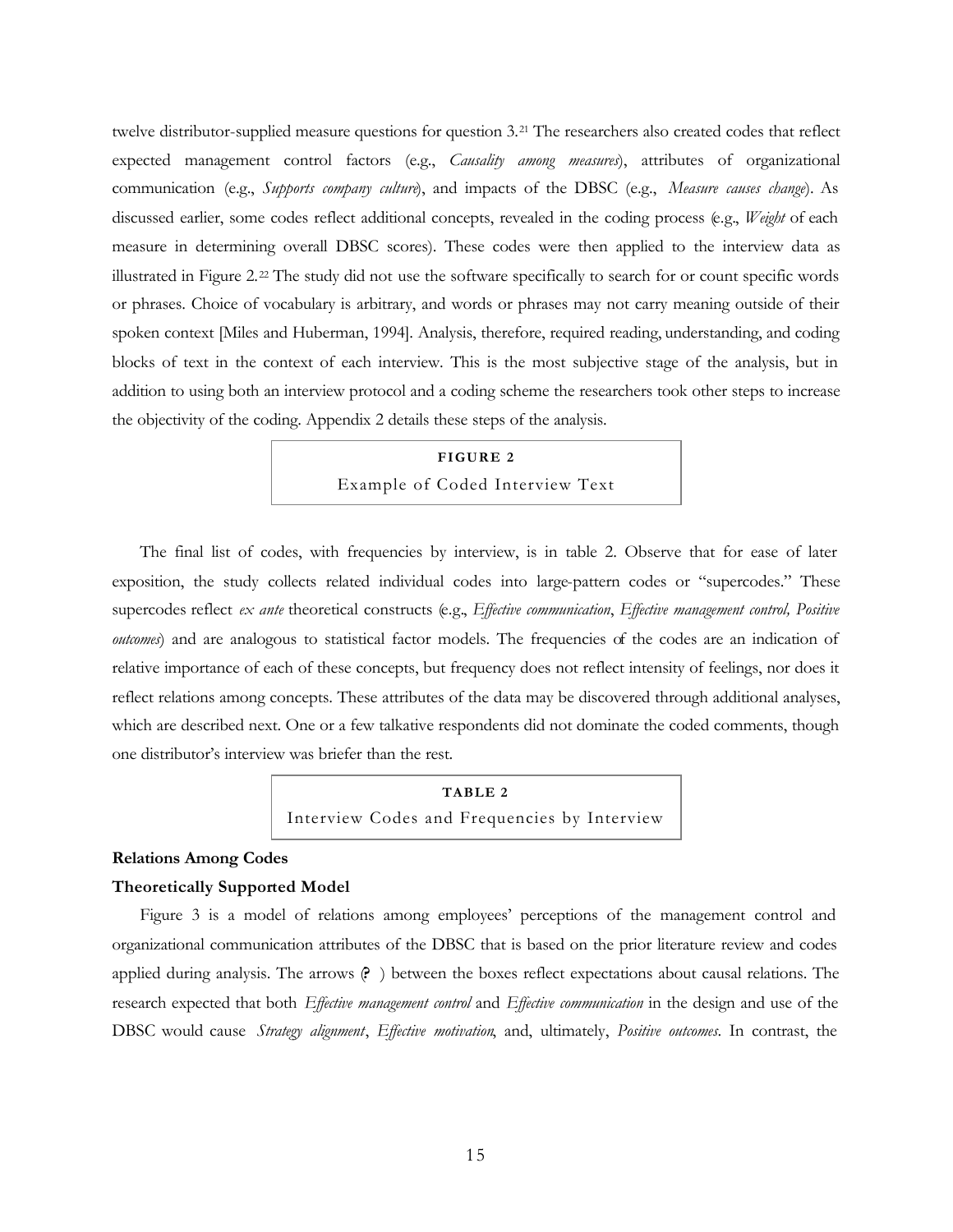twelve distributor-supplied measure questions for question 3.<sup>21</sup> The researchers also created codes that reflect expected management control factors (e.g., *Causality among measures*), attributes of organizational communication (e.g., *Supports company culture*), and impacts of the DBSC (e.g., *Measure causes change*). As discussed earlier, some codes reflect additional concepts, revealed in the coding process (e.g., *Weight* of each measure in determining overall DBSC scores). These codes were then applied to the interview data as illustrated in Figure 2.22 The study did not use the software specifically to search for or count specific words or phrases. Choice of vocabulary is arbitrary, and words or phrases may not carry meaning outside of their spoken context [Miles and Huberman, 1994]. Analysis, therefore, required reading, understanding, and coding blocks of text in the context of each interview. This is the most subjective stage of the analysis, but in addition to using both an interview protocol and a coding scheme the researchers took other steps to increase the objectivity of the coding. Appendix 2 details these steps of the analysis.

> **FIGURE 2**  Example of Coded Interview Text

The final list of codes, with frequencies by interview, is in table 2. Observe that for ease of later exposition, the study collects related individual codes into large-pattern codes or "supercodes." These supercodes reflect *ex ante* theoretical constructs (e.g., *Effective communication*, *Effective management control, Positive outcomes*) and are analogous to statistical factor models. The frequencies of the codes are an indication of relative importance of each of these concepts, but frequency does not reflect intensity of feelings, nor does it reflect relations among concepts. These attributes of the data may be discovered through additional analyses, which are described next. One or a few talkative respondents did not dominate the coded comments, though one distributor's interview was briefer than the rest.

> **TABLE 2**  Interview Codes and Frequencies by Interview

#### **Relations Among Codes**

#### **Theoretically Supported Model**

Figure 3 is a model of relations among employees' perceptions of the management control and organizational communication attributes of the DBSC that is based on the prior literature review and codes applied during analysis. The arrows (**?** ) between the boxes reflect expectations about causal relations. The research expected that both *Effective management control* and *Effective communication* in the design and use of the DBSC would cause *Strategy alignment*, *Effective motivation*, and, ultimately, *Positive outcomes*. In contrast, the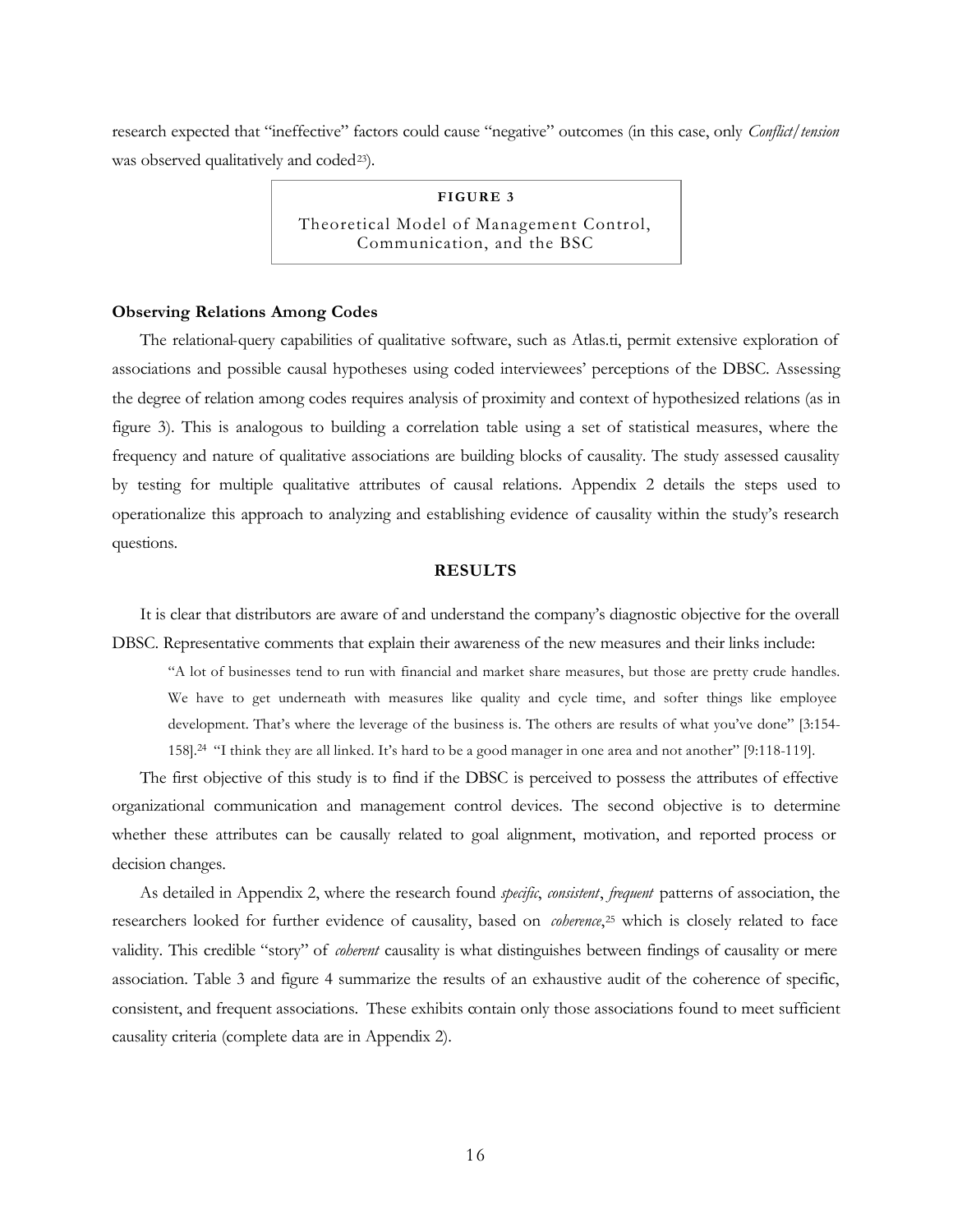research expected that "ineffective" factors could cause "negative" outcomes (in this case, only *Conflict/tension* was observed qualitatively and coded<sup>23</sup>).

### **FIGURE 3**

Theoretical Model of Management Control, Communication, and the BSC

#### **Observing Relations Among Codes**

The relational-query capabilities of qualitative software, such as Atlas.ti, permit extensive exploration of associations and possible causal hypotheses using coded interviewees' perceptions of the DBSC. Assessing the degree of relation among codes requires analysis of proximity and context of hypothesized relations (as in figure 3). This is analogous to building a correlation table using a set of statistical measures, where the frequency and nature of qualitative associations are building blocks of causality. The study assessed causality by testing for multiple qualitative attributes of causal relations. Appendix 2 details the steps used to operationalize this approach to analyzing and establishing evidence of causality within the study's research questions.

#### **RESULTS**

It is clear that distributors are aware of and understand the company's diagnostic objective for the overall DBSC. Representative comments that explain their awareness of the new measures and their links include:

"A lot of businesses tend to run with financial and market share measures, but those are pretty crude handles. We have to get underneath with measures like quality and cycle time, and softer things like employee development. That's where the leverage of the business is. The others are results of what you've done" [3:154- 158].24 "I think they are all linked. It's hard to be a good manager in one area and not another" [9:118-119].

The first objective of this study is to find if the DBSC is perceived to possess the attributes of effective organizational communication and management control devices. The second objective is to determine whether these attributes can be causally related to goal alignment, motivation, and reported process or decision changes.

As detailed in Appendix 2, where the research found *specific*, *consistent*, *frequent* patterns of association, the researchers looked for further evidence of causality, based on *coherence*, <sup>25</sup> which is closely related to face validity. This credible "story" of *coherent* causality is what distinguishes between findings of causality or mere association. Table 3 and figure 4 summarize the results of an exhaustive audit of the coherence of specific, consistent, and frequent associations. These exhibits contain only those associations found to meet sufficient causality criteria (complete data are in Appendix 2).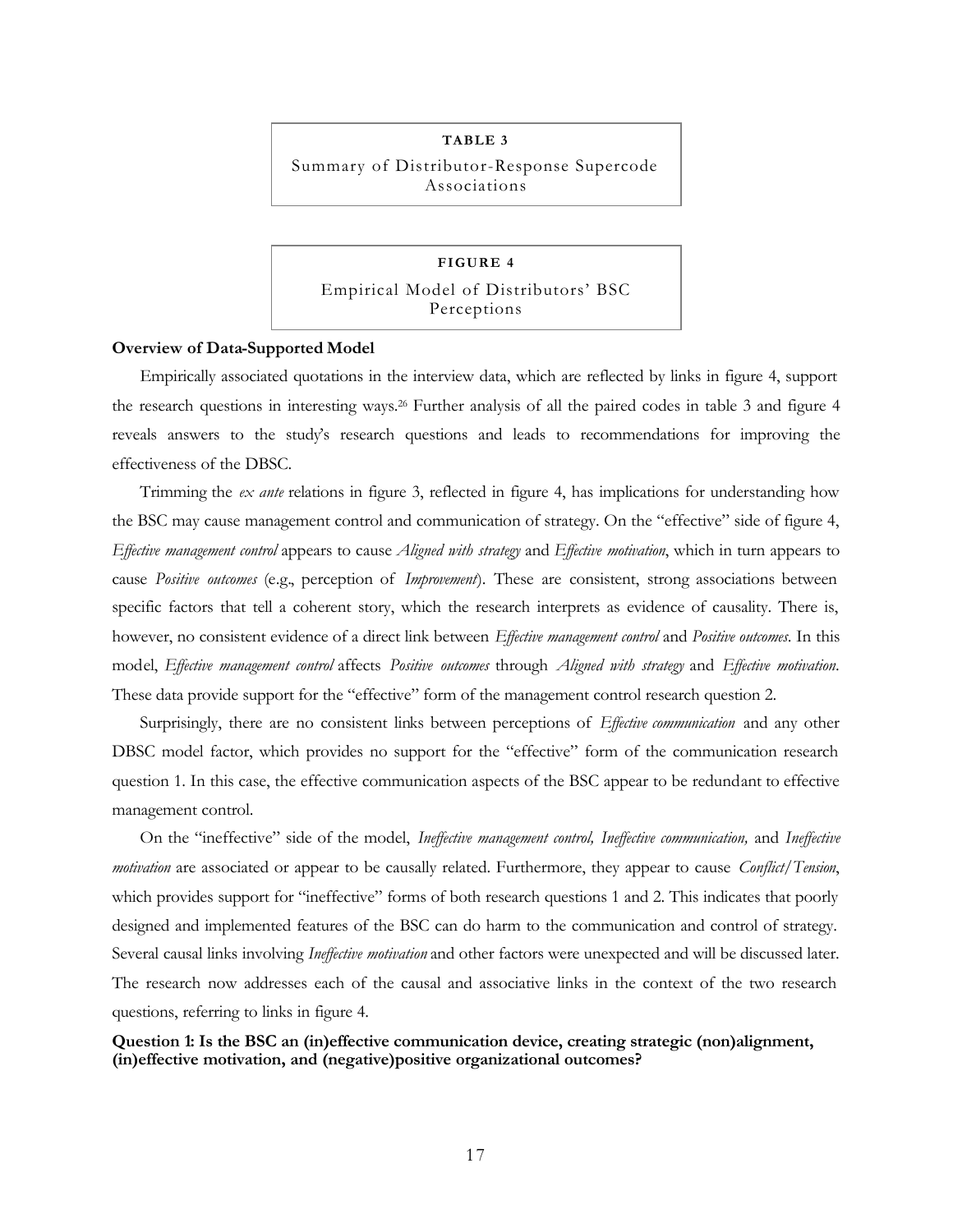#### **TABLE 3**

### Summary of Distributor-Response Supercode Associations

**FIGURE 4**  Empirical Model of Distributors' BSC Perceptions

#### **Overview of Data-Supported Model**

Empirically associated quotations in the interview data, which are reflected by links in figure 4, support the research questions in interesting ways.26 Further analysis of all the paired codes in table 3 and figure 4 reveals answers to the study's research questions and leads to recommendations for improving the effectiveness of the DBSC.

Trimming the *ex ante* relations in figure 3, reflected in figure 4, has implications for understanding how the BSC may cause management control and communication of strategy. On the "effective" side of figure 4, *Effective management control* appears to cause *Aligned with strategy* and *Effective motivation*, which in turn appears to cause *Positive outcomes* (e.g., perception of *Improvement*). These are consistent, strong associations between specific factors that tell a coherent story, which the research interprets as evidence of causality. There is, however, no consistent evidence of a direct link between *Effective management control* and *Positive outcomes*. In this model, *Effective management control* affects *Positive outcomes* through *Aligned with strategy* and *Effective motivation*. These data provide support for the "effective" form of the management control research question 2.

Surprisingly, there are no consistent links between perceptions of *Effective communication* and any other DBSC model factor, which provides no support for the "effective" form of the communication research question 1. In this case, the effective communication aspects of the BSC appear to be redundant to effective management control.

On the "ineffective" side of the model, *Ineffective management control, Ineffective communication,* and *Ineffective motivation* are associated or appear to be causally related. Furthermore, they appear to cause *Conflict/Tension*, which provides support for "ineffective" forms of both research questions 1 and 2. This indicates that poorly designed and implemented features of the BSC can do harm to the communication and control of strategy. Several causal links involving *Ineffective motivation* and other factors were unexpected and will be discussed later. The research now addresses each of the causal and associative links in the context of the two research questions, referring to links in figure 4.

### **Question 1: Is the BSC an (in)effective communication device, creating strategic (non)alignment, (in)effective motivation, and (negative)positive organizational outcomes?**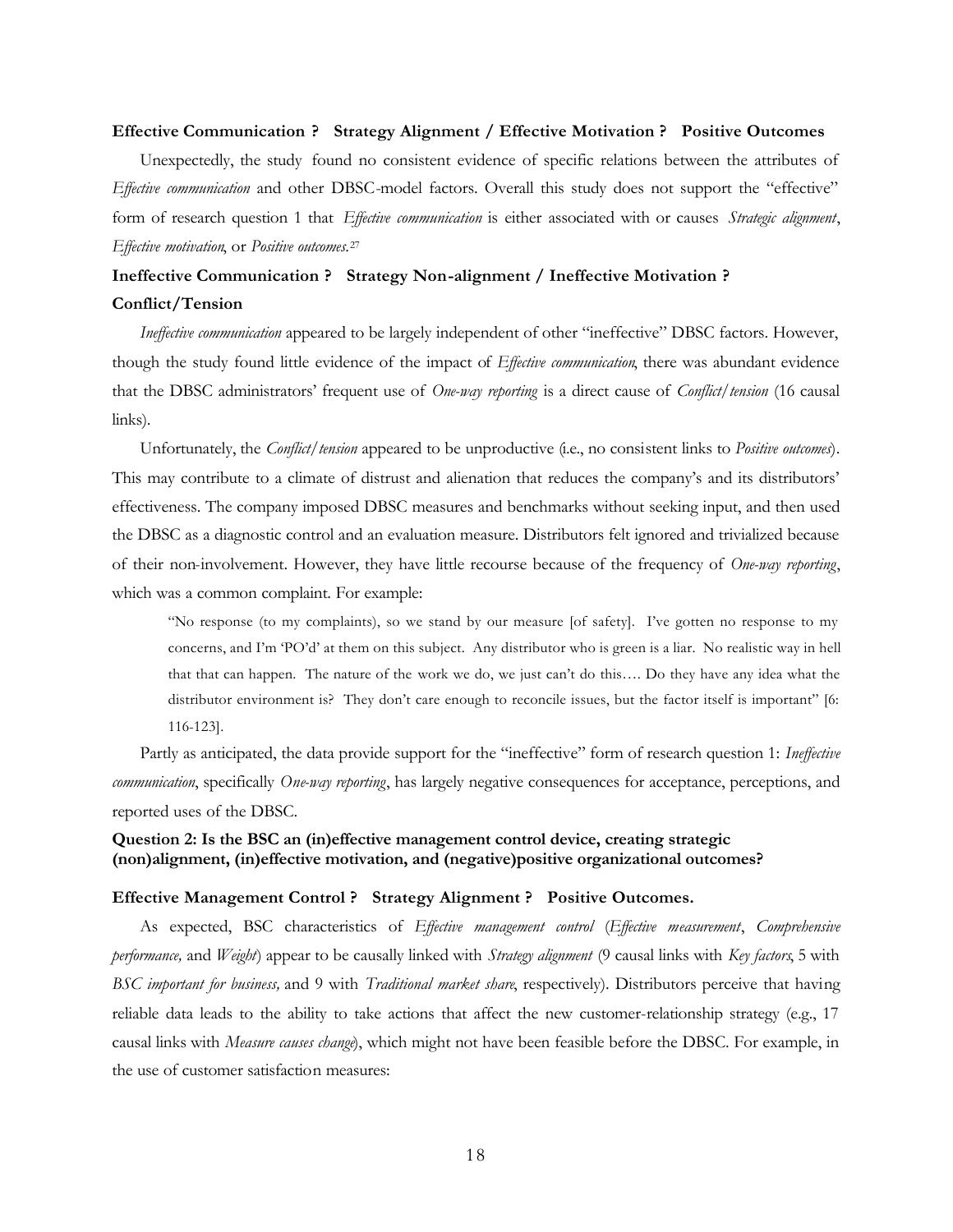#### **Effective Communication ? Strategy Alignment / Effective Motivation ? Positive Outcomes**

Unexpectedly, the study found no consistent evidence of specific relations between the attributes of *Effective communication* and other DBSC-model factors. Overall this study does not support the "effective" form of research question 1 that *Effective communication* is either associated with or causes *Strategic alignment*, *Effective motivation*, or *Positive outcomes*. 27

# **Ineffective Communication ? Strategy Non-alignment / Ineffective Motivation ? Conflict/Tension**

*Ineffective communication* appeared to be largely independent of other "ineffective" DBSC factors. However, though the study found little evidence of the impact of *Effective communication*, there was abundant evidence that the DBSC administrators' frequent use of *One-way reporting* is a direct cause of *Conflict/tension* (16 causal links).

Unfortunately, the *Conflict/tension* appeared to be unproductive (i.e., no consistent links to *Positive outcomes*). This may contribute to a climate of distrust and alienation that reduces the company's and its distributors' effectiveness. The company imposed DBSC measures and benchmarks without seeking input, and then used the DBSC as a diagnostic control and an evaluation measure. Distributors felt ignored and trivialized because of their non-involvement. However, they have little recourse because of the frequency of *One-way reporting*, which was a common complaint. For example:

"No response (to my complaints), so we stand by our measure [of safety]. I've gotten no response to my concerns, and I'm 'PO'd' at them on this subject. Any distributor who is green is a liar. No realistic way in hell that that can happen. The nature of the work we do, we just can't do this…. Do they have any idea what the distributor environment is? They don't care enough to reconcile issues, but the factor itself is important" [6: 116-123].

Partly as anticipated, the data provide support for the "ineffective" form of research question 1: *Ineffective communication*, specifically *One-way reporting*, has largely negative consequences for acceptance, perceptions, and reported uses of the DBSC.

### **Question 2: Is the BSC an (in)effective management control device, creating strategic (non)alignment, (in)effective motivation, and (negative)positive organizational outcomes?**

#### **Effective Management Control ? Strategy Alignment ? Positive Outcomes.**

As expected, BSC characteristics of *Effective management control* (*Effective measurement*, *Comprehensive performance,* and *Weight*) appear to be causally linked with *Strategy alignment* (9 causal links with *Key factors*, 5 with *BSC important for business,* and 9 with *Traditional market share*, respectively). Distributors perceive that having reliable data leads to the ability to take actions that affect the new customer-relationship strategy (e.g., 17 causal links with *Measure causes change*), which might not have been feasible before the DBSC. For example, in the use of customer satisfaction measures: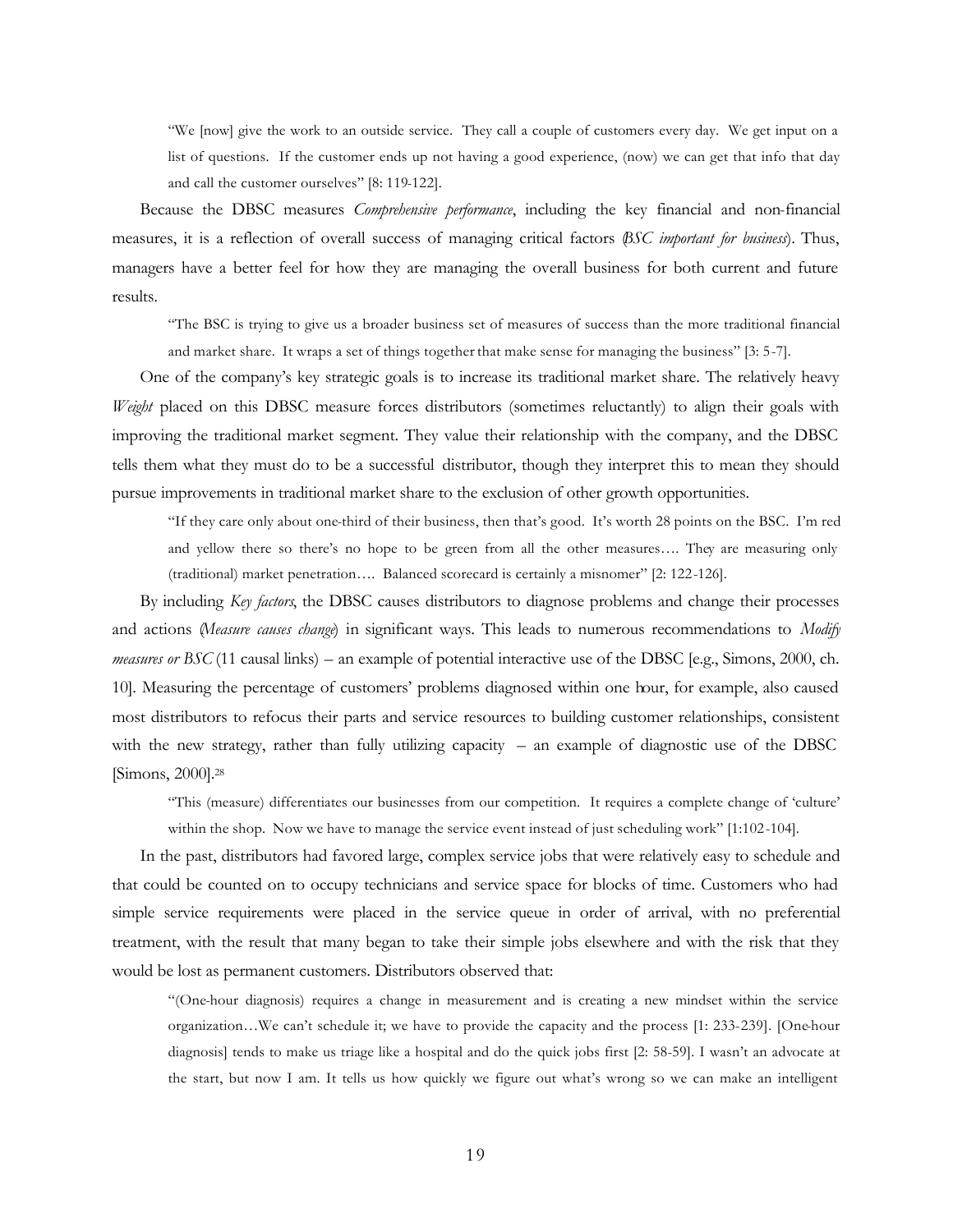"We [now] give the work to an outside service. They call a couple of customers every day. We get input on a list of questions. If the customer ends up not having a good experience, (now) we can get that info that day and call the customer ourselves" [8: 119-122].

Because the DBSC measures *Comprehensive performance*, including the key financial and non-financial measures, it is a reflection of overall success of managing critical factors (*BSC important for business*). Thus, managers have a better feel for how they are managing the overall business for both current and future results.

"The BSC is trying to give us a broader business set of measures of success than the more traditional financial and market share. It wraps a set of things together that make sense for managing the business" [3: 5-7].

One of the company's key strategic goals is to increase its traditional market share. The relatively heavy *Weight* placed on this DBSC measure forces distributors (sometimes reluctantly) to align their goals with improving the traditional market segment. They value their relationship with the company, and the DBSC tells them what they must do to be a successful distributor, though they interpret this to mean they should pursue improvements in traditional market share to the exclusion of other growth opportunities.

"If they care only about one-third of their business, then that's good. It's worth 28 points on the BSC. I'm red and yellow there so there's no hope to be green from all the other measures…. They are measuring only (traditional) market penetration…. Balanced scorecard is certainly a misnomer" [2: 122-126].

By including *Key factors*, the DBSC causes distributors to diagnose problems and change their processes and actions (*Measure causes change*) in significant ways. This leads to numerous recommendations to *Modify measures or BSC* (11 causal links) – an example of potential interactive use of the DBSC [e.g., Simons, 2000, ch. 10]. Measuring the percentage of customers' problems diagnosed within one hour, for example, also caused most distributors to refocus their parts and service resources to building customer relationships, consistent with the new strategy, rather than fully utilizing capacity – an example of diagnostic use of the DBSC [Simons, 2000].<sup>28</sup>

"This (measure) differentiates our businesses from our competition. It requires a complete change of 'culture' within the shop. Now we have to manage the service event instead of just scheduling work" [1:102-104].

In the past, distributors had favored large, complex service jobs that were relatively easy to schedule and that could be counted on to occupy technicians and service space for blocks of time. Customers who had simple service requirements were placed in the service queue in order of arrival, with no preferential treatment, with the result that many began to take their simple jobs elsewhere and with the risk that they would be lost as permanent customers. Distributors observed that:

"(One-hour diagnosis) requires a change in measurement and is creating a new mindset within the service organization…We can't schedule it; we have to provide the capacity and the process [1: 233-239]. [One-hour diagnosis] tends to make us triage like a hospital and do the quick jobs first [2: 58-59]. I wasn't an advocate at the start, but now I am. It tells us how quickly we figure out what's wrong so we can make an intelligent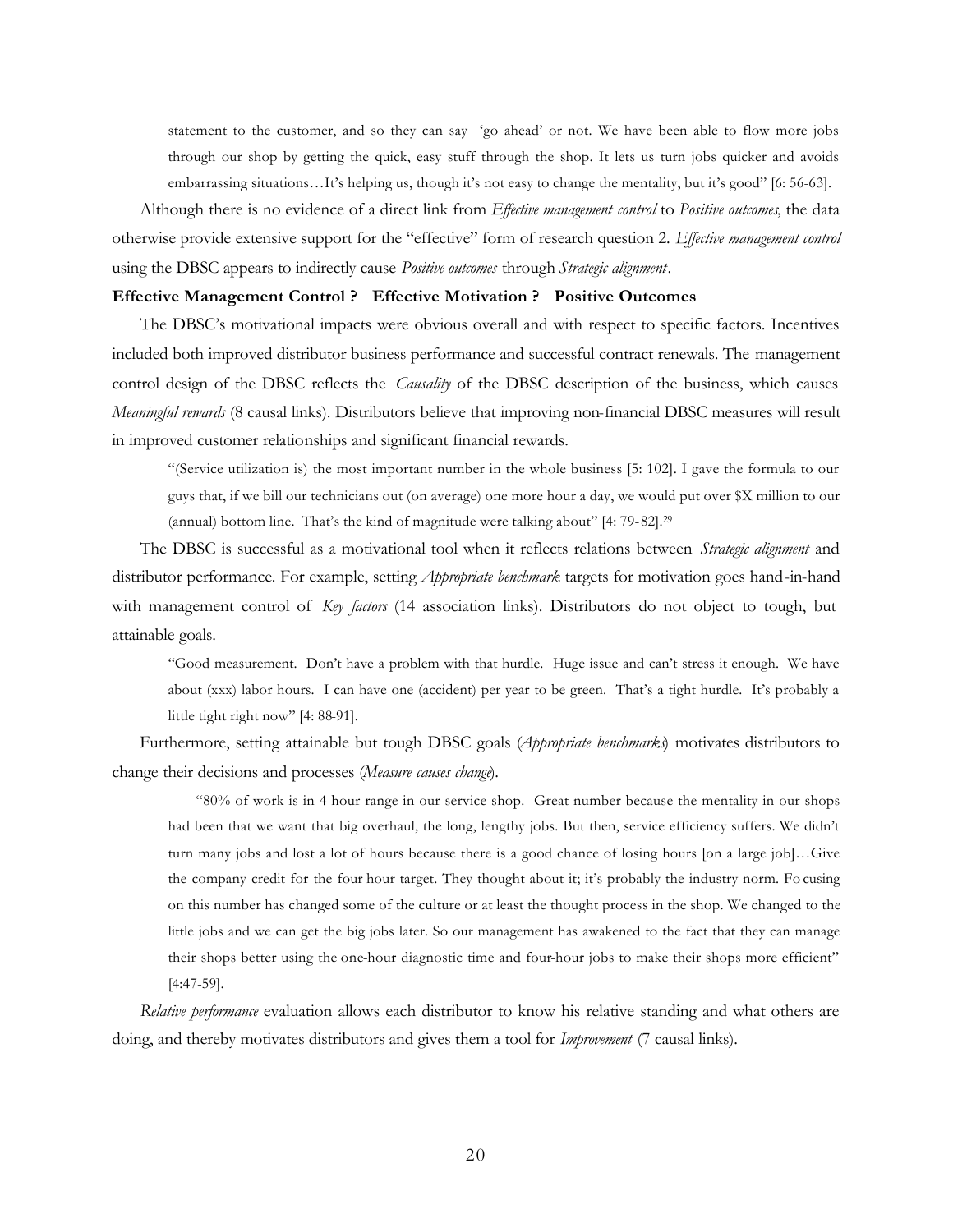statement to the customer, and so they can say 'go ahead' or not. We have been able to flow more jobs through our shop by getting the quick, easy stuff through the shop. It lets us turn jobs quicker and avoids embarrassing situations…It's helping us, though it's not easy to change the mentality, but it's good" [6: 56-63].

Although there is no evidence of a direct link from *Effective management control* to *Positive outcomes*, the data otherwise provide extensive support for the "effective" form of research question 2. *Effective management control* using the DBSC appears to indirectly cause *Positive outcomes* through *Strategic alignment*.

#### **Effective Management Control ? Effective Motivation ? Positive Outcomes**

The DBSC's motivational impacts were obvious overall and with respect to specific factors. Incentives included both improved distributor business performance and successful contract renewals. The management control design of the DBSC reflects the *Causality* of the DBSC description of the business, which causes *Meaningful rewards* (8 causal links). Distributors believe that improving non-financial DBSC measures will result in improved customer relationships and significant financial rewards.

"(Service utilization is) the most important number in the whole business [5: 102]. I gave the formula to our guys that, if we bill our technicians out (on average) one more hour a day, we would put over \$X million to our (annual) bottom line. That's the kind of magnitude were talking about" [4: 79-82].<sup>29</sup>

The DBSC is successful as a motivational tool when it reflects relations between *Strategic alignment* and distributor performance. For example, setting *Appropriate benchmark* targets for motivation goes hand-in-hand with management control of *Key factors* (14 association links). Distributors do not object to tough, but attainable goals.

"Good measurement. Don't have a problem with that hurdle. Huge issue and can't stress it enough. We have about (xxx) labor hours. I can have one (accident) per year to be green. That's a tight hurdle. It's probably a little tight right now" [4: 88-91].

Furthermore, setting attainable but tough DBSC goals (*Appropriate benchmarks*) motivates distributors to change their decisions and processes (*Measure causes change*).

"80% of work is in 4-hour range in our service shop. Great number because the mentality in our shops had been that we want that big overhaul, the long, lengthy jobs. But then, service efficiency suffers. We didn't turn many jobs and lost a lot of hours because there is a good chance of losing hours [on a large job]…Give the company credit for the four-hour target. They thought about it; it's probably the industry norm. Fo cusing on this number has changed some of the culture or at least the thought process in the shop. We changed to the little jobs and we can get the big jobs later. So our management has awakened to the fact that they can manage their shops better using the one-hour diagnostic time and four-hour jobs to make their shops more efficient" [4:47-59].

*Relative performance* evaluation allows each distributor to know his relative standing and what others are doing, and thereby motivates distributors and gives them a tool for *Improvement* (7 causal links).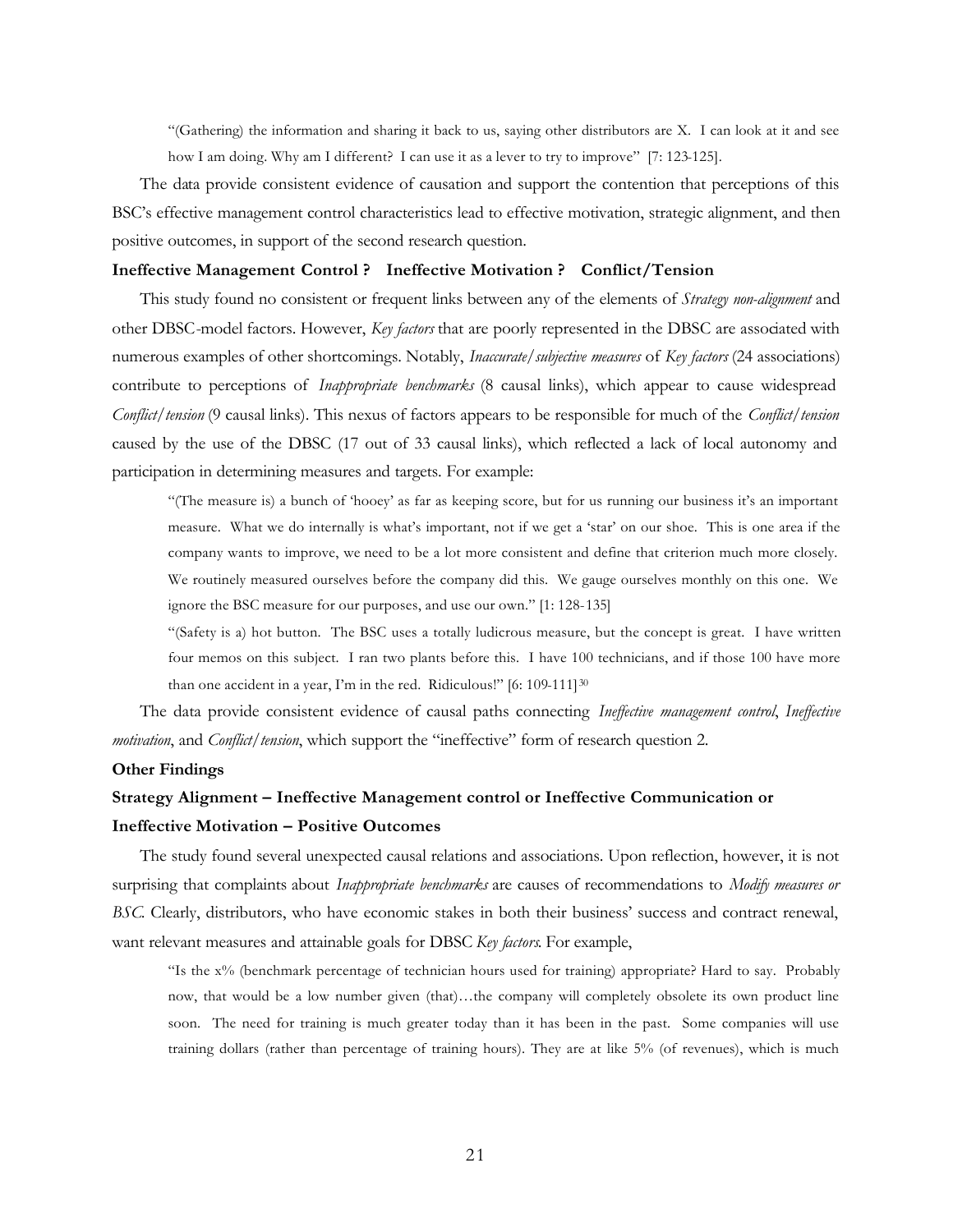"(Gathering) the information and sharing it back to us, saying other distributors are X. I can look at it and see how I am doing. Why am I different? I can use it as a lever to try to improve" [7: 123-125].

The data provide consistent evidence of causation and support the contention that perceptions of this BSC's effective management control characteristics lead to effective motivation, strategic alignment, and then positive outcomes, in support of the second research question.

#### **Ineffective Management Control ? Ineffective Motivation ? Conflict/Tension**

This study found no consistent or frequent links between any of the elements of *Strategy non-alignment* and other DBSC-model factors. However, *Key factors* that are poorly represented in the DBSC are associated with numerous examples of other shortcomings. Notably, *Inaccurate/subjective measures* of *Key factors* (24 associations) contribute to perceptions of *Inappropriate benchmarks* (8 causal links), which appear to cause widespread *Conflict/tension* (9 causal links). This nexus of factors appears to be responsible for much of the *Conflict/tension* caused by the use of the DBSC (17 out of 33 causal links), which reflected a lack of local autonomy and participation in determining measures and targets. For example:

"(The measure is) a bunch of 'hooey' as far as keeping score, but for us running our business it's an important measure. What we do internally is what's important, not if we get a 'star' on our shoe. This is one area if the company wants to improve, we need to be a lot more consistent and define that criterion much more closely. We routinely measured ourselves before the company did this. We gauge ourselves monthly on this one. We ignore the BSC measure for our purposes, and use our own." [1: 128-135]

"(Safety is a) hot button. The BSC uses a totally ludicrous measure, but the concept is great. I have written four memos on this subject. I ran two plants before this. I have 100 technicians, and if those 100 have more than one accident in a year, I'm in the red. Ridiculous!" [6: 109-111]<sup>30</sup>

The data provide consistent evidence of causal paths connecting *Ineffective management control*, *Ineffective motivation*, and *Conflict/tension*, which support the "ineffective" form of research question 2.

#### **Other Findings**

# **Strategy Alignment – Ineffective Management control or Ineffective Communication or Ineffective Motivation – Positive Outcomes**

The study found several unexpected causal relations and associations. Upon reflection, however, it is not surprising that complaints about *Inappropriate benchmarks* are causes of recommendations to *Modify measures or BSC*. Clearly, distributors, who have economic stakes in both their business' success and contract renewal, want relevant measures and attainable goals for DBSC *Key factors*. For example,

"Is the x% (benchmark percentage of technician hours used for training) appropriate? Hard to say. Probably now, that would be a low number given (that)…the company will completely obsolete its own product line soon. The need for training is much greater today than it has been in the past. Some companies will use training dollars (rather than percentage of training hours). They are at like 5% (of revenues), which is much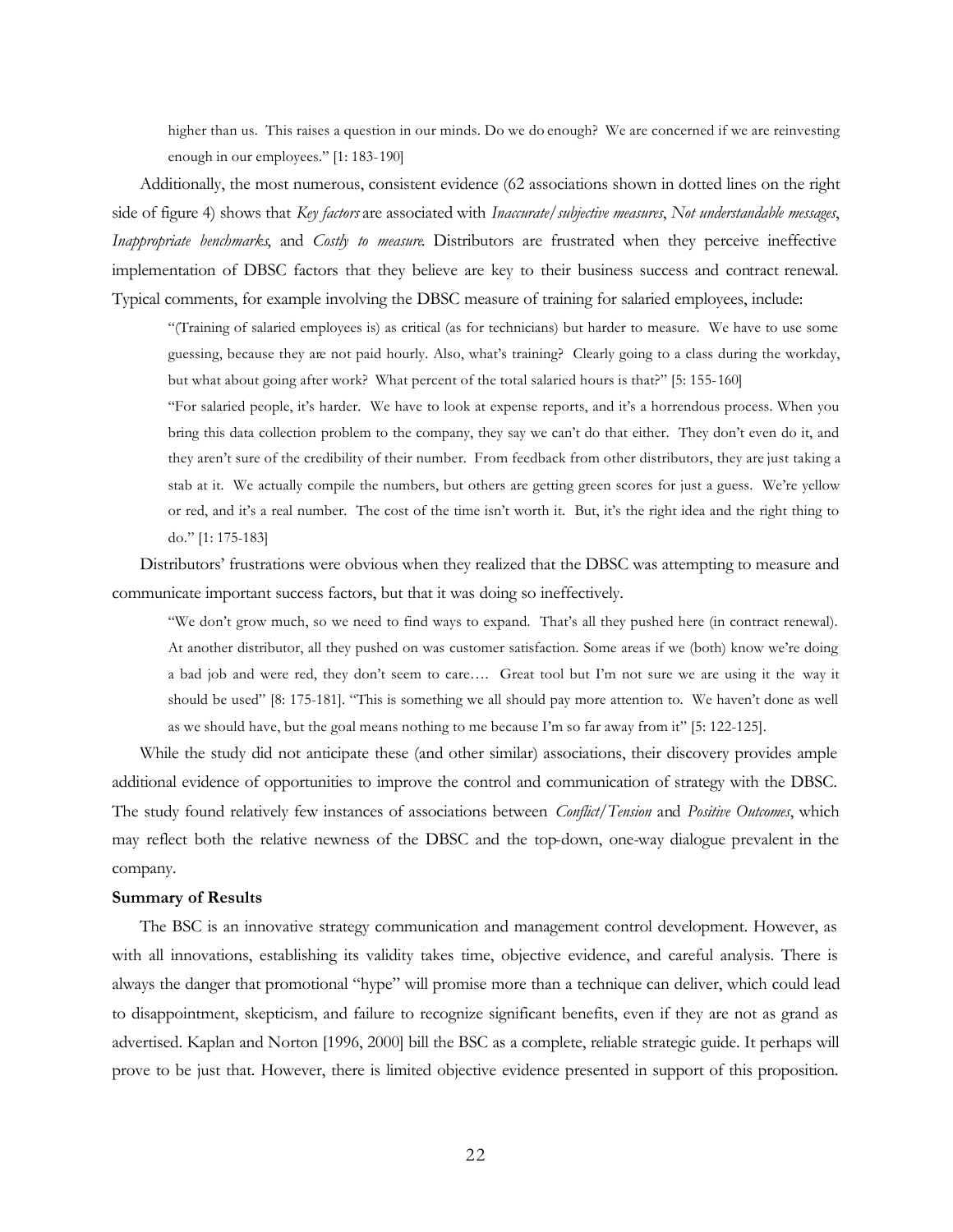higher than us. This raises a question in our minds. Do we do enough? We are concerned if we are reinvesting enough in our employees." [1: 183-190]

Additionally, the most numerous, consistent evidence (62 associations shown in dotted lines on the right side of figure 4) shows that *Key factors* are associated with *Inaccurate/subjective measures*, *Not understandable messages*, *Inappropriate benchmarks*, and *Costly to measure*. Distributors are frustrated when they perceive ineffective implementation of DBSC factors that they believe are key to their business success and contract renewal. Typical comments, for example involving the DBSC measure of training for salaried employees, include:

"(Training of salaried employees is) as critical (as for technicians) but harder to measure. We have to use some guessing, because they are not paid hourly. Also, what's training? Clearly going to a class during the workday, but what about going after work? What percent of the total salaried hours is that?" [5: 155-160]

"For salaried people, it's harder. We have to look at expense reports, and it's a horrendous process. When you bring this data collection problem to the company, they say we can't do that either. They don't even do it, and they aren't sure of the credibility of their number. From feedback from other distributors, they are just taking a stab at it. We actually compile the numbers, but others are getting green scores for just a guess. We're yellow or red, and it's a real number. The cost of the time isn't worth it. But, it's the right idea and the right thing to do." [1: 175-183]

Distributors' frustrations were obvious when they realized that the DBSC was attempting to measure and communicate important success factors, but that it was doing so ineffectively.

"We don't grow much, so we need to find ways to expand. That's all they pushed here (in contract renewal). At another distributor, all they pushed on was customer satisfaction. Some areas if we (both) know we're doing a bad job and were red, they don't seem to care…. Great tool but I'm not sure we are using it the way it should be used" [8: 175-181]. "This is something we all should pay more attention to. We haven't done as well as we should have, but the goal means nothing to me because I'm so far away from it" [5: 122-125].

While the study did not anticipate these (and other similar) associations, their discovery provides ample additional evidence of opportunities to improve the control and communication of strategy with the DBSC. The study found relatively few instances of associations between *Conflict/Tension* and *Positive Outcomes*, which may reflect both the relative newness of the DBSC and the top-down, one-way dialogue prevalent in the company.

#### **Summary of Results**

The BSC is an innovative strategy communication and management control development. However, as with all innovations, establishing its validity takes time, objective evidence, and careful analysis. There is always the danger that promotional "hype" will promise more than a technique can deliver, which could lead to disappointment, skepticism, and failure to recognize significant benefits, even if they are not as grand as advertised. Kaplan and Norton [1996, 2000] bill the BSC as a complete, reliable strategic guide. It perhaps will prove to be just that. However, there is limited objective evidence presented in support of this proposition.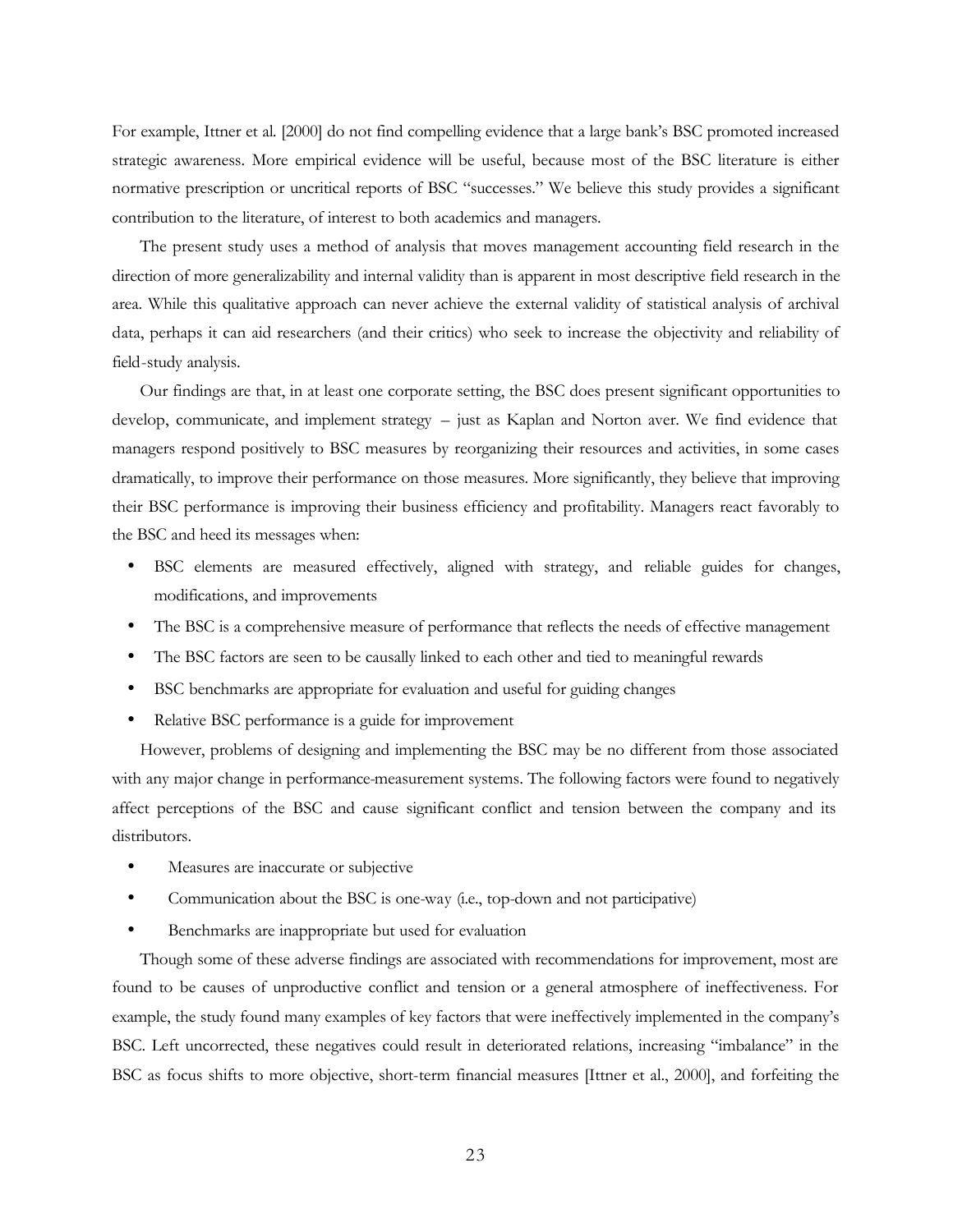For example, Ittner et al*.* [2000] do not find compelling evidence that a large bank's BSC promoted increased strategic awareness. More empirical evidence will be useful, because most of the BSC literature is either normative prescription or uncritical reports of BSC "successes." We believe this study provides a significant contribution to the literature, of interest to both academics and managers.

The present study uses a method of analysis that moves management accounting field research in the direction of more generalizability and internal validity than is apparent in most descriptive field research in the area. While this qualitative approach can never achieve the external validity of statistical analysis of archival data, perhaps it can aid researchers (and their critics) who seek to increase the objectivity and reliability of field-study analysis.

Our findings are that, in at least one corporate setting, the BSC does present significant opportunities to develop, communicate, and implement strategy – just as Kaplan and Norton aver. We find evidence that managers respond positively to BSC measures by reorganizing their resources and activities, in some cases dramatically, to improve their performance on those measures. More significantly, they believe that improving their BSC performance is improving their business efficiency and profitability. Managers react favorably to the BSC and heed its messages when:

- BSC elements are measured effectively, aligned with strategy, and reliable guides for changes, modifications, and improvements
- The BSC is a comprehensive measure of performance that reflects the needs of effective management
- The BSC factors are seen to be causally linked to each other and tied to meaningful rewards
- BSC benchmarks are appropriate for evaluation and useful for guiding changes
- Relative BSC performance is a guide for improvement

However, problems of designing and implementing the BSC may be no different from those associated with any major change in performance-measurement systems. The following factors were found to negatively affect perceptions of the BSC and cause significant conflict and tension between the company and its distributors.

- Measures are inaccurate or subjective
- Communication about the BSC is one-way (i.e., top-down and not participative)
- Benchmarks are inappropriate but used for evaluation

Though some of these adverse findings are associated with recommendations for improvement, most are found to be causes of unproductive conflict and tension or a general atmosphere of ineffectiveness. For example, the study found many examples of key factors that were ineffectively implemented in the company's BSC. Left uncorrected, these negatives could result in deteriorated relations, increasing "imbalance" in the BSC as focus shifts to more objective, short-term financial measures [Ittner et al., 2000], and forfeiting the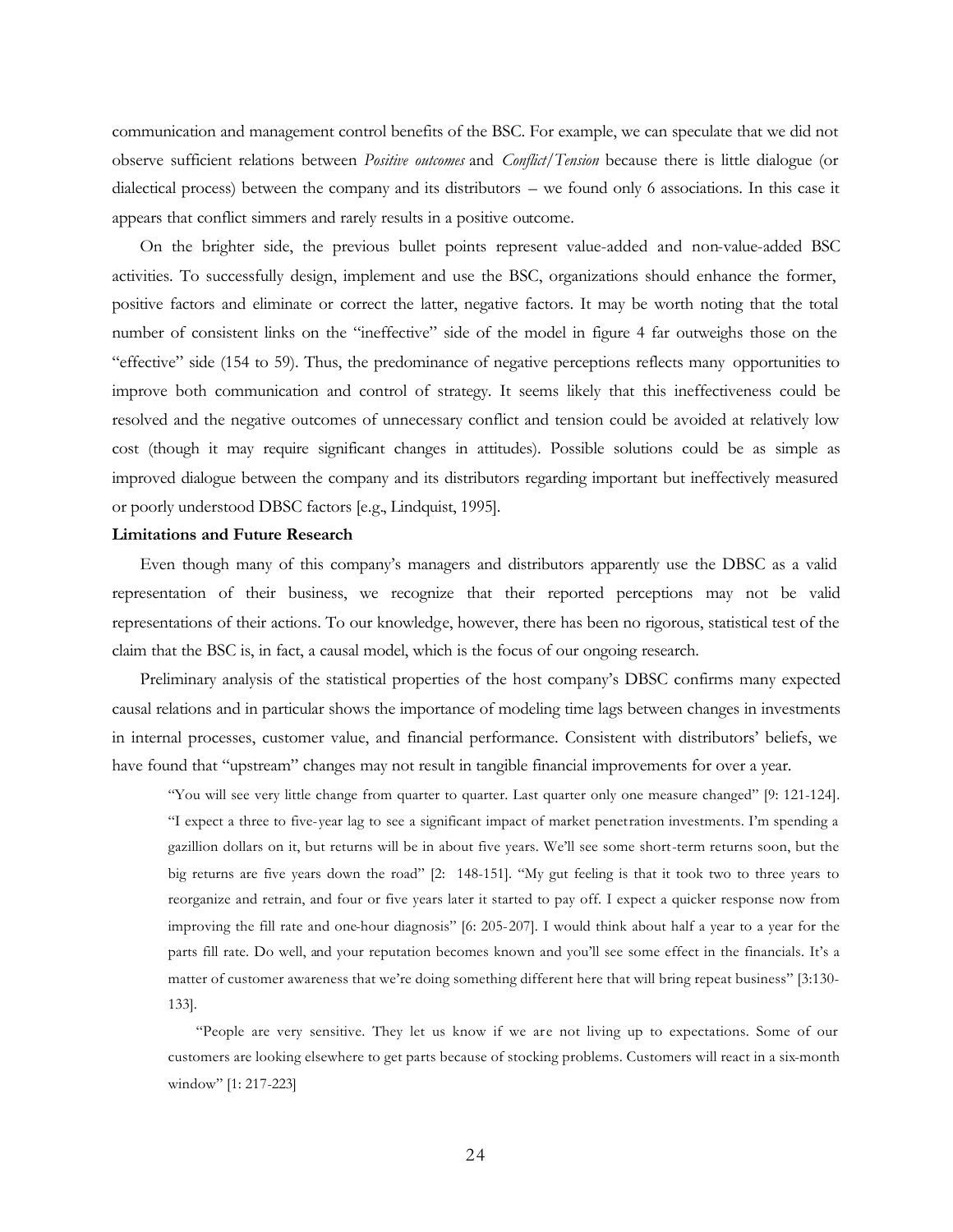communication and management control benefits of the BSC. For example, we can speculate that we did not observe sufficient relations between *Positive outcomes* and *Conflict/Tension* because there is little dialogue (or dialectical process) between the company and its distributors – we found only 6 associations. In this case it appears that conflict simmers and rarely results in a positive outcome.

On the brighter side, the previous bullet points represent value-added and non-value-added BSC activities. To successfully design, implement and use the BSC, organizations should enhance the former, positive factors and eliminate or correct the latter, negative factors. It may be worth noting that the total number of consistent links on the "ineffective" side of the model in figure 4 far outweighs those on the "effective" side (154 to 59). Thus, the predominance of negative perceptions reflects many opportunities to improve both communication and control of strategy. It seems likely that this ineffectiveness could be resolved and the negative outcomes of unnecessary conflict and tension could be avoided at relatively low cost (though it may require significant changes in attitudes). Possible solutions could be as simple as improved dialogue between the company and its distributors regarding important but ineffectively measured or poorly understood DBSC factors [e.g., Lindquist, 1995].

#### **Limitations and Future Research**

Even though many of this company's managers and distributors apparently use the DBSC as a valid representation of their business, we recognize that their reported perceptions may not be valid representations of their actions. To our knowledge, however, there has been no rigorous, statistical test of the claim that the BSC is, in fact, a causal model, which is the focus of our ongoing research.

Preliminary analysis of the statistical properties of the host company's DBSC confirms many expected causal relations and in particular shows the importance of modeling time lags between changes in investments in internal processes, customer value, and financial performance. Consistent with distributors' beliefs, we have found that "upstream" changes may not result in tangible financial improvements for over a year.

"You will see very little change from quarter to quarter. Last quarter only one measure changed" [9: 121-124]. "I expect a three to five-year lag to see a significant impact of market penetration investments. I'm spending a gazillion dollars on it, but returns will be in about five years. We'll see some short-term returns soon, but the big returns are five years down the road" [2: 148-151]. "My gut feeling is that it took two to three years to reorganize and retrain, and four or five years later it started to pay off. I expect a quicker response now from improving the fill rate and one-hour diagnosis" [6: 205-207]. I would think about half a year to a year for the parts fill rate. Do well, and your reputation becomes known and you'll see some effect in the financials. It's a matter of customer awareness that we're doing something different here that will bring repeat business" [3:130- 133].

"People are very sensitive. They let us know if we are not living up to expectations. Some of our customers are looking elsewhere to get parts because of stocking problems. Customers will react in a six-month window" [1: 217-223]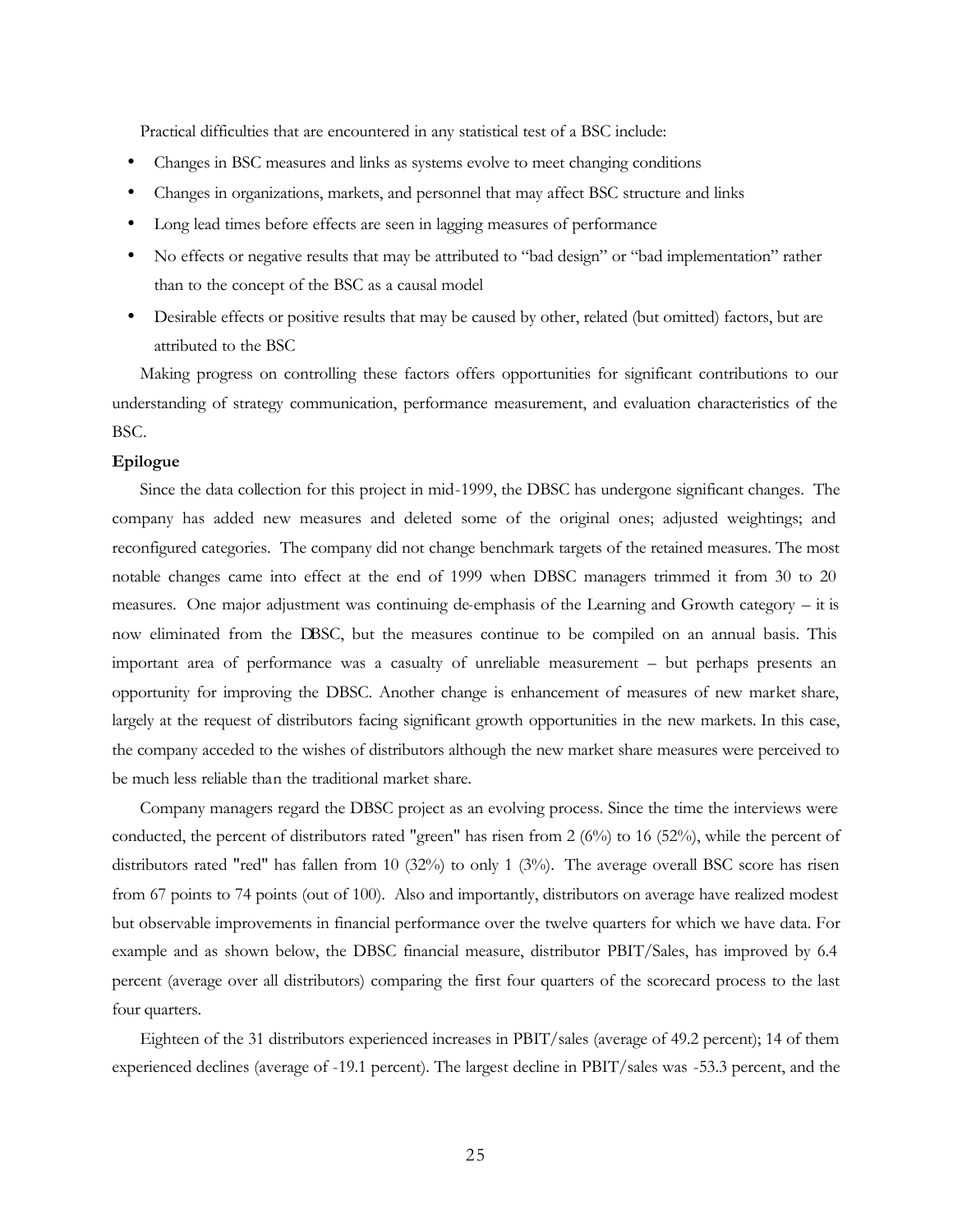Practical difficulties that are encountered in any statistical test of a BSC include:

- Changes in BSC measures and links as systems evolve to meet changing conditions
- Changes in organizations, markets, and personnel that may affect BSC structure and links
- Long lead times before effects are seen in lagging measures of performance
- No effects or negative results that may be attributed to "bad design" or "bad implementation" rather than to the concept of the BSC as a causal model
- Desirable effects or positive results that may be caused by other, related (but omitted) factors, but are attributed to the BSC

Making progress on controlling these factors offers opportunities for significant contributions to our understanding of strategy communication, performance measurement, and evaluation characteristics of the BSC.

#### **Epilogue**

Since the data collection for this project in mid-1999, the DBSC has undergone significant changes. The company has added new measures and deleted some of the original ones; adjusted weightings; and reconfigured categories. The company did not change benchmark targets of the retained measures. The most notable changes came into effect at the end of 1999 when DBSC managers trimmed it from 30 to 20 measures. One major adjustment was continuing de-emphasis of the Learning and Growth category – it is now eliminated from the DBSC, but the measures continue to be compiled on an annual basis. This important area of performance was a casualty of unreliable measurement – but perhaps presents an opportunity for improving the DBSC. Another change is enhancement of measures of new market share, largely at the request of distributors facing significant growth opportunities in the new markets. In this case, the company acceded to the wishes of distributors although the new market share measures were perceived to be much less reliable than the traditional market share.

Company managers regard the DBSC project as an evolving process. Since the time the interviews were conducted, the percent of distributors rated "green" has risen from 2 (6%) to 16 (52%), while the percent of distributors rated "red" has fallen from 10 (32%) to only 1 (3%). The average overall BSC score has risen from 67 points to 74 points (out of 100). Also and importantly, distributors on average have realized modest but observable improvements in financial performance over the twelve quarters for which we have data. For example and as shown below, the DBSC financial measure, distributor PBIT/Sales, has improved by 6.4 percent (average over all distributors) comparing the first four quarters of the scorecard process to the last four quarters.

Eighteen of the 31 distributors experienced increases in PBIT/sales (average of 49.2 percent); 14 of them experienced declines (average of -19.1 percent). The largest decline in PBIT/sales was -53.3 percent, and the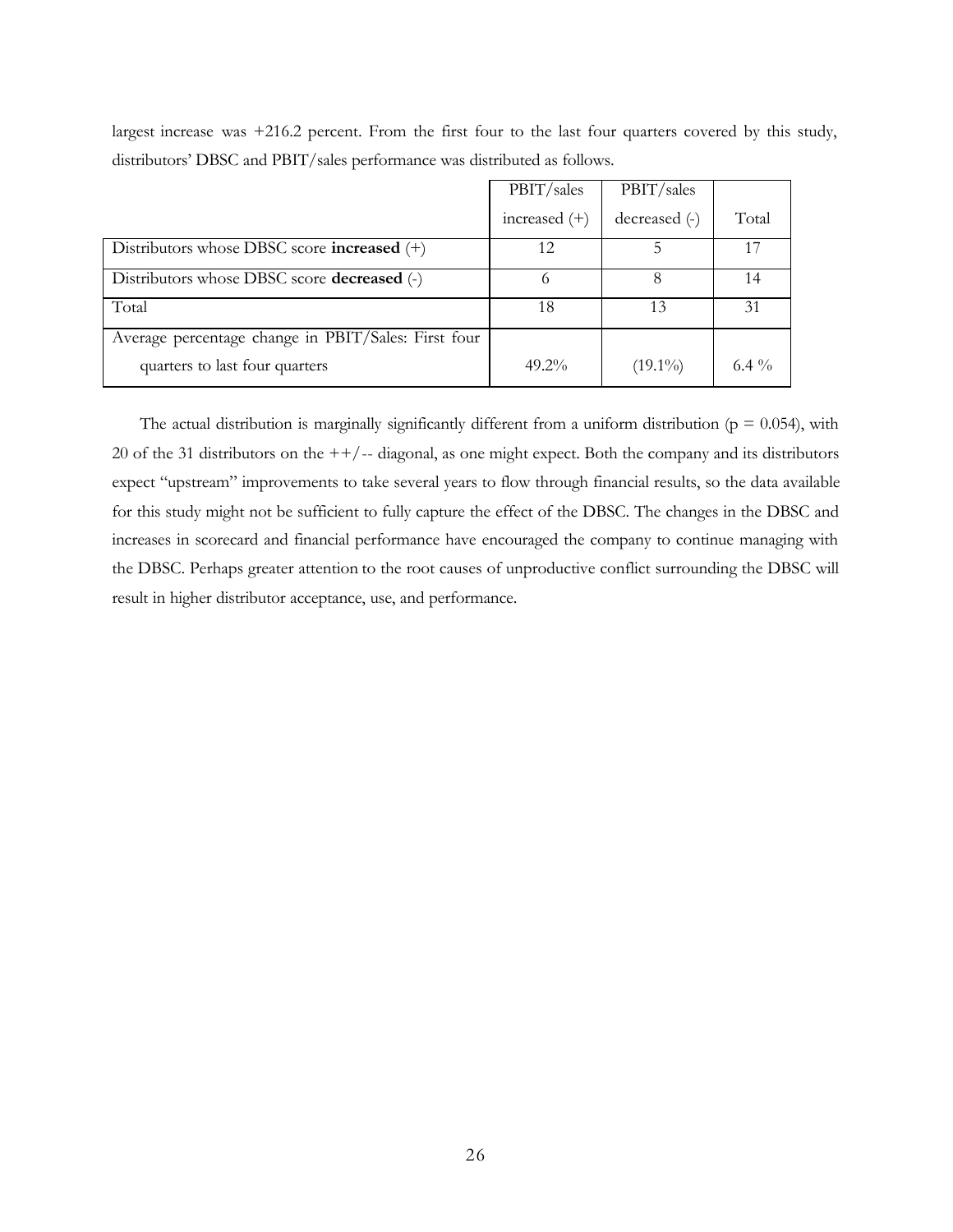|                                                     | PBIT/sales      | PBIT/sales    |         |
|-----------------------------------------------------|-----------------|---------------|---------|
|                                                     | increased $(+)$ | decreased (-) | Total   |
| Distributors whose DBSC score increased $(+)$       | 12              |               | 17      |
| Distributors whose DBSC score decreased (-)         | $^{(1)}$        | 8             | 14      |
| Total                                               | 18              | 13            | 31      |
| Average percentage change in PBIT/Sales: First four |                 |               |         |
| quarters to last four quarters                      | $49.2\%$        | $(19.1\%)$    | $6.4\%$ |

largest increase was +216.2 percent. From the first four to the last four quarters covered by this study, distributors' DBSC and PBIT/sales performance was distributed as follows.

The actual distribution is marginally significantly different from a uniform distribution ( $p = 0.054$ ), with 20 of the 31 distributors on the ++/-- diagonal, as one might expect. Both the company and its distributors expect "upstream" improvements to take several years to flow through financial results, so the data available for this study might not be sufficient to fully capture the effect of the DBSC. The changes in the DBSC and increases in scorecard and financial performance have encouraged the company to continue managing with the DBSC. Perhaps greater attention to the root causes of unproductive conflict surrounding the DBSC will result in higher distributor acceptance, use, and performance.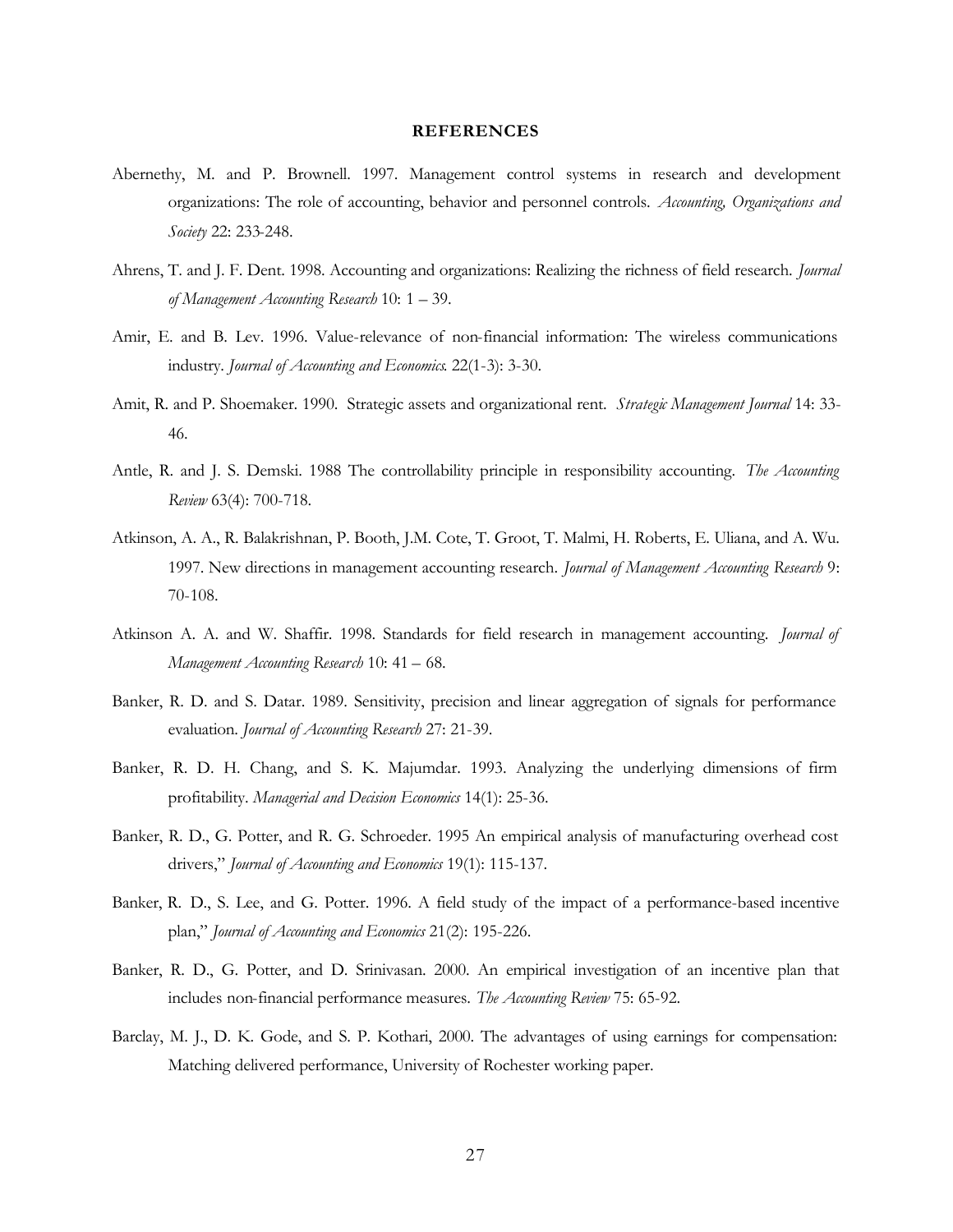#### **REFERENCES**

- Abernethy, M. and P. Brownell. 1997. Management control systems in research and development organizations: The role of accounting, behavior and personnel controls. *Accounting, Organizations and Society* 22: 233-248.
- Ahrens, T. and J. F. Dent. 1998. Accounting and organizations: Realizing the richness of field research. *Journal of Management Accounting Research* 10: 1 – 39.
- Amir, E. and B. Lev. 1996. Value-relevance of non-financial information: The wireless communications industry. *Journal of Accounting and Economics*. 22(1-3): 3-30.
- Amit, R. and P. Shoemaker. 1990. Strategic assets and organizational rent. *Strategic Management Journal* 14: 33- 46.
- Antle, R. and J. S. Demski. 1988 The controllability principle in responsibility accounting. *The Accounting Review* 63(4): 700-718.
- Atkinson, A. A., R. Balakrishnan, P. Booth, J.M. Cote, T. Groot, T. Malmi, H. Roberts, E. Uliana, and A. Wu. 1997. New directions in management accounting research. *Journal of Management Accounting Research* 9: 70-108.
- Atkinson A. A. and W. Shaffir. 1998. Standards for field research in management accounting. *Journal of Management Accounting Research* 10: 41 – 68.
- Banker, R. D. and S. Datar. 1989. Sensitivity, precision and linear aggregation of signals for performance evaluation. *Journal of Accounting Research* 27: 21-39.
- Banker, R. D. H. Chang, and S. K. Majumdar. 1993. Analyzing the underlying dimensions of firm profitability. *Managerial and Decision Economics* 14(1): 25-36.
- Banker, R. D., G. Potter, and R. G. Schroeder. 1995 An empirical analysis of manufacturing overhead cost drivers," *Journal of Accounting and Economics* 19(1): 115-137.
- Banker, R. D., S. Lee, and G. Potter. 1996. A field study of the impact of a performance-based incentive plan," *Journal of Accounting and Economics* 21(2): 195-226.
- Banker, R. D., G. Potter, and D. Srinivasan. 2000. An empirical investigation of an incentive plan that includes non-financial performance measures. *The Accounting Review* 75: 65-92.
- Barclay, M. J., D. K. Gode, and S. P. Kothari, 2000. The advantages of using earnings for compensation: Matching delivered performance, University of Rochester working paper.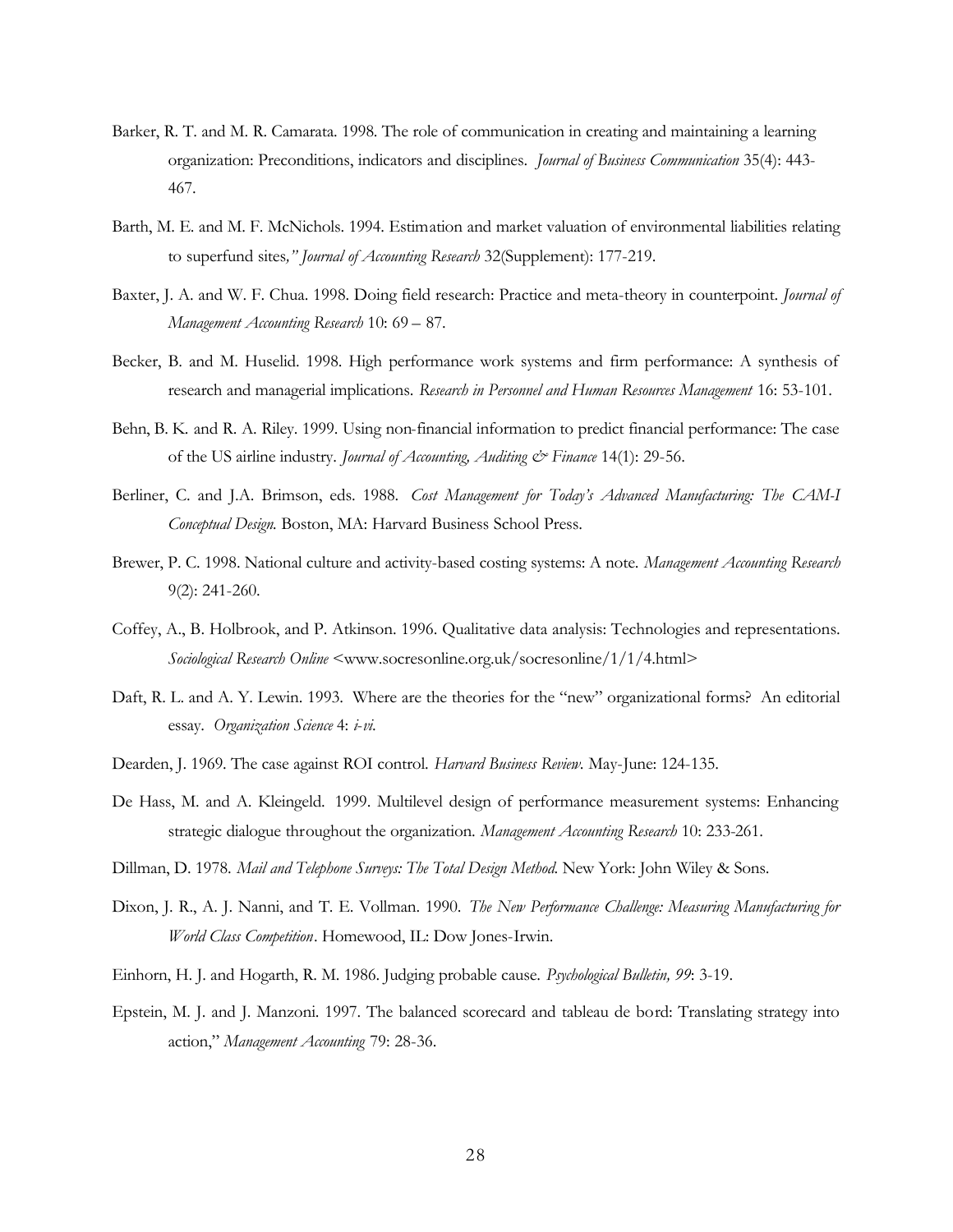- Barker, R. T. and M. R. Camarata. 1998. The role of communication in creating and maintaining a learning organization: Preconditions, indicators and disciplines. *Journal of Business Communication* 35(4): 443- 467.
- Barth, M. E. and M. F. McNichols. 1994. Estimation and market valuation of environmental liabilities relating to superfund sites*," Journal of Accounting Research* 32(Supplement): 177-219.
- Baxter, J. A. and W. F. Chua. 1998. Doing field research: Practice and meta-theory in counterpoint. *Journal of Management Accounting Research* 10: 69 – 87.
- Becker, B. and M. Huselid. 1998. High performance work systems and firm performance: A synthesis of research and managerial implications. *Research in Personnel and Human Resources Management* 16: 53-101.
- Behn, B. K. and R. A. Riley. 1999. Using non-financial information to predict financial performance: The case of the US airline industry. *Journal of Accounting, Auditing & Finance* 14(1): 29-56.
- Berliner, C. and J.A. Brimson, eds. 1988. *Cost Management for Today's Advanced Manufacturing: The CAM-I Conceptual Design.* Boston, MA: Harvard Business School Press.
- Brewer, P. C. 1998. National culture and activity-based costing systems: A note. *Management Accounting Research* 9(2): 241-260.
- Coffey, A., B. Holbrook, and P. Atkinson. 1996. Qualitative data analysis: Technologies and representations. *Sociological Research Online* <www.socresonline.org.uk/socresonline/1/1/4.html>
- Daft, R. L. and A. Y. Lewin. 1993. Where are the theories for the "new" organizational forms? An editorial essay. *Organization Science* 4: *i*-*vi*.
- Dearden, J. 1969. The case against ROI control. *Harvard Business Review*. May-June: 124-135.
- De Hass, M. and A. Kleingeld. 1999. Multilevel design of performance measurement systems: Enhancing strategic dialogue throughout the organization. *Management Accounting Research* 10: 233-261.
- Dillman, D. 1978. *Mail and Telephone Surveys: The Total Design Method*. New York: John Wiley & Sons.
- Dixon, J. R., A. J. Nanni, and T. E. Vollman. 1990. *The New Performance Challenge: Measuring Manufacturing for World Class Competition*. Homewood, IL: Dow Jones-Irwin.
- Einhorn, H. J. and Hogarth, R. M. 1986. Judging probable cause. *Psychological Bulletin, 99*: 3-19.
- Epstein, M. J. and J. Manzoni. 1997. The balanced scorecard and tableau de bord: Translating strategy into action," *Management Accounting* 79: 28-36.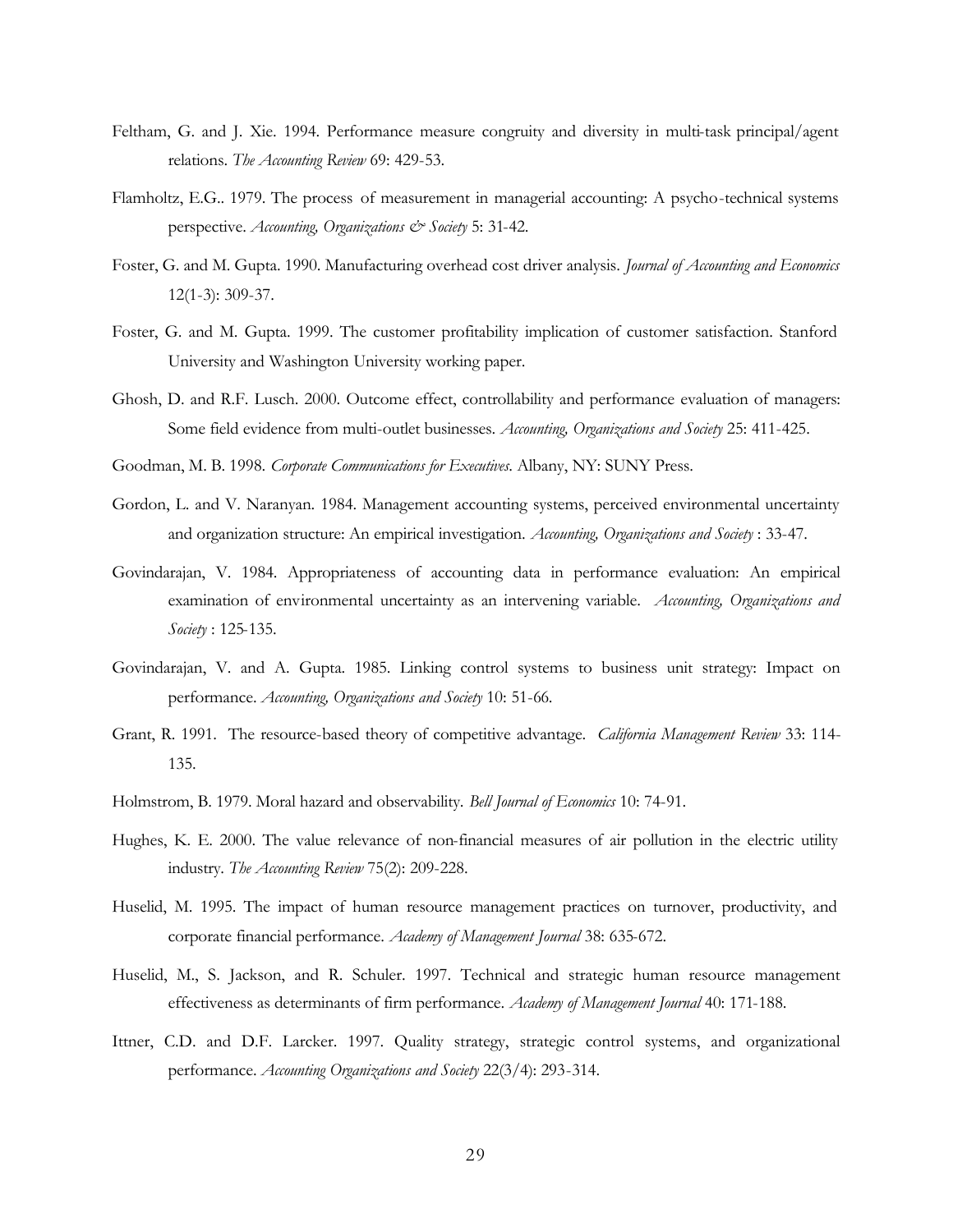- Feltham, G. and J. Xie. 1994. Performance measure congruity and diversity in multi-task principal/agent relations. *The Accounting Review* 69: 429-53.
- Flamholtz, E.G.. 1979. The process of measurement in managerial accounting: A psycho-technical systems perspective. *Accounting, Organizations & Society* 5: 31-42.
- Foster, G. and M. Gupta. 1990. Manufacturing overhead cost driver analysis. *Journal of Accounting and Economics* 12(1-3): 309-37.
- Foster, G. and M. Gupta. 1999. The customer profitability implication of customer satisfaction. Stanford University and Washington University working paper.
- Ghosh, D. and R.F. Lusch. 2000. Outcome effect, controllability and performance evaluation of managers: Some field evidence from multi-outlet businesses. *Accounting, Organizations and Society* 25: 411-425.
- Goodman, M. B. 1998. *Corporate Communications for Executives*. Albany, NY: SUNY Press.
- Gordon, L. and V. Naranyan. 1984. Management accounting systems, perceived environmental uncertainty and organization structure: An empirical investigation. *Accounting, Organizations and Society* : 33-47.
- Govindarajan, V. 1984. Appropriateness of accounting data in performance evaluation: An empirical examination of environmental uncertainty as an intervening variable. *Accounting, Organizations and Society* : 125-135.
- Govindarajan, V. and A. Gupta. 1985. Linking control systems to business unit strategy: Impact on performance. *Accounting, Organizations and Society* 10: 51-66.
- Grant, R. 1991. The resource-based theory of competitive advantage. *California Management Review* 33: 114- 135.
- Holmstrom, B. 1979. Moral hazard and observability. *Bell Journal of Economics* 10: 74-91.
- Hughes, K. E. 2000. The value relevance of non-financial measures of air pollution in the electric utility industry. *The Accounting Review* 75(2): 209-228.
- Huselid, M. 1995. The impact of human resource management practices on turnover, productivity, and corporate financial performance. *Academy of Management Journal* 38: 635-672.
- Huselid, M., S. Jackson, and R. Schuler. 1997. Technical and strategic human resource management effectiveness as determinants of firm performance. *Academy of Management Journal* 40: 171-188.
- Ittner, C.D. and D.F. Larcker. 1997. Quality strategy, strategic control systems, and organizational performance. *Accounting Organizations and Society* 22(3/4): 293-314.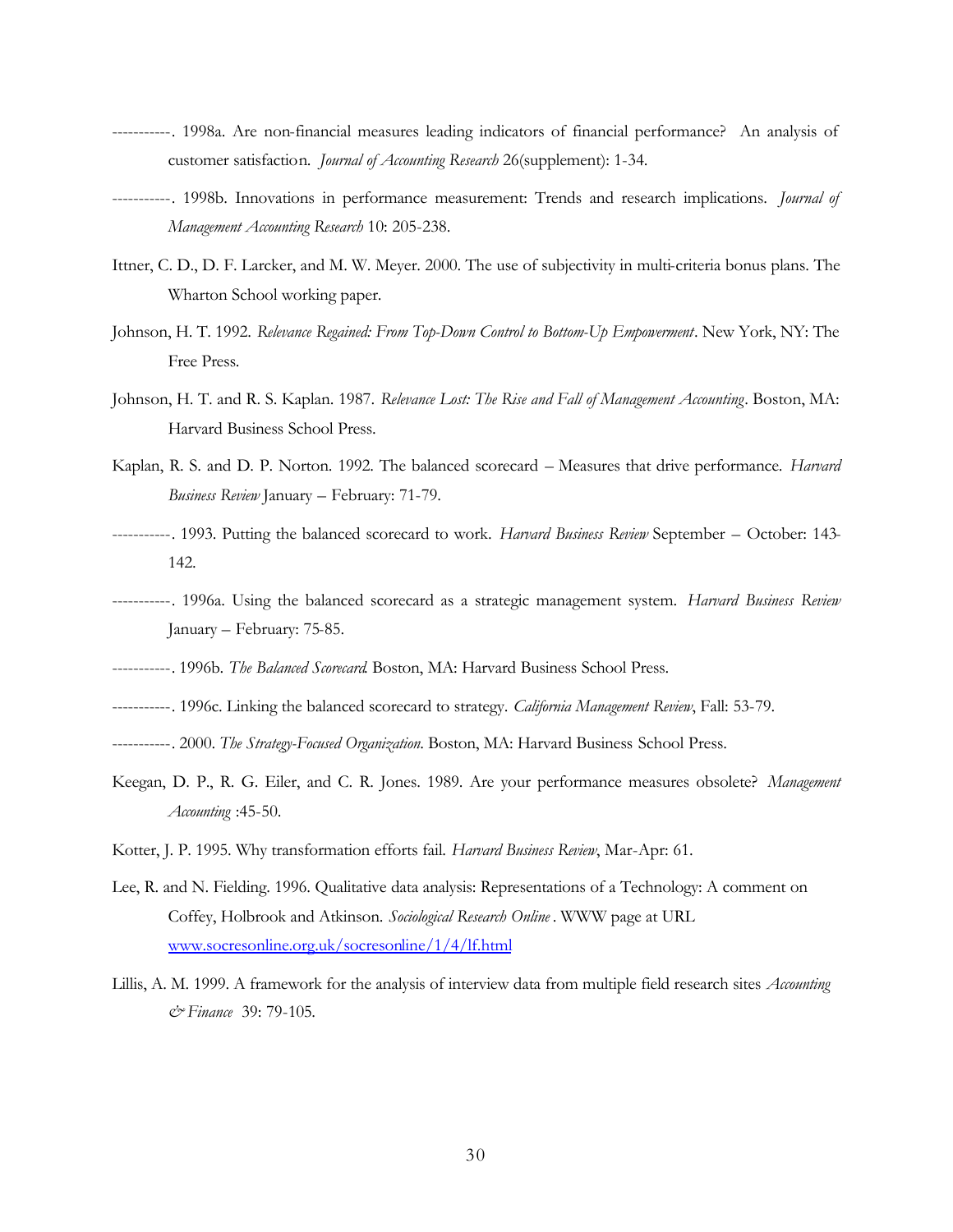- -----------. 1998a. Are non-financial measures leading indicators of financial performance? An analysis of customer satisfaction. *Journal of Accounting Research* 26(supplement): 1-34.
- -----------. 1998b. Innovations in performance measurement: Trends and research implications. *Journal of Management Accounting Research* 10: 205-238.
- Ittner, C. D., D. F. Larcker, and M. W. Meyer. 2000. The use of subjectivity in multi-criteria bonus plans. The Wharton School working paper.
- Johnson, H. T. 1992. *Relevance Regained: From Top-Down Control to Bottom-Up Empowerment*. New York, NY: The Free Press.
- Johnson, H. T. and R. S. Kaplan. 1987. *Relevance Lost: The Rise and Fall of Management Accounting*. Boston, MA: Harvard Business School Press.
- Kaplan, R. S. and D. P. Norton. 1992. The balanced scorecard Measures that drive performance. *Harvard Business Review* January – February: 71-79.
- -----------. 1993. Putting the balanced scorecard to work. *Harvard Business Review* September October: 143- 142.
- -----------. 1996a. Using the balanced scorecard as a strategic management system. *Harvard Business Review* January – February: 75-85.
- -----------. 1996b. *The Balanced Scorecard*. Boston, MA: Harvard Business School Press.
- -----------. 1996c. Linking the balanced scorecard to strategy. *California Management Review*, Fall: 53-79.
- -----------. 2000. *The Strategy-Focused Organization*. Boston, MA: Harvard Business School Press.
- Keegan, D. P., R. G. Eiler, and C. R. Jones. 1989. Are your performance measures obsolete? *Management Accounting* :45-50.
- Kotter, J. P. 1995. Why transformation efforts fail. *Harvard Business Review*, Mar-Apr: 61.
- Lee, R. and N. Fielding. 1996. Qualitative data analysis: Representations of a Technology: A comment on Coffey, Holbrook and Atkinson. *Sociological Research Online* . WWW page at URL www.socresonline.org.uk/socresonline/1/4/lf.html
- Lillis, A. M. 1999. A framework for the analysis of interview data from multiple field research sites *Accounting & Finance* 39: 79-105.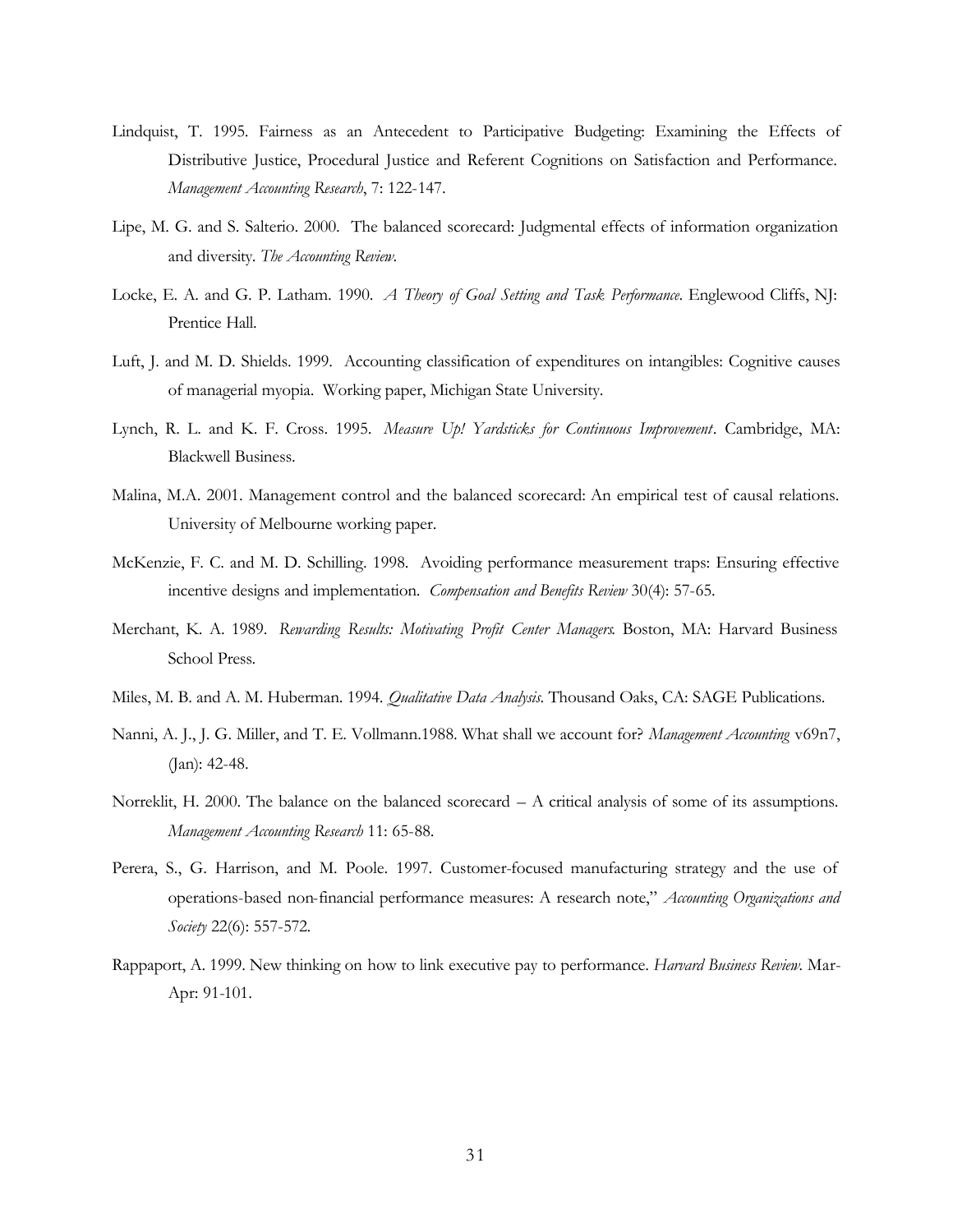- Lindquist, T. 1995. Fairness as an Antecedent to Participative Budgeting: Examining the Effects of Distributive Justice, Procedural Justice and Referent Cognitions on Satisfaction and Performance. *Management Accounting Research*, 7: 122-147.
- Lipe, M. G. and S. Salterio. 2000. The balanced scorecard: Judgmental effects of information organization and diversity. *The Accounting Review*.
- Locke, E. A. and G. P. Latham. 1990. *A Theory of Goal Setting and Task Performance*. Englewood Cliffs, NJ: Prentice Hall.
- Luft, J. and M. D. Shields. 1999. Accounting classification of expenditures on intangibles: Cognitive causes of managerial myopia. Working paper, Michigan State University.
- Lynch, R. L. and K. F. Cross. 1995. *Measure Up! Yardsticks for Continuous Improvement*. Cambridge, MA: Blackwell Business.
- Malina, M.A. 2001. Management control and the balanced scorecard: An empirical test of causal relations. University of Melbourne working paper.
- McKenzie, F. C. and M. D. Schilling. 1998. Avoiding performance measurement traps: Ensuring effective incentive designs and implementation. *Compensation and Benefits Review* 30(4): 57-65.
- Merchant, K. A. 1989. *Rewarding Results: Motivating Profit Center Managers*. Boston, MA: Harvard Business School Press.
- Miles, M. B. and A. M. Huberman. 1994. *Qualitative Data Analysis*. Thousand Oaks, CA: SAGE Publications.
- Nanni, A. J., J. G. Miller, and T. E. Vollmann.1988. What shall we account for? *Management Accounting* v69n7, (Jan): 42-48.
- Norreklit, H. 2000. The balance on the balanced scorecard A critical analysis of some of its assumptions. *Management Accounting Research* 11: 65-88.
- Perera, S., G. Harrison, and M. Poole. 1997. Customer-focused manufacturing strategy and the use of operations-based non-financial performance measures: A research note," *Accounting Organizations and Society* 22(6): 557-572.
- Rappaport, A. 1999. New thinking on how to link executive pay to performance. *Harvard Business Review.* Mar-Apr: 91-101.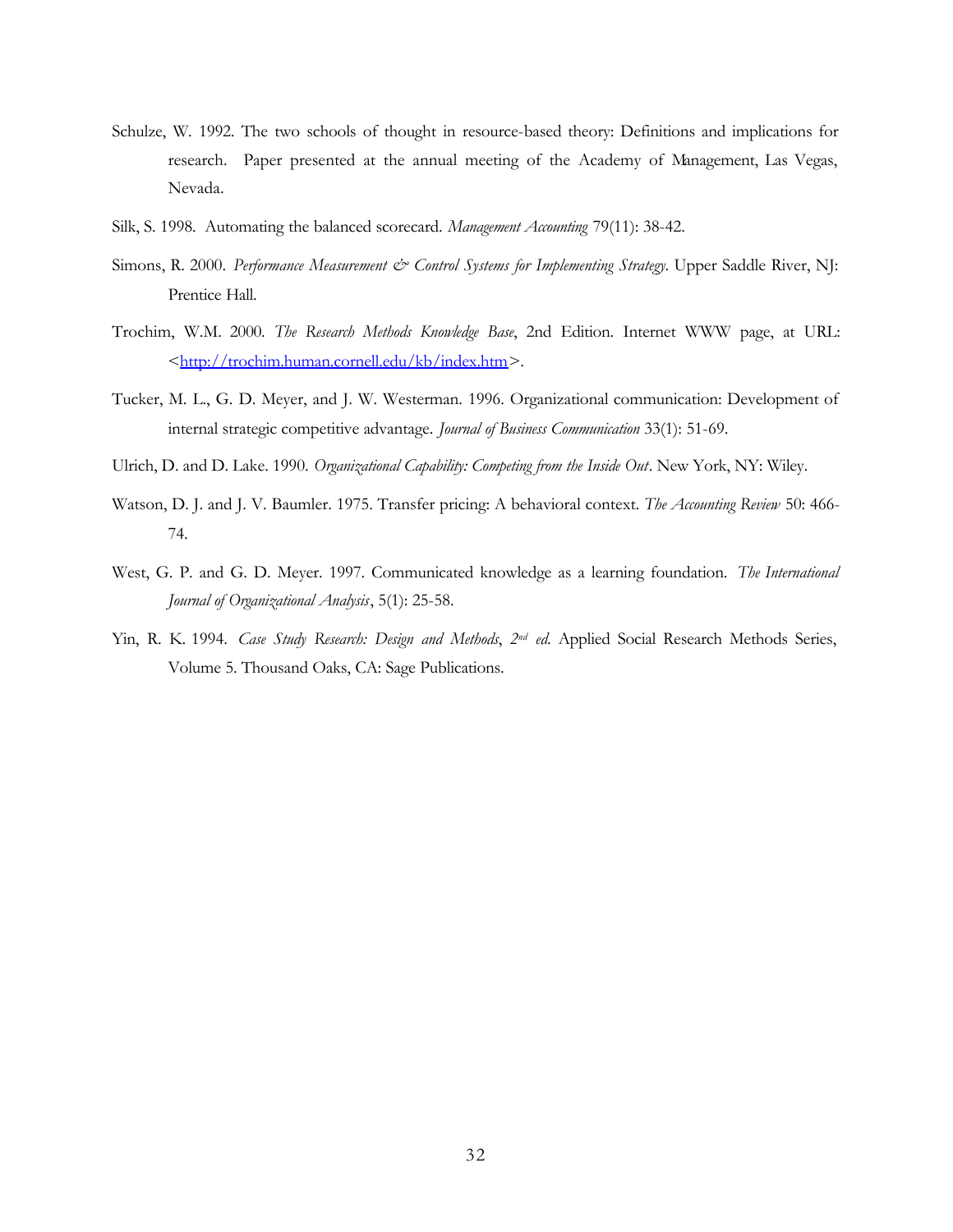- Schulze, W. 1992. The two schools of thought in resource-based theory: Definitions and implications for research. Paper presented at the annual meeting of the Academy of Management, Las Vegas, Nevada.
- Silk, S. 1998. Automating the balanced scorecard. *Management Accounting* 79(11): 38-42.
- Simons, R. 2000. *Performance Measurement & Control Systems for Implementing Strategy*. Upper Saddle River, NJ: Prentice Hall.
- Trochim, W.M. 2000. *The Research Methods Knowledge Base*, 2nd Edition. Internet WWW page, at URL: <http://trochim.human.cornell.edu/kb/index.htm>.
- Tucker, M. L., G. D. Meyer, and J. W. Westerman. 1996. Organizational communication: Development of internal strategic competitive advantage. *Journal of Business Communication* 33(1): 51-69.
- Ulrich, D. and D. Lake. 1990. *Organizational Capability: Competing from the Inside Out*. New York, NY: Wiley.
- Watson, D. J. and J. V. Baumler. 1975. Transfer pricing: A behavioral context. *The Accounting Review* 50: 466- 74.
- West, G. P. and G. D. Meyer. 1997. Communicated knowledge as a learning foundation. *The International Journal of Organizational Analysis*, 5(1): 25-58.
- Yin, R. K. 1994. *Case Study Research: Design and Methods*, 2<sup>nd</sup> ed. Applied Social Research Methods Series, Volume 5. Thousand Oaks, CA: Sage Publications.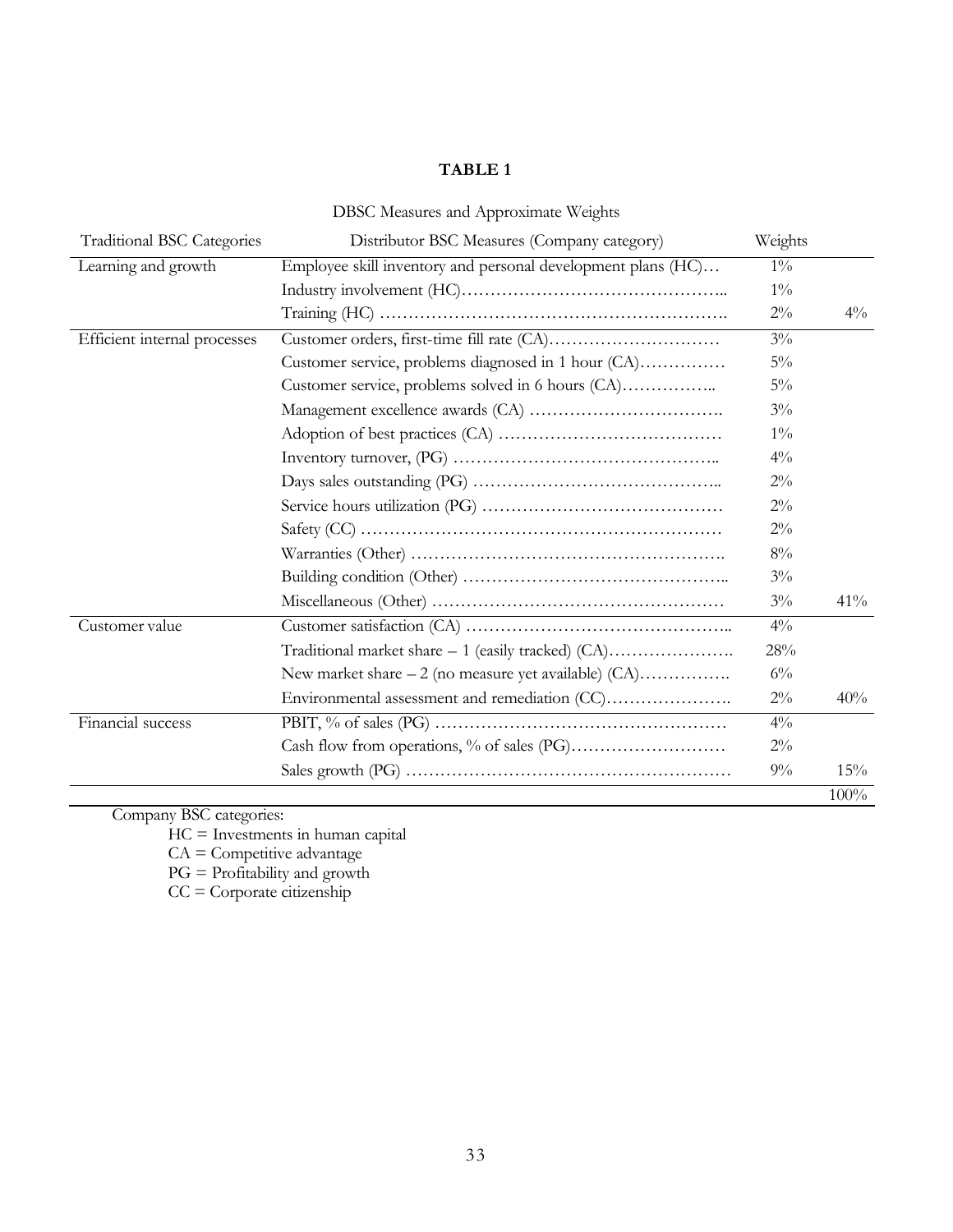### **TABLE 1**

DBSC Measures and Approximate Weights

| <b>Traditional BSC Categories</b> | Distributor BSC Measures (Company category)                  | Weights |        |
|-----------------------------------|--------------------------------------------------------------|---------|--------|
| Learning and growth               | Employee skill inventory and personal development plans (HC) | $1\%$   |        |
|                                   |                                                              | $1\%$   |        |
|                                   |                                                              | $2\%$   | $4\%$  |
| Efficient internal processes      |                                                              | $3\%$   |        |
|                                   | Customer service, problems diagnosed in 1 hour (CA)          | $5\%$   |        |
|                                   | Customer service, problems solved in 6 hours (CA)            | $5\%$   |        |
|                                   |                                                              | $3\%$   |        |
|                                   |                                                              | $1\%$   |        |
|                                   |                                                              | $4\%$   |        |
|                                   |                                                              | $2\%$   |        |
|                                   |                                                              | $2\%$   |        |
|                                   |                                                              | $2\%$   |        |
|                                   |                                                              | 8%      |        |
|                                   |                                                              | $3\%$   |        |
|                                   |                                                              | $3\%$   | $41\%$ |
| Customer value                    |                                                              | $4\%$   |        |
|                                   |                                                              | 28%     |        |
|                                   | New market share $-2$ (no measure yet available) $(CA)$      | $6\%$   |        |
|                                   | Environmental assessment and remediation (CC)                | $2\%$   | 40%    |
| Financial success                 |                                                              | $4\%$   |        |
|                                   |                                                              | $2\%$   |        |
|                                   |                                                              | $9\%$   | 15%    |
|                                   |                                                              |         | 100%   |

Company BSC categories:

HC = Investments in human capital

CA = Competitive advantage

PG = Profitability and growth

CC = Corporate citizenship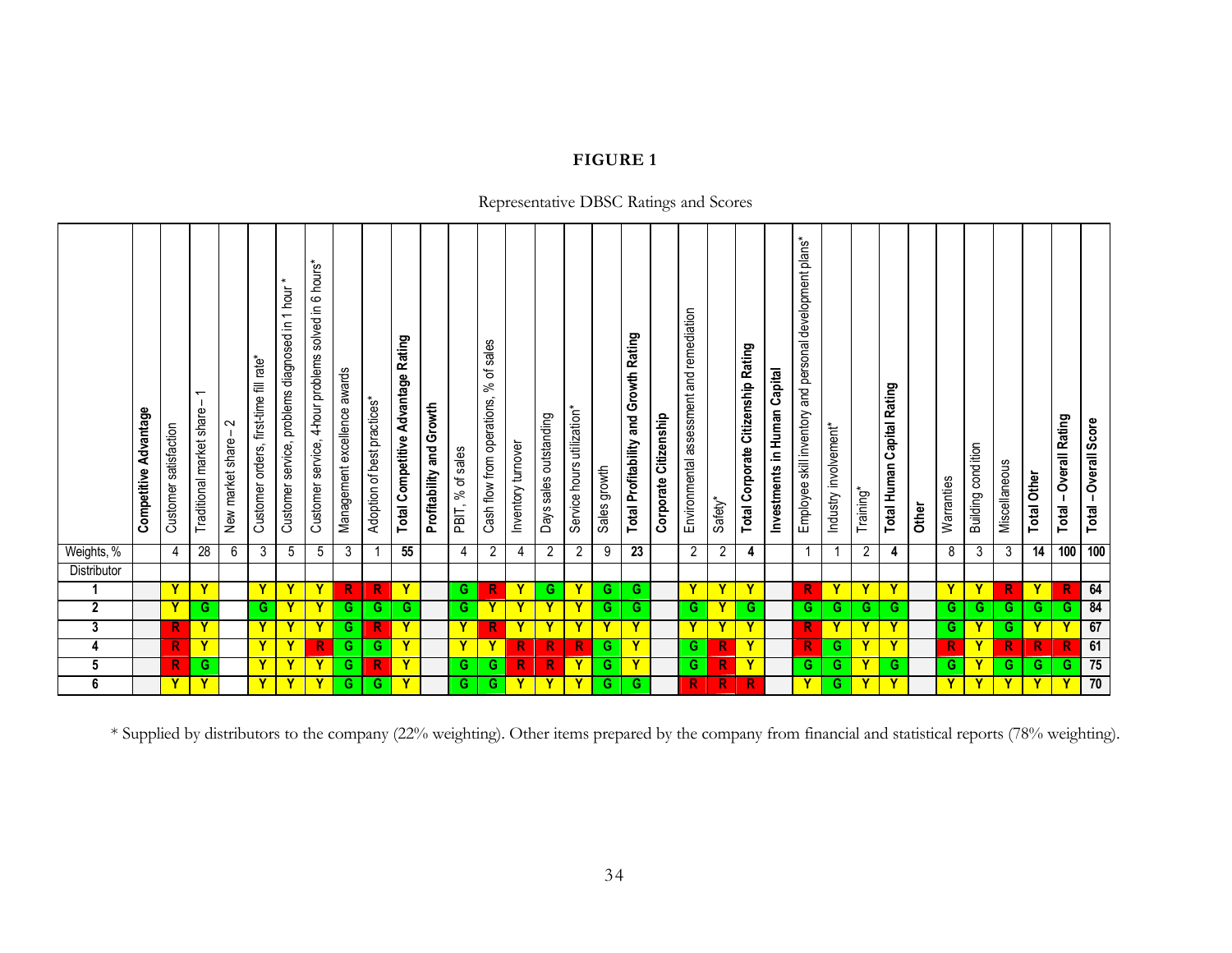# **FIGURE 1**

# Representative DBSC Ratings and Scores

|             | Competitive Advantage | Customer satisfaction | $\overline{\phantom{0}}$<br>Traditional market share | $\sim$<br>New market share | Customer orders, first-time fill rate* | Customer service, problems diagnosed in 1 hour | Customer service, 4-hour problems solved in 6 hours* | Management excellence awards | Adoption of best practices* | Total Competitive Advantage Rating | Profitability and Growth | PBIT, % of sales | of sales<br>$\%$<br>Cash flow from operations, | Inventory turnover | Days sales outstanding | Service hours utilization* | growth<br>Sales | and Growth Rating<br><b>Total Profitability</b> | Corporate Citizenship | and remediation<br>Environmental assessment | Safety*      | Total Corporate Citizenship Rating | Investments in Human Capital | Employee skill inventory and personal development plans* | Industry involvement* | Training* | Total Human Capital Rating | Other | Warranties | Building condition | Miscellaneous | Total Other | Total - Overall Rating | Total - Overall Score |
|-------------|-----------------------|-----------------------|------------------------------------------------------|----------------------------|----------------------------------------|------------------------------------------------|------------------------------------------------------|------------------------------|-----------------------------|------------------------------------|--------------------------|------------------|------------------------------------------------|--------------------|------------------------|----------------------------|-----------------|-------------------------------------------------|-----------------------|---------------------------------------------|--------------|------------------------------------|------------------------------|----------------------------------------------------------|-----------------------|-----------|----------------------------|-------|------------|--------------------|---------------|-------------|------------------------|-----------------------|
| Weights, %  |                       | 4                     | $\overline{28}$                                      | 6                          | 3                                      | 5                                              | 5                                                    | 3                            |                             | 55                                 |                          | 4                | 2                                              | 4                  | 2                      | 2                          | 9               | 23                                              |                       | $\overline{2}$                              | 2            | 4                                  |                              |                                                          |                       | 2         | 4                          |       | 8          | 3                  | 3             | 14          | 100                    | 100                   |
| Distributor |                       |                       |                                                      |                            |                                        |                                                |                                                      |                              |                             |                                    |                          |                  |                                                |                    |                        |                            |                 |                                                 |                       |                                             |              |                                    |                              |                                                          |                       |           |                            |       |            |                    |               |             |                        |                       |
|             |                       | Y                     | $\mathbf v$                                          |                            | ۷                                      | v                                              | ٧                                                    | R                            | R                           | Υ                                  |                          | G                | R                                              | Υ                  | G                      | Y                          | G               | G.                                              |                       | Y                                           | Y            | Y                                  |                              | $\mathsf{R}$                                             | Y                     | Y         | Y                          |       | Y          | Y                  | R             | Y           | R                      | 64                    |
| $\mathbf 2$ |                       | Y                     | G.                                                   |                            | G                                      |                                                |                                                      | G                            | G                           | G                                  |                          | G                |                                                |                    |                        |                            | G.              | G.                                              |                       | G.                                          | ۷            | G                                  |                              | G                                                        | G                     | G         | G                          |       | G          | G                  | G             | G           | G                      | 84                    |
| 3           |                       | R                     | Y                                                    |                            | v                                      |                                                |                                                      | G                            | R                           | Y                                  |                          |                  |                                                |                    |                        |                            |                 | Y                                               |                       | Y                                           | Ÿ            | ۷                                  |                              | R                                                        | Y                     | Y         | Y                          |       | G          | Y                  | G             |             | Y                      | 67                    |
| 4           |                       | R                     | Y                                                    |                            | Y                                      |                                                | R                                                    | G                            | G                           | Y                                  |                          | ٧                |                                                |                    | R                      | R                          | G               |                                                 |                       | G.                                          | $\mathsf{R}$ | Y                                  |                              | $\mathsf{R}$                                             | G                     | Y         | Y                          |       | R          | Y                  | R             | R           | $\mathsf{R}$           | 61                    |
| 5           |                       | R                     | G.                                                   |                            | v                                      |                                                |                                                      | G                            | R                           | Υ                                  |                          | G                | G                                              | R                  | R                      | Y                          | G.              |                                                 |                       | G                                           | $\mathsf{R}$ | Y                                  |                              | G                                                        | G                     | Y         | G                          |       | G          | Y                  | G             | G           | G                      | 75                    |
| 6           |                       | Y                     | v                                                    |                            | v                                      | v                                              |                                                      | G                            | G                           |                                    |                          | G                | G                                              |                    |                        |                            | G               | G.                                              |                       | R                                           | ${\sf R}$    | R                                  |                              | Y                                                        | G                     | Y         | Y                          |       | Y          | Y                  | Y             | Y           | Y                      | 70                    |

\* Supplied by distributors to the company (22% weighting). Other items prepared by the company from financial and statistical reports (78% weighting).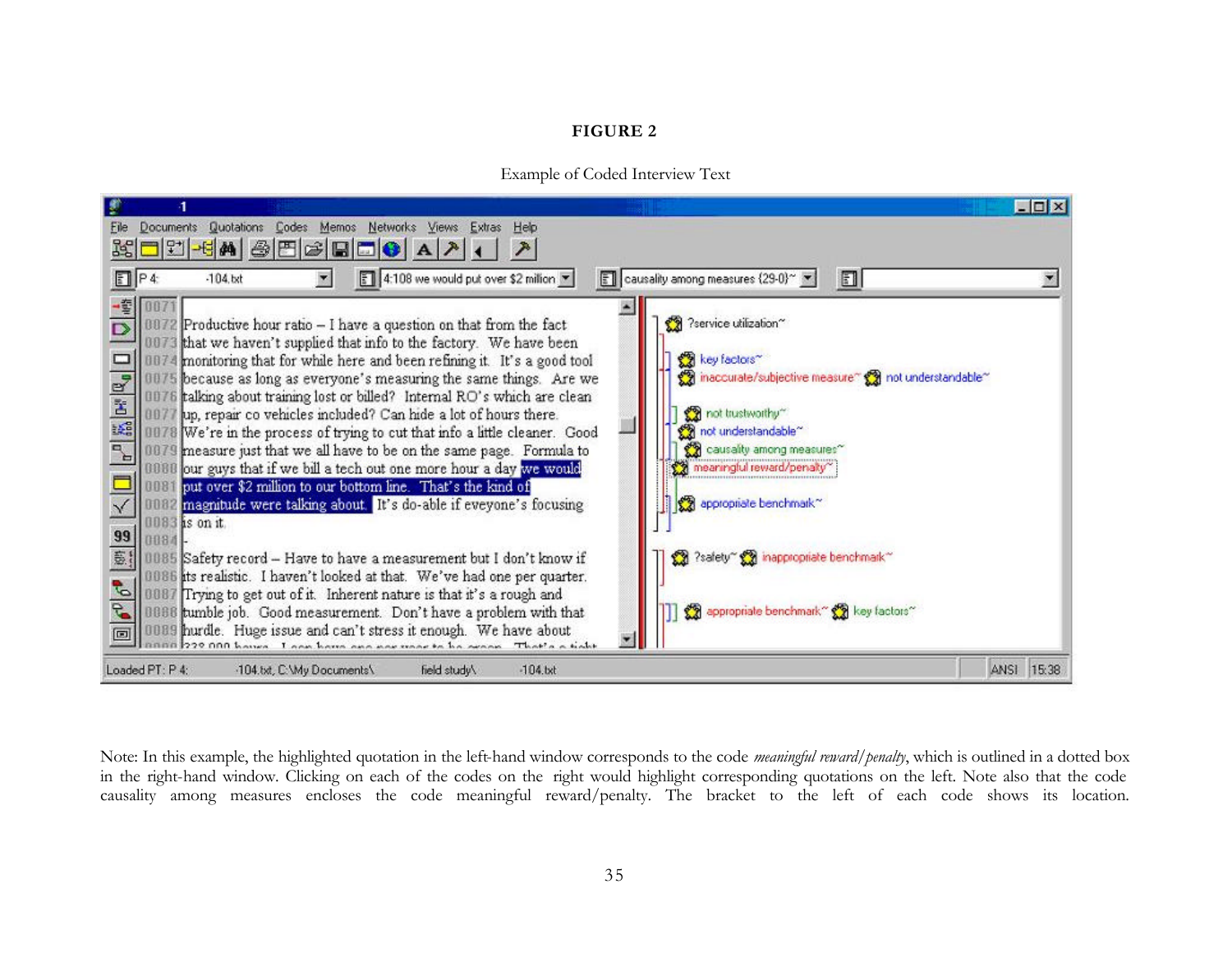### **FIGURE 2**

Example of Coded Interview Text



Note: In this example, the highlighted quotation in the left-hand window corresponds to the code *meaningful reward/penalty*, which is outlined in a dotted box in the right-hand window. Clicking on each of the codes on the right would highlight corresponding quotations on the left. Note also that the code causality among measures encloses the code meaningful reward/penalty. The bracket to the left of each code shows its location.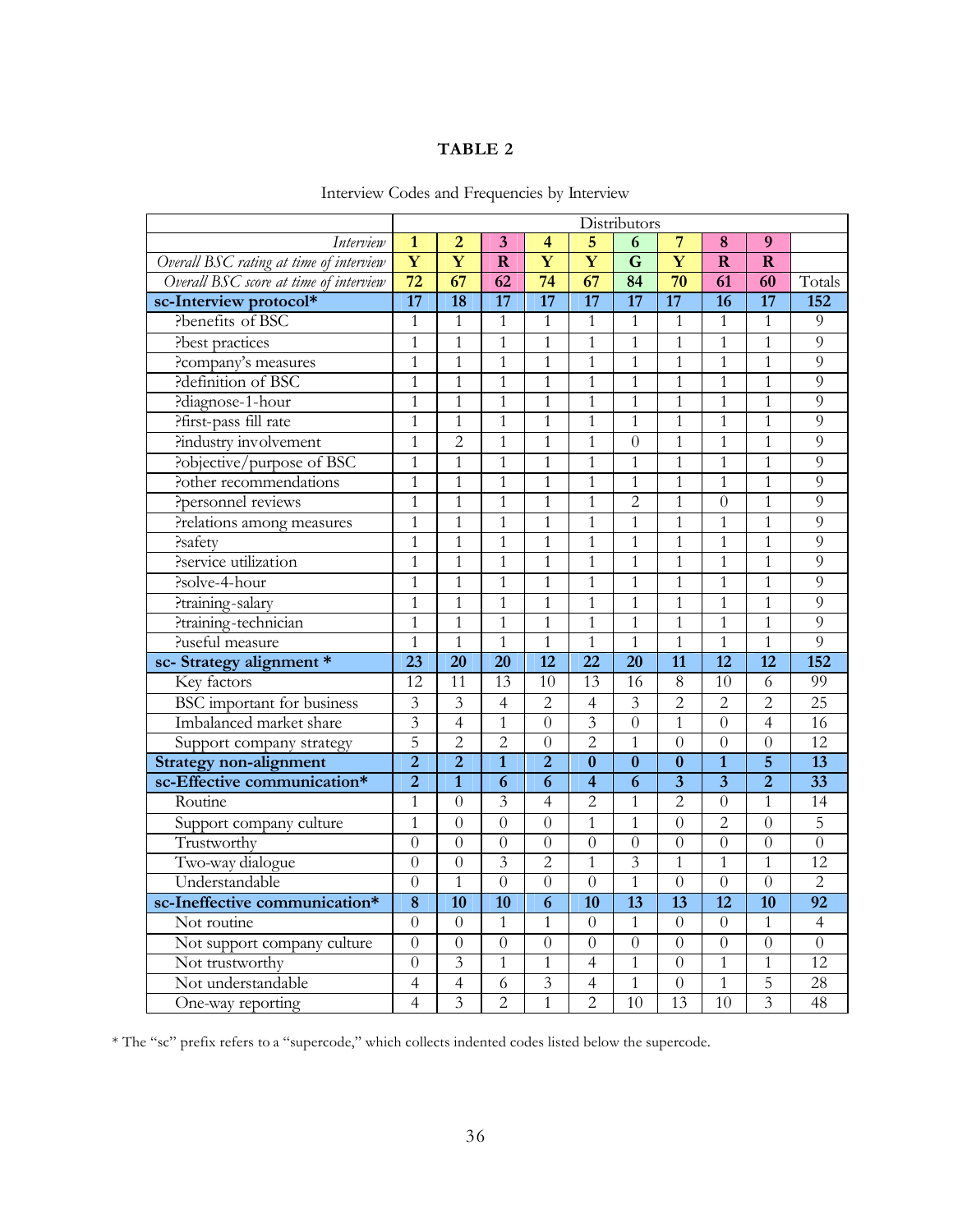### **TABLE 2**

|                                         |                         |                         |                         |                         |                         | Distributors            |                         |                         |                         |                  |
|-----------------------------------------|-------------------------|-------------------------|-------------------------|-------------------------|-------------------------|-------------------------|-------------------------|-------------------------|-------------------------|------------------|
| Interview                               | $\mathbf{1}$            | $\overline{2}$          | $\overline{\mathbf{3}}$ | $\overline{4}$          | 5                       | 6                       | $\overline{7}$          | 8                       | 9                       |                  |
| Overall BSC rating at time of interview | $\overline{\mathbf{Y}}$ | $\overline{\mathbf{Y}}$ | $\overline{\mathbf{R}}$ | $\overline{\mathbf{Y}}$ | $\overline{\mathbf{Y}}$ | $\overline{\mathsf{G}}$ | $\overline{\mathbf{Y}}$ | $\overline{\mathbf{R}}$ | $\overline{\mathbf{R}}$ |                  |
| Overall BSC score at time of interview  | $\overline{72}$         | 67                      | $\overline{62}$         | 74                      | 67                      | 84                      | 70                      | $\overline{61}$         | $\overline{60}$         | Totals           |
| sc-Interview protocol*                  | $\overline{17}$         | 18                      | $\overline{17}$         | $\overline{17}$         | $\overline{17}$         | $\overline{17}$         | 17                      | $\overline{16}$         | $\overline{17}$         | $\overline{152}$ |
| Phenefits of BSC                        | $\mathbf{1}$            | $\mathbf{1}$            | $\mathbf{1}$            | $\mathbf{1}$            | $\mathbf{1}$            | $\mathbf{1}$            | $\mathbf{1}$            | $\mathbf{1}$            | 1                       | $\overline{9}$   |
| Pbest practices                         | $\mathbf{1}$            | $\mathbf{1}$            | $\mathbf{1}$            | $\mathbf{1}$            | 1                       | $\mathbf{1}$            | $\mathbf{1}$            | $\mathbf{1}$            | 1                       | $\overline{9}$   |
| ?company's measures                     | $\mathbf{1}$            | $\mathbf{1}$            | $\mathbf{1}$            | $\mathbf{1}$            | $\mathbf{1}$            | $\mathbf{1}$            | $\mathbf{1}$            | $\mathbf{1}$            | $\mathbf{1}$            | $\overline{9}$   |
| ?definition of BSC                      | $\overline{1}$          | $\overline{1}$          | $\mathbf{1}$            | $\overline{1}$          | $\overline{1}$          | $\mathbf{1}$            | $\overline{1}$          | $\overline{1}$          | $\overline{1}$          | $\overline{9}$   |
| ?diagnose-1-hour                        | $\overline{1}$          | $\overline{1}$          | $\overline{1}$          | $\overline{1}$          | $\overline{1}$          | $\overline{1}$          | $\overline{1}$          | $\overline{1}$          | $\overline{1}$          | $\overline{9}$   |
| Pfirst-pass fill rate                   | $\mathbf{1}$            | $\mathbf{1}$            | $\mathbf{1}$            | $\mathbf{1}$            | $\mathbf{1}$            | $\mathbf{1}$            | $\mathbf{1}$            | $\mathbf{1}$            | $\mathbf{1}$            | $\overline{9}$   |
| Pindustry involvement                   | $\mathbf{1}$            | $\overline{2}$          | $\mathbf{1}$            | $\mathbf{1}$            | $\mathbf{1}$            | $\overline{0}$          | $\mathbf{1}$            | $\mathbf{1}$            | $\mathbf{1}$            | $\overline{9}$   |
| Pobjective/purpose of BSC               | $\mathbf{1}$            | $\mathbf 1$             | $\mathbf{1}$            | $\mathbf{1}$            | $\mathbf{1}$            | $\mathbf{1}$            | $\mathbf{1}$            | $\mathbf{1}$            | $\mathbf{1}$            | 9                |
| Pother recommendations                  | $\mathbf{1}$            | $\mathbf{1}$            | $\mathbf{1}$            | $\mathbf{1}$            | $\mathbf{1}$            | $\mathbf{1}$            | $\mathbf{1}$            | $\mathbf{1}$            | $\mathbf{1}$            | $\overline{9}$   |
| Personnel reviews                       | $\mathbf{1}$            | $\mathbf{1}$            | $\mathbf{1}$            | $\mathbf{1}$            | $\mathbf{1}$            | $\overline{2}$          | $\mathbf{1}$            | $\theta$                | 1                       | $\overline{9}$   |
| Prelations among measures               | $\mathbf{1}$            | $\mathbf{1}$            | $\mathbf{1}$            | $\mathbf{1}$            | $\mathbf{1}$            | 1                       | $\mathbf{1}$            | $\mathbf{1}$            | $\mathbf{1}$            | $\overline{9}$   |
| Psafety                                 | $\overline{1}$          | $\overline{1}$          | $\overline{1}$          | $\overline{1}$          | $\mathbf{1}$            | $\mathbf{1}$            | $\overline{1}$          | $\mathbf{1}$            | $\mathbf{1}$            | $\overline{9}$   |
| Pservice utilization                    | $\overline{1}$          | $\mathbf{1}$            | $\overline{1}$          | $\mathbf{1}$            | $\mathbf{1}$            | $\overline{1}$          | $\mathbf{1}$            | $\mathbf{1}$            | $\mathbf{1}$            | $\overline{9}$   |
| ?solve-4-hour                           | $\mathbf{1}$            | $\mathbf{1}$            | $\overline{1}$          | $\mathbf{1}$            | $\mathbf{1}$            | $\mathbf{1}$            | $\mathbf{1}$            | $\mathbf{1}$            | $\mathbf{1}$            | $\overline{9}$   |
| ?training-salary                        | $\mathbf{1}$            | $\mathbf{1}$            | $\overline{1}$          | $\mathbf{1}$            | $\mathbf{1}$            | $\overline{1}$          | $\mathbf{1}$            | $\overline{1}$          | $\mathbf{1}$            | $\overline{9}$   |
| Ptraining-technician                    | $\mathbf{1}$            | $\mathbf{1}$            | $\mathbf{1}$            | $\mathbf{1}$            | $\mathbf{1}$            | $\mathbf{1}$            | $\mathbf{1}$            | $\mathbf{1}$            | $\mathbf{1}$            | $\overline{9}$   |
| Puseful measure                         | $\mathbf{1}$            | $\mathbf{1}$            | $\mathbf{1}$            | $\mathbf{1}$            | $\mathbf{1}$            | $\overline{1}$          | $\mathbf{1}$            | $\mathbf{1}$            | 1                       | $\overline{9}$   |
| sc-Strategy alignment *                 | $\overline{23}$         | $\overline{20}$         | $\overline{20}$         | $\overline{12}$         | $\overline{22}$         | $\overline{20}$         | $\overline{11}$         | $\overline{12}$         | $\overline{12}$         | 152              |
| Key factors                             | $\overline{12}$         | 11                      | $\overline{13}$         | $\overline{10}$         | $\overline{13}$         | $\overline{16}$         | $\overline{8}$          | $\overline{10}$         | 6                       | 99               |
| BSC important for business              | 3                       | 3                       | $\overline{4}$          | $\overline{2}$          | $\overline{4}$          | 3                       | $\overline{2}$          | $\overline{2}$          | $\overline{2}$          | $\overline{25}$  |
| Imbalanced market share                 | $\overline{3}$          | $\overline{4}$          | $\mathbf{1}$            | $\overline{0}$          | $\overline{3}$          | $\overline{0}$          | $\overline{1}$          | $\overline{0}$          | $\overline{4}$          | $\overline{16}$  |
| Support company strategy                | $\overline{5}$          | $\overline{2}$          | $\overline{2}$          | $\overline{0}$          | $\overline{2}$          | $\mathbf{1}$            | $\overline{0}$          | $\overline{0}$          | $\overline{0}$          | $\overline{12}$  |
| <b>Strategy non-alignment</b>           | $\overline{2}$          | $\overline{2}$          | $\overline{1}$          | $\overline{2}$          | $\overline{\mathbf{0}}$ | $\overline{\mathbf{0}}$ | $\overline{\mathbf{0}}$ | $\overline{1}$          | $\overline{5}$          | $\overline{13}$  |
| sc-Effective communication*             | $\overline{2}$          | $\overline{1}$          | $\overline{6}$          | 6                       | $\overline{4}$          | $\overline{6}$          | $\overline{\mathbf{3}}$ | $\overline{\mathbf{3}}$ | $\overline{2}$          | $\overline{33}$  |
| Routine                                 | $\mathbf{1}$            | $\overline{0}$          | 3                       | $\overline{4}$          | $\overline{2}$          | 1                       | $\overline{2}$          | $\theta$                | $\mathbf{1}$            | 14               |
| Support company culture                 | $\mathbf{1}$            | $\overline{0}$          | $\overline{0}$          | $\overline{0}$          | $\mathbf{1}$            | $\mathbf{1}$            | $\overline{0}$          | $\overline{2}$          | $\overline{0}$          | $\overline{5}$   |
| Trustworthy                             | $\overline{0}$          | $\overline{0}$          | $\overline{0}$          | $\overline{0}$          | $\overline{0}$          | $\overline{0}$          | $\overline{0}$          | $\overline{0}$          | $\overline{0}$          | $\overline{0}$   |
| Two-way dialogue                        | $\overline{0}$          | $\overline{0}$          | $\overline{3}$          | $\overline{2}$          | $\overline{1}$          | $\overline{3}$          | $\overline{1}$          | $\overline{1}$          | $\mathbf{1}$            | 12               |
| Understandable                          | $\overline{0}$          | $\mathbf{1}$            | $\overline{0}$          | $\overline{0}$          | $\overline{0}$          | $\overline{1}$          | $\overline{0}$          | $\overline{0}$          | $\overline{0}$          | $\overline{2}$   |
| sc-Ineffective communication*           | $\overline{\bf 8}$      | $\overline{10}$         | $\overline{10}$         | $\overline{6}$          | $\overline{10}$         | $\overline{13}$         | $\overline{13}$         | $\overline{12}$         | $\overline{10}$         | $\overline{92}$  |
| Not routine                             | $\overline{0}$          | $\overline{0}$          | $\mathbf{1}$            | $\mathbf{1}$            | $\overline{0}$          | $\mathbf{1}$            | $\overline{0}$          | $\overline{0}$          | $\mathbf{1}$            | $\overline{4}$   |
| Not support company culture             | $\overline{0}$          | $\overline{0}$          | $\overline{0}$          | $\overline{0}$          | $\overline{0}$          | $\overline{0}$          | $\overline{0}$          | $\overline{0}$          | $\overline{0}$          | $\overline{0}$   |
| Not trustworthy                         | $\overline{0}$          | $\overline{3}$          | $\mathbf{1}$            | $\mathbf{1}$            | $\overline{4}$          | $\mathbf{1}$            | $\overline{0}$          | $\mathbf{1}$            | 1                       | 12               |
| Not understandable                      | $\overline{4}$          | $\overline{4}$          | $\overline{6}$          | $\overline{3}$          | $\overline{4}$          | $\mathbf{1}$            | $\overline{0}$          | $\mathbf{1}$            | $\overline{5}$          | 28               |
| One-way reporting                       | $\overline{4}$          | $\overline{3}$          | $\overline{2}$          | $\mathbf{1}$            | $\overline{2}$          | $\overline{10}$         | $\overline{13}$         | $\overline{10}$         | $\overline{3}$          | $\overline{48}$  |

Interview Codes and Frequencies by Interview

\* The "sc" prefix refers to a "supercode," which collects indented codes listed below the supercode.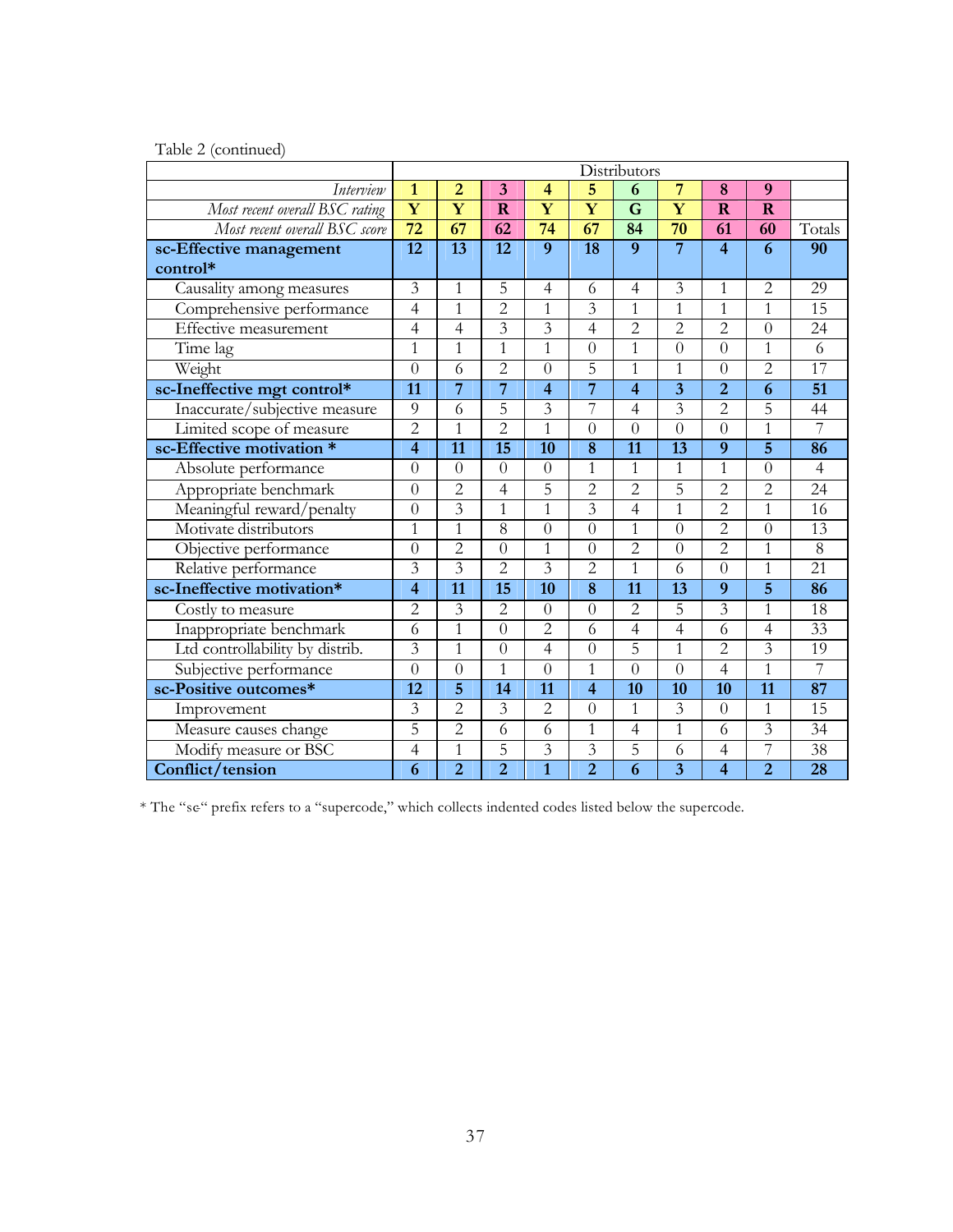|  | Table 2 (continued) |
|--|---------------------|
|--|---------------------|

|                                 |                         | Distributors                                                                                      |                         |                         |                         |                 |                         |                 |                         |                 |  |  |
|---------------------------------|-------------------------|---------------------------------------------------------------------------------------------------|-------------------------|-------------------------|-------------------------|-----------------|-------------------------|-----------------|-------------------------|-----------------|--|--|
| Interview                       | $\mathbf{1}$            | $\overline{\mathbf{3}}$<br>$\overline{7}$<br>$\overline{2}$<br>$\overline{4}$<br>5<br>6<br>8<br>9 |                         |                         |                         |                 |                         |                 |                         |                 |  |  |
| Most recent overall BSC rating  | $\overline{\mathbf{Y}}$ | $\overline{\mathbf{Y}}$                                                                           | $\mathbf R$             | $\overline{\mathbf{Y}}$ | $\overline{\mathbf{Y}}$ | $\overline{G}$  | $\overline{\mathbf{Y}}$ | $\mathbf R$     | $\overline{\mathbf{R}}$ |                 |  |  |
| Most recent overall BSC score   | 72                      | $\overline{67}$                                                                                   | 62                      | 74                      | $\overline{67}$         | 84              | 70                      | $\overline{61}$ | 60                      | Totals          |  |  |
| sc-Effective management         | $\overline{12}$         | $\overline{13}$                                                                                   | $\overline{12}$         | $\overline{9}$          | $\overline{18}$         | $\overline{9}$  | $\overline{7}$          | $\overline{4}$  | $\overline{6}$          | $\overline{90}$ |  |  |
| control*                        |                         |                                                                                                   |                         |                         |                         |                 |                         |                 |                         |                 |  |  |
| Causality among measures        | 3                       | $\mathbf{1}$                                                                                      | 5                       | $\overline{4}$          | 6                       | $\overline{4}$  | 3                       | $\mathbf{1}$    | $\overline{2}$          | 29              |  |  |
| Comprehensive performance       | $\overline{4}$          | $\mathbf{1}$                                                                                      | $\overline{2}$          | $\mathbf{1}$            | 3                       | $\mathbf{1}$    | $\mathbf{1}$            | $\mathbf{1}$    | $\mathbf{1}$            | $\overline{15}$ |  |  |
| <b>Effective</b> measurement    | $\overline{4}$          | $\overline{4}$                                                                                    | $\overline{\mathbf{3}}$ | $\overline{3}$          | $\overline{4}$          | $\overline{2}$  | $\overline{2}$          | $\overline{2}$  | $\overline{0}$          | 24              |  |  |
| Time lag                        | $\mathbf{1}$            | $\overline{1}$                                                                                    | $\mathbf{1}$            | $\overline{1}$          | $\overline{0}$          | $\mathbf{1}$    | $\overline{0}$          | $\overline{0}$  | $\overline{1}$          | $\overline{6}$  |  |  |
| Weight                          | $\theta$                | 6                                                                                                 | $\overline{2}$          | $\overline{0}$          | 5                       | $\mathbf{1}$    | $\mathbf{1}$            | $\overline{0}$  | $\overline{c}$          | 17              |  |  |
| sc-Ineffective mgt control*     | $\overline{11}$         | $\overline{7}$                                                                                    | $\overline{7}$          | $\overline{4}$          | $\overline{7}$          | $\overline{4}$  | $\overline{3}$          | $\overline{2}$  | $\overline{6}$          | $\overline{51}$ |  |  |
| Inaccurate/subjective measure   | $\overline{9}$          | 6                                                                                                 | 5                       | 3                       | 7                       | $\overline{4}$  | $\overline{3}$          | $\overline{2}$  | 5                       | 44              |  |  |
| Limited scope of measure        | $\overline{2}$          | $\mathbf{1}$                                                                                      | $\overline{2}$          | $\mathbf{1}$            | $\overline{0}$          | $\overline{0}$  | $\overline{0}$          | $\overline{0}$  | $\mathbf{1}$            | 7               |  |  |
| sc-Effective motivation *       | $\overline{4}$          | $\overline{11}$                                                                                   | $\overline{15}$         | $\overline{10}$         | $\overline{8}$          | $\overline{11}$ | $\overline{13}$         | $\overline{9}$  | $\overline{5}$          | 86              |  |  |
| Absolute performance            | $\overline{0}$          | $\overline{0}$                                                                                    | $\Omega$                | $\overline{0}$          | $\mathbf{1}$            | $\mathbf{1}$    | $\mathbf{1}$            | $\mathbf{1}$    | $\overline{0}$          | $\overline{4}$  |  |  |
| Appropriate benchmark           | $\overline{0}$          | $\overline{2}$                                                                                    | $\overline{4}$          | 5                       | $\overline{2}$          | $\overline{2}$  | 5                       | $\overline{2}$  | $\overline{2}$          | $\overline{24}$ |  |  |
| Meaningful reward/penalty       | $\theta$                | $\overline{3}$                                                                                    | $\mathbf{1}$            | $\mathbf{1}$            | $\overline{3}$          | $\overline{4}$  | $\mathbf{1}$            | $\overline{2}$  | $\mathbf{1}$            | $\overline{16}$ |  |  |
| Motivate distributors           | $\mathbf{1}$            | $\overline{1}$                                                                                    | 8                       | $\overline{0}$          | $\overline{0}$          | $\mathbf{1}$    | $\overline{0}$          | $\overline{2}$  | $\overline{0}$          | 13              |  |  |
| Objective performance           | $\overline{0}$          | $\overline{2}$                                                                                    | $\overline{0}$          | $\overline{1}$          | $\overline{0}$          | $\overline{2}$  | $\overline{0}$          | $\overline{2}$  | $\overline{1}$          | $\overline{8}$  |  |  |
| Relative performance            | $\overline{3}$          | $\overline{3}$                                                                                    | $\overline{2}$          | $\overline{3}$          | $\overline{2}$          | $\mathbf{1}$    | 6                       | $\overline{0}$  | $\mathbf{1}$            | $\overline{21}$ |  |  |
| sc-Ineffective motivation*      | $\overline{4}$          | $\overline{11}$                                                                                   | 15                      | $\overline{10}$         | $\overline{8}$          | $\overline{11}$ | $\overline{13}$         | $\overline{9}$  | 5                       | 86              |  |  |
| Costly to measure               | $\overline{c}$          | $\overline{3}$                                                                                    | $\overline{2}$          | $\overline{0}$          | $\overline{0}$          | $\overline{c}$  | 5                       | $\overline{3}$  | $\mathbf{1}$            | 18              |  |  |
| Inappropriate benchmark         | 6                       | $\mathbf{1}$                                                                                      | $\overline{0}$          | $\overline{2}$          | 6                       | $\overline{4}$  | $\overline{4}$          | 6               | $\overline{4}$          | $\overline{33}$ |  |  |
| Ltd controllability by distrib. | $\overline{3}$          | $\mathbf{1}$                                                                                      | $\overline{0}$          | $\overline{4}$          | $\overline{0}$          | 5               | $\mathbf{1}$            | $\overline{2}$  | $\overline{3}$          | $\overline{19}$ |  |  |
| Subjective performance          | $\theta$                | $\theta$                                                                                          | 1                       | $\overline{0}$          | $\mathbf{1}$            | $\theta$        | $\overline{0}$          | $\overline{4}$  | $\mathbf{1}$            | 7               |  |  |
| sc-Positive outcomes*           | $\overline{12}$         | $\overline{5}$                                                                                    | $\overline{14}$         | $\overline{11}$         | $\overline{4}$          | $\overline{10}$ | $\overline{10}$         | $\overline{10}$ | $\overline{11}$         | 87              |  |  |
| Improvement                     | 3                       | $\overline{2}$                                                                                    | $\overline{3}$          | $\overline{2}$          | $\overline{0}$          | $\mathbf{1}$    | 3                       | $\overline{0}$  | $\mathbf{1}$            | 15              |  |  |
| Measure causes change           | 5                       | $\overline{2}$                                                                                    | 6                       | 6                       | $\mathbf{1}$            | $\overline{4}$  | $\overline{1}$          | 6               | $\overline{3}$          | $\overline{34}$ |  |  |
| Modify measure or BSC           | $\overline{4}$          | $\mathbf{1}$                                                                                      | 5                       | $\overline{\mathbf{3}}$ | $\overline{3}$          | 5               | 6                       | $\overline{4}$  | 7                       | 38              |  |  |
| Conflict/tension                | 6                       | $\overline{2}$                                                                                    | $\overline{2}$          | $\overline{1}$          | $\overline{2}$          | $\overline{6}$  | $\overline{\mathbf{3}}$ | $\overline{4}$  | $\overline{2}$          | 28              |  |  |

\* The "sc-" prefix refers to a "supercode," which collects indented codes listed below the supercode.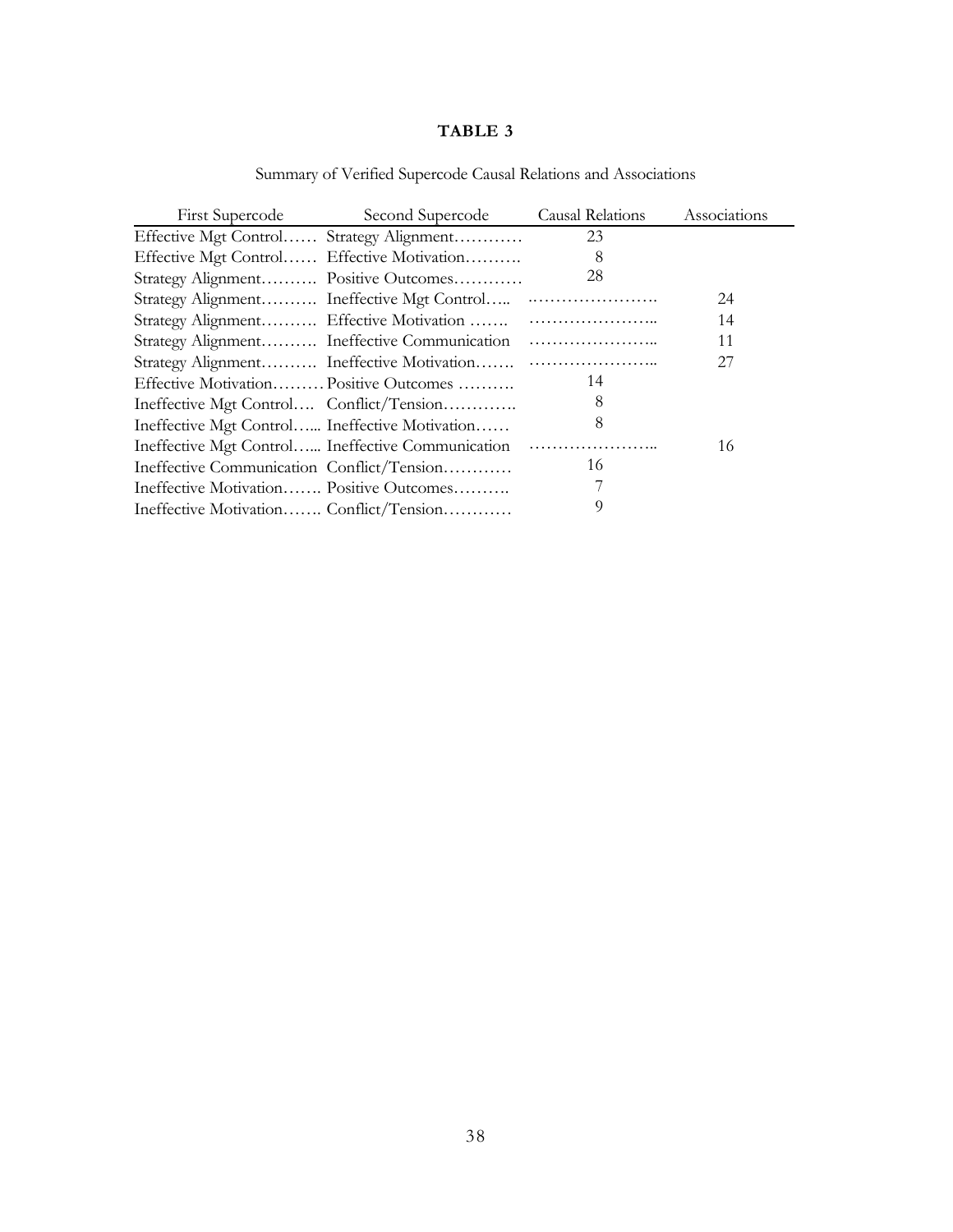# **TABLE 3**

|                                                | First Supercode Second Supercode Causal Relations |    | Associations |
|------------------------------------------------|---------------------------------------------------|----|--------------|
|                                                | Effective Mgt Control Strategy Alignment          | 23 |              |
|                                                | Effective Mgt Control Effective Motivation        | 8  |              |
|                                                | Strategy Alignment Positive Outcomes              | 28 |              |
|                                                | Strategy Alignment Ineffective Mgt Control        |    | 24           |
|                                                |                                                   |    | 14           |
|                                                | Strategy Alignment Ineffective Communication      |    | 11           |
|                                                |                                                   |    | 27           |
|                                                | Effective Motivation Positive Outcomes            | 14 |              |
|                                                | Ineffective Mgt Control Conflict/Tension          | 8  |              |
| Ineffective Mgt Control Ineffective Motivation |                                                   | 8  |              |
|                                                | Ineffective Mgt Control Ineffective Communication |    | 16           |
|                                                | Ineffective Communication Conflict/Tension        | 16 |              |
| Ineffective Motivation Positive Outcomes       |                                                   |    |              |
| Ineffective Motivation Conflict/Tension        |                                                   | 9  |              |

# Summary of Verified Supercode Causal Relations and Associations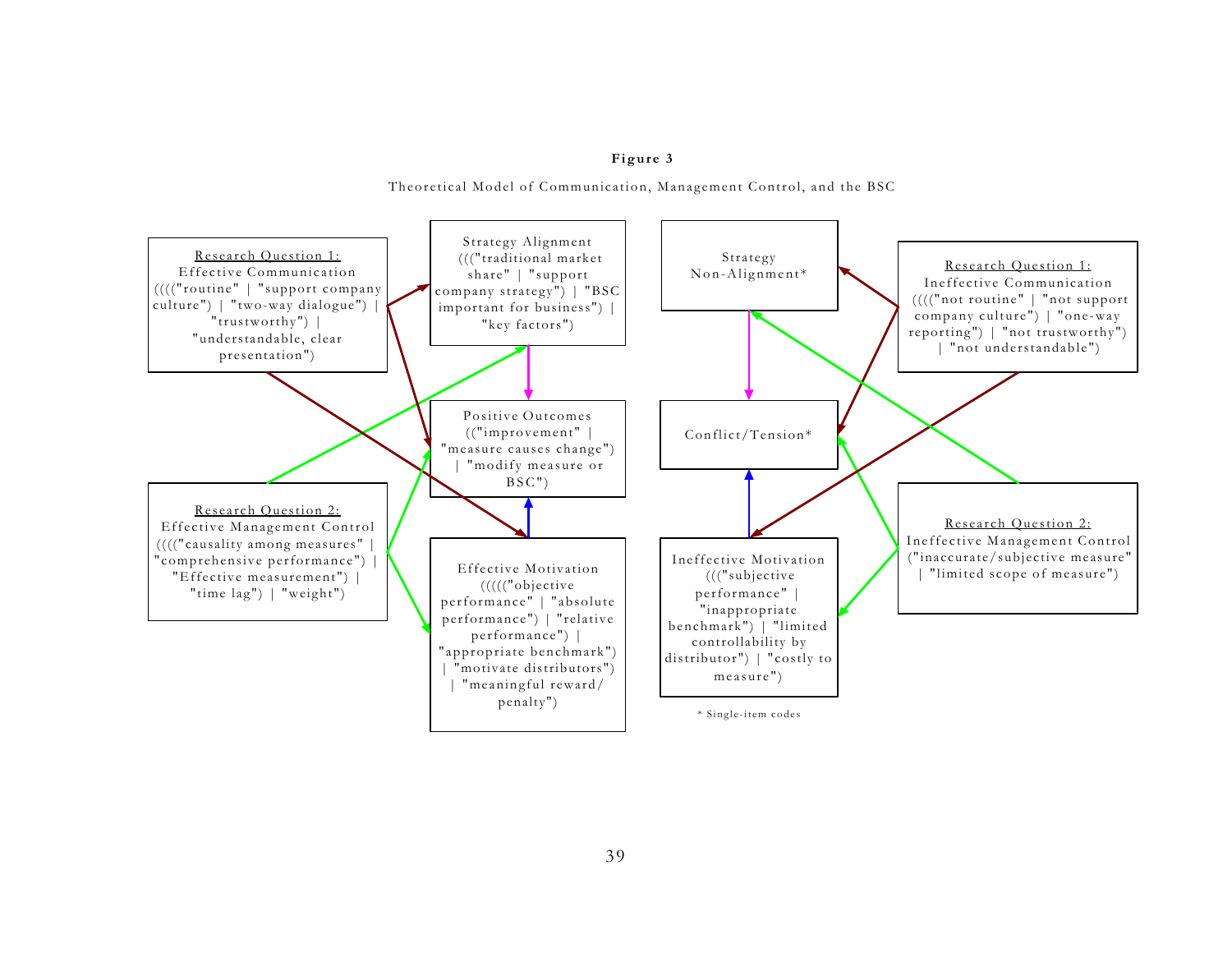#### **Figure 3**

Theoretical Model of Communication, Management Control, and the BSC

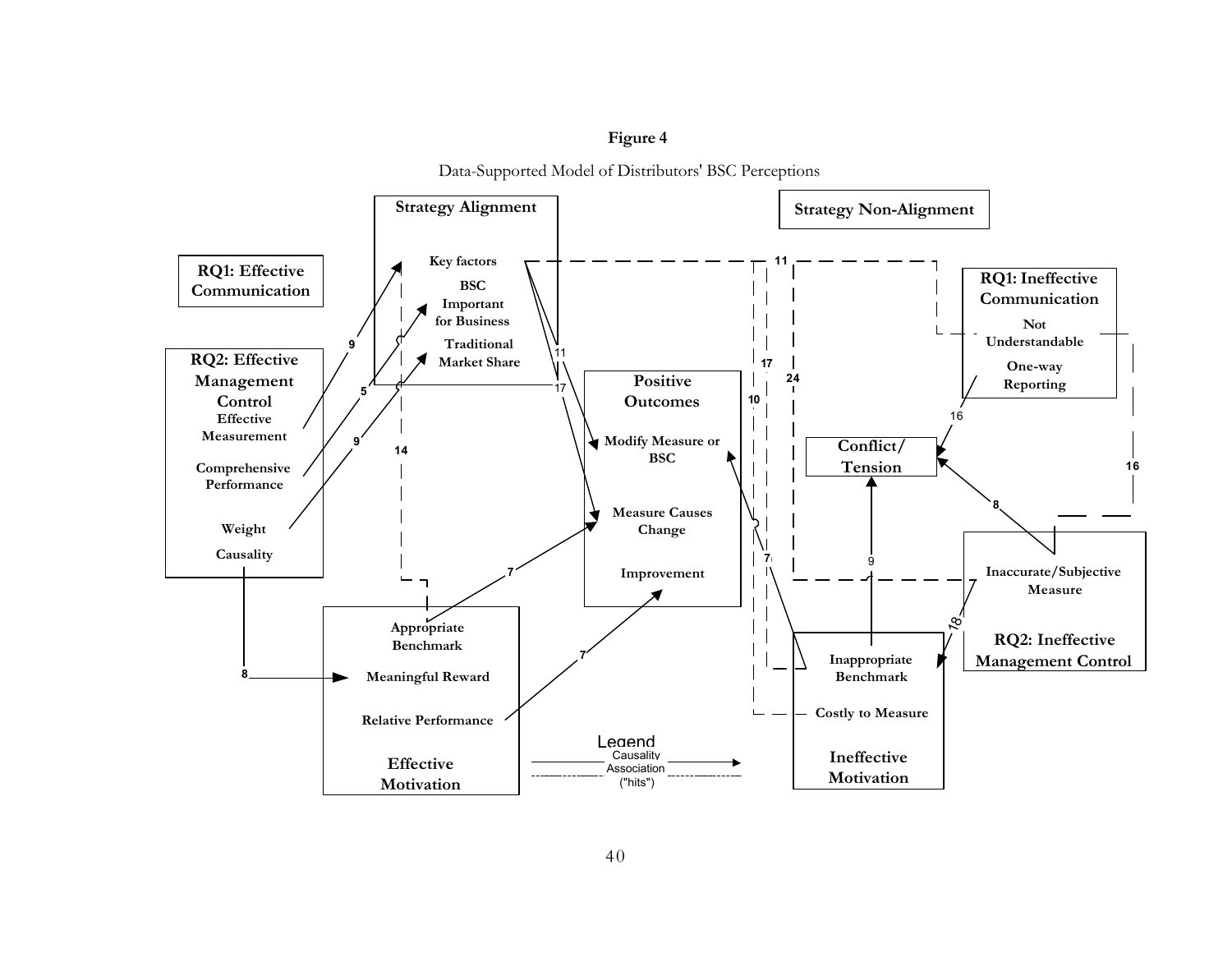## **Figure 4**

Data-Supported Model of Distributors' BSC Perceptions

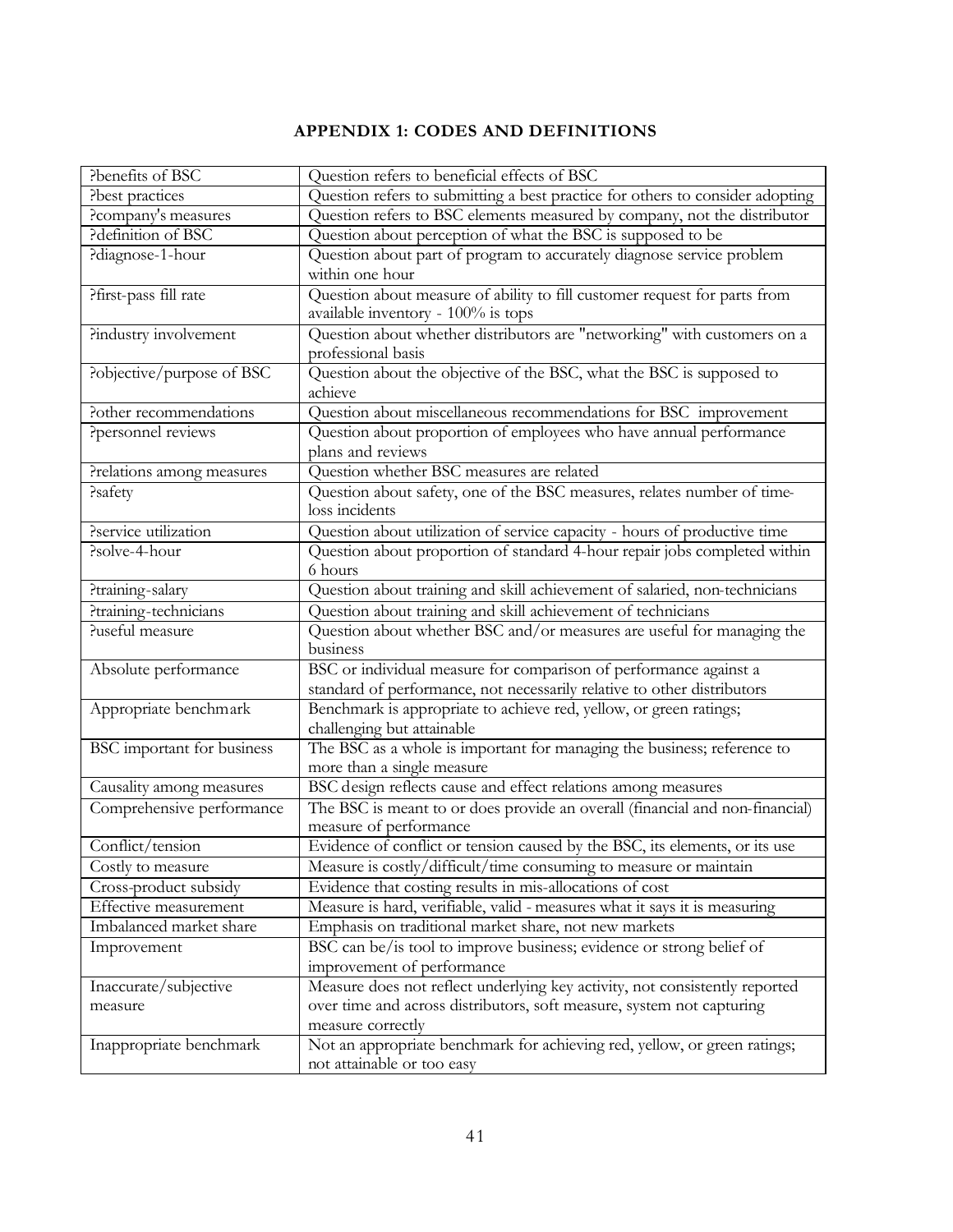# **APPENDIX 1: CODES AND DEFINITIONS**

| Phenefits of BSC           | Question refers to beneficial effects of BSC                                                                    |
|----------------------------|-----------------------------------------------------------------------------------------------------------------|
| Pbest practices            | Question refers to submitting a best practice for others to consider adopting                                   |
| ?company's measures        | Question refers to BSC elements measured by company, not the distributor                                        |
| ?definition of BSC         | Question about perception of what the BSC is supposed to be                                                     |
| ?diagnose-1-hour           | Question about part of program to accurately diagnose service problem                                           |
|                            | within one hour                                                                                                 |
| ?first-pass fill rate      | Question about measure of ability to fill customer request for parts from<br>available inventory - 100% is tops |
| Pindustry involvement      | Question about whether distributors are "networking" with customers on a<br>professional basis                  |
| Pobjective/purpose of BSC  | Question about the objective of the BSC, what the BSC is supposed to<br>achieve                                 |
| Pother recommendations     | Question about miscellaneous recommendations for BSC improvement                                                |
| Personnel reviews          | Question about proportion of employees who have annual performance                                              |
|                            | plans and reviews                                                                                               |
| Prelations among measures  | Question whether BSC measures are related                                                                       |
| Psafety                    | Question about safety, one of the BSC measures, relates number of time-                                         |
|                            | loss incidents                                                                                                  |
| Pservice utilization       | Question about utilization of service capacity - hours of productive time                                       |
| ?solve-4-hour              | Question about proportion of standard 4-hour repair jobs completed within                                       |
|                            | 6 hours                                                                                                         |
| ?training-salary           | Question about training and skill achievement of salaried, non-technicians                                      |
| Ptraining-technicians      | Question about training and skill achievement of technicians                                                    |
| Puseful measure            | Question about whether BSC and/or measures are useful for managing the<br>business                              |
| Absolute performance       | BSC or individual measure for comparison of performance against a                                               |
|                            | standard of performance, not necessarily relative to other distributors                                         |
| Appropriate benchmark      | Benchmark is appropriate to achieve red, yellow, or green ratings;                                              |
|                            | challenging but attainable                                                                                      |
| BSC important for business | The BSC as a whole is important for managing the business; reference to                                         |
|                            | more than a single measure                                                                                      |
| Causality among measures   | BSC design reflects cause and effect relations among measures                                                   |
| Comprehensive performance  | The BSC is meant to or does provide an overall (financial and non-financial)                                    |
|                            | measure of performance                                                                                          |
| Conflict/tension           | Evidence of conflict or tension caused by the BSC, its elements, or its use                                     |
| Costly to measure          | Measure is costly/difficult/time consuming to measure or maintain                                               |
| Cross-product subsidy      | Evidence that costing results in mis-allocations of cost                                                        |
| Effective measurement      | Measure is hard, verifiable, valid - measures what it says it is measuring                                      |
| Imbalanced market share    | Emphasis on traditional market share, not new markets                                                           |
| Improvement                | BSC can be/is tool to improve business; evidence or strong belief of                                            |
|                            | improvement of performance                                                                                      |
| Inaccurate/subjective      | Measure does not reflect underlying key activity, not consistently reported                                     |
| measure                    | over time and across distributors, soft measure, system not capturing                                           |
|                            | measure correctly                                                                                               |
| Inappropriate benchmark    | Not an appropriate benchmark for achieving red, yellow, or green ratings;                                       |
|                            | not attainable or too easy                                                                                      |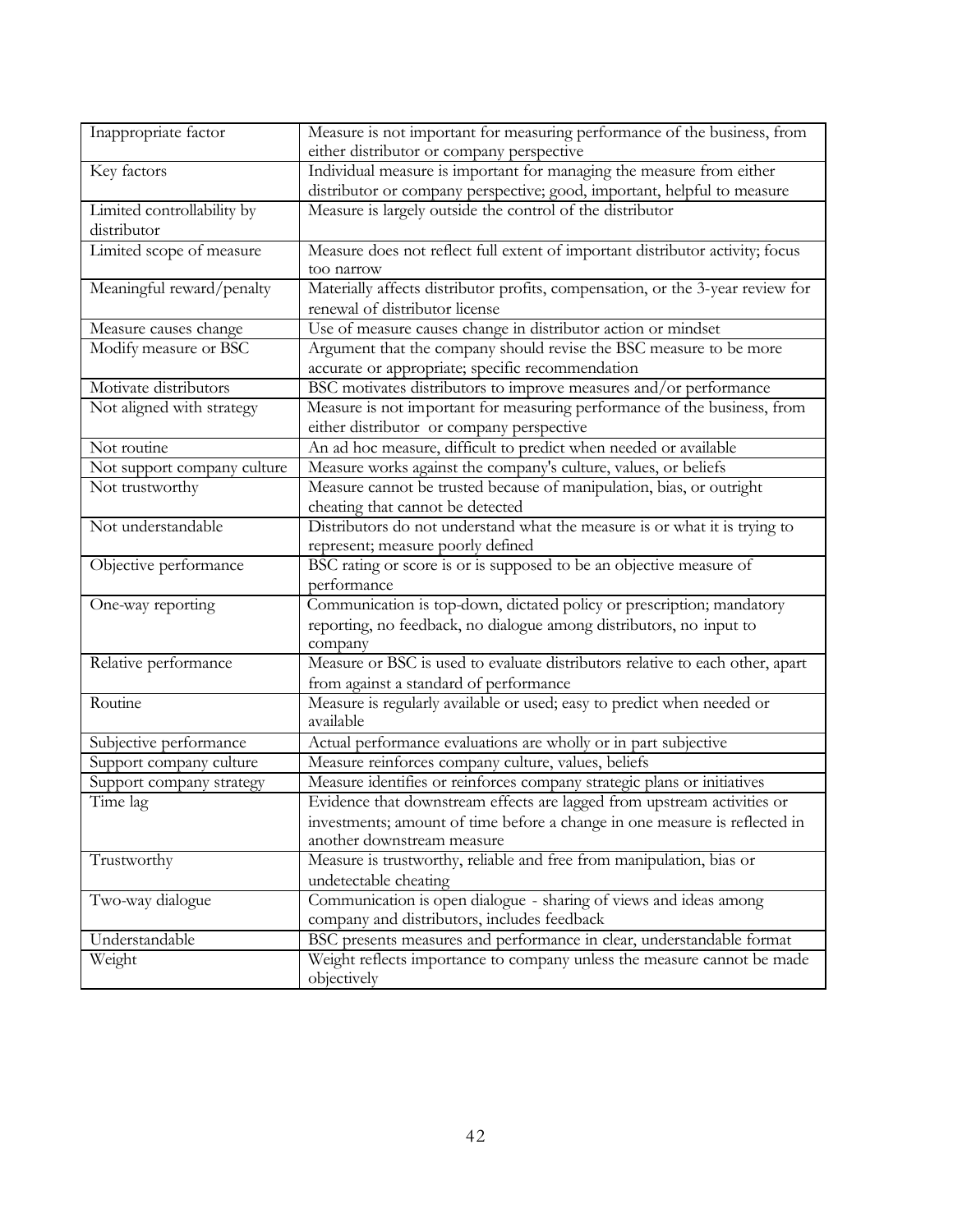| Inappropriate factor                      | Measure is not important for measuring performance of the business, from<br>either distributor or company perspective |
|-------------------------------------------|-----------------------------------------------------------------------------------------------------------------------|
| Key factors                               | Individual measure is important for managing the measure from either                                                  |
|                                           |                                                                                                                       |
|                                           | distributor or company perspective; good, important, helpful to measure                                               |
| Limited controllability by<br>distributor | Measure is largely outside the control of the distributor                                                             |
|                                           |                                                                                                                       |
| Limited scope of measure                  | Measure does not reflect full extent of important distributor activity; focus<br>too narrow                           |
| Meaningful reward/penalty                 | Materially affects distributor profits, compensation, or the 3-year review for                                        |
|                                           | renewal of distributor license                                                                                        |
| Measure causes change                     | Use of measure causes change in distributor action or mindset                                                         |
| Modify measure or BSC                     | Argument that the company should revise the BSC measure to be more                                                    |
|                                           | accurate or appropriate; specific recommendation                                                                      |
| Motivate distributors                     | BSC motivates distributors to improve measures and/or performance                                                     |
| Not aligned with strategy                 | Measure is not important for measuring performance of the business, from                                              |
|                                           | either distributor or company perspective                                                                             |
| Not routine                               | An ad hoc measure, difficult to predict when needed or available                                                      |
| Not support company culture               | Measure works against the company's culture, values, or beliefs                                                       |
| Not trustworthy                           | Measure cannot be trusted because of manipulation, bias, or outright                                                  |
|                                           | cheating that cannot be detected                                                                                      |
| Not understandable                        | Distributors do not understand what the measure is or what it is trying to                                            |
|                                           | represent; measure poorly defined                                                                                     |
| Objective performance                     | BSC rating or score is or is supposed to be an objective measure of                                                   |
|                                           | performance                                                                                                           |
| One-way reporting                         | Communication is top-down, dictated policy or prescription; mandatory                                                 |
|                                           | reporting, no feedback, no dialogue among distributors, no input to                                                   |
|                                           | company                                                                                                               |
| Relative performance                      | Measure or BSC is used to evaluate distributors relative to each other, apart                                         |
|                                           | from against a standard of performance                                                                                |
| Routine                                   | Measure is regularly available or used; easy to predict when needed or                                                |
|                                           | available                                                                                                             |
| Subjective performance                    | Actual performance evaluations are wholly or in part subjective                                                       |
| Support company culture                   | Measure reinforces company culture, values, beliefs                                                                   |
| Support company strategy                  | Measure identifies or reinforces company strategic plans or initiatives                                               |
| Time lag                                  | Evidence that downstream effects are lagged from upstream activities or                                               |
|                                           | investments; amount of time before a change in one measure is reflected in                                            |
|                                           | another downstream measure                                                                                            |
| Trustworthy                               | Measure is trustworthy, reliable and free from manipulation, bias or                                                  |
|                                           | undetectable cheating                                                                                                 |
| Two-way dialogue                          | Communication is open dialogue - sharing of views and ideas among                                                     |
|                                           | company and distributors, includes feedback                                                                           |
| Understandable                            | BSC presents measures and performance in clear, understandable format                                                 |
| Weight                                    | Weight reflects importance to company unless the measure cannot be made<br>objectively                                |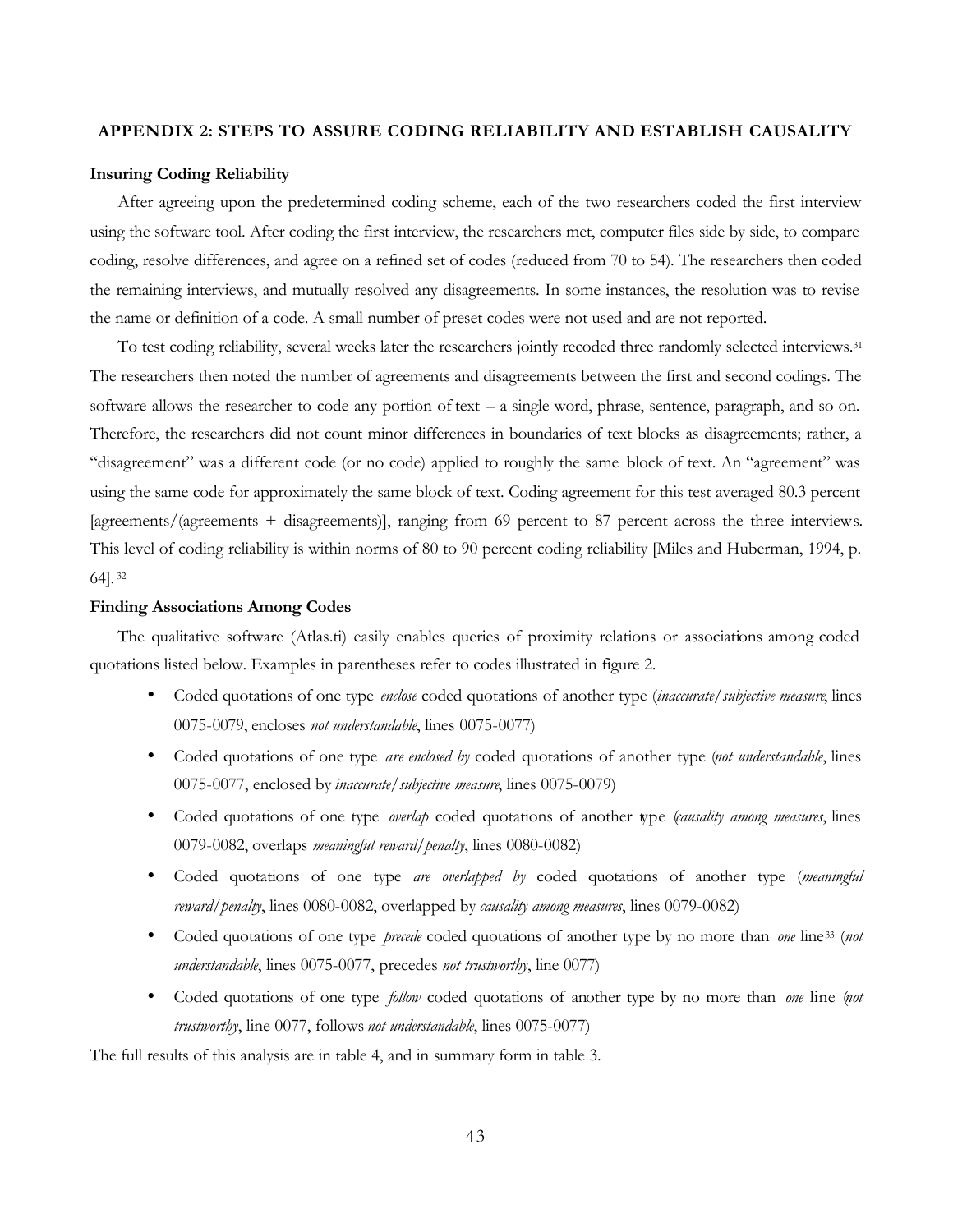#### **APPENDIX 2: STEPS TO ASSURE CODING RELIABILITY AND ESTABLISH CAUSALITY**

#### **Insuring Coding Reliability**

After agreeing upon the predetermined coding scheme, each of the two researchers coded the first interview using the software tool. After coding the first interview, the researchers met, computer files side by side, to compare coding, resolve differences, and agree on a refined set of codes (reduced from 70 to 54). The researchers then coded the remaining interviews, and mutually resolved any disagreements. In some instances, the resolution was to revise the name or definition of a code. A small number of preset codes were not used and are not reported.

To test coding reliability, several weeks later the researchers jointly recoded three randomly selected interviews.<sup>31</sup> The researchers then noted the number of agreements and disagreements between the first and second codings. The software allows the researcher to code any portion of text – a single word, phrase, sentence, paragraph, and so on. Therefore, the researchers did not count minor differences in boundaries of text blocks as disagreements; rather, a "disagreement" was a different code (or no code) applied to roughly the same block of text. An "agreement" was using the same code for approximately the same block of text. Coding agreement for this test averaged 80.3 percent [agreements/(agreements + disagreements)], ranging from 69 percent to 87 percent across the three interviews. This level of coding reliability is within norms of 80 to 90 percent coding reliability [Miles and Huberman, 1994, p. 64]. <sup>32</sup>

#### **Finding Associations Among Codes**

The qualitative software (Atlas.ti) easily enables queries of proximity relations or associations among coded quotations listed below. Examples in parentheses refer to codes illustrated in figure 2.

- Coded quotations of one type *enclose* coded quotations of another type (*inaccurate/subjective measure*, lines 0075-0079, encloses *not understandable*, lines 0075-0077)
- Coded quotations of one type *are enclosed by* coded quotations of another type (*not understandable*, lines 0075-0077, enclosed by *inaccurate/subjective measure*, lines 0075-0079)
- Coded quotations of one type *overlap* coded quotations of another type (*causality among measures*, lines 0079-0082, overlaps *meaningful reward/penalty*, lines 0080-0082)
- Coded quotations of one type *are overlapped by* coded quotations of another type (*meaningful reward/penalty*, lines 0080-0082, overlapped by *causality among measures*, lines 0079-0082)
- Coded quotations of one type *precede* coded quotations of another type by no more than *one* line33 (*not understandable*, lines 0075-0077, precedes *not trustworthy*, line 0077)
- Coded quotations of one type *follow* coded quotations of another type by no more than *one* line (*not trustworthy*, line 0077, follows *not understandable*, lines 0075-0077)

The full results of this analysis are in table 4, and in summary form in table 3.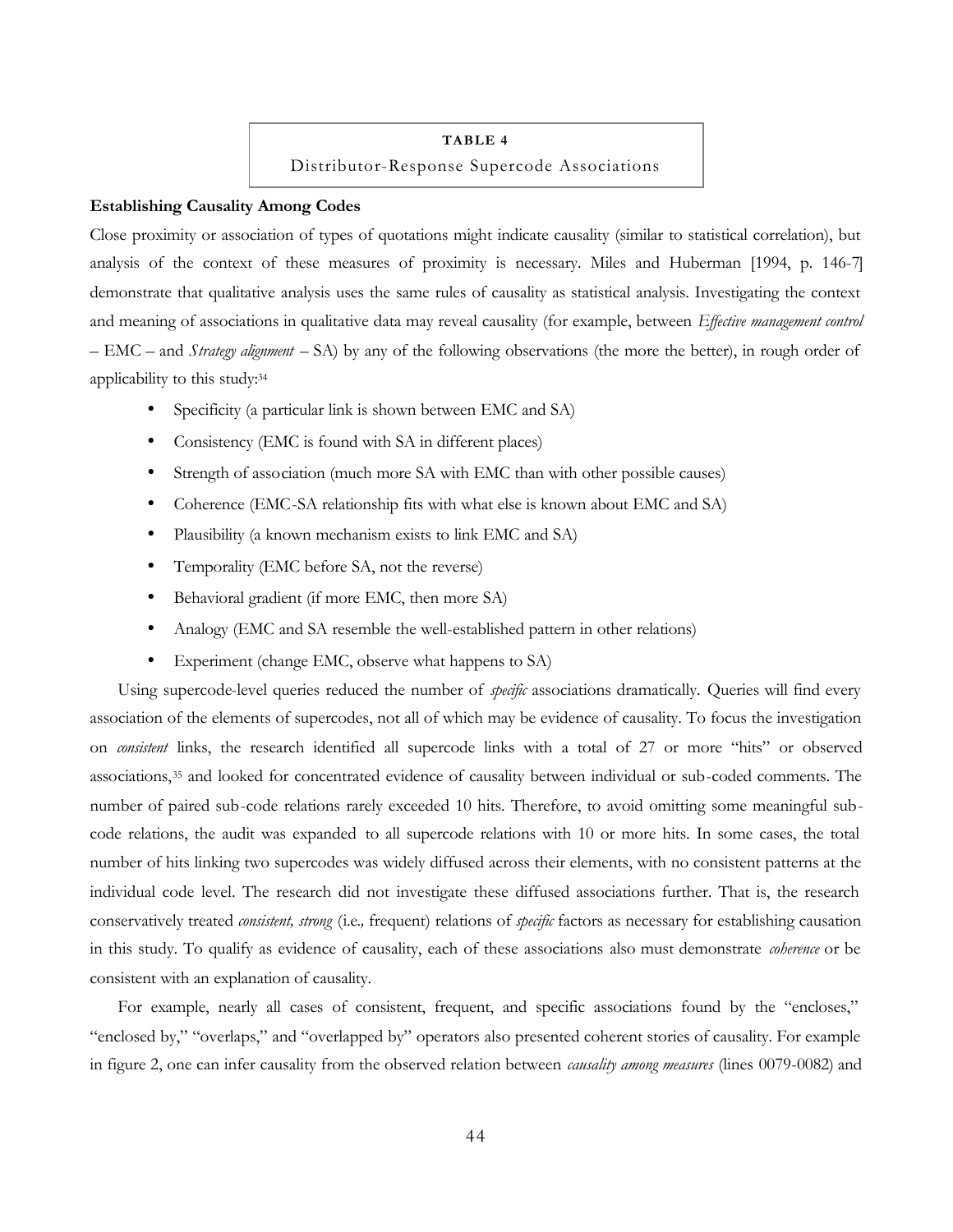### **TABLE 4**

Distributor-Response Supercode Associations

#### **Establishing Causality Among Codes**

Close proximity or association of types of quotations might indicate causality (similar to statistical correlation), but analysis of the context of these measures of proximity is necessary. Miles and Huberman [1994, p. 146-7] demonstrate that qualitative analysis uses the same rules of causality as statistical analysis. Investigating the context and meaning of associations in qualitative data may reveal causality (for example, between *Effective management control* – EMC – and *Strategy alignment* – SA) by any of the following observations (the more the better), in rough order of applicability to this study:<sup>34</sup>

- Specificity (a particular link is shown between EMC and SA)
- Consistency (EMC is found with SA in different places)
- Strength of association (much more SA with EMC than with other possible causes)
- Coherence (EMC-SA relationship fits with what else is known about EMC and SA)
- Plausibility (a known mechanism exists to link EMC and SA)
- Temporality (EMC before SA, not the reverse)
- Behavioral gradient (if more EMC, then more SA)
- Analogy (EMC and SA resemble the well-established pattern in other relations)
- Experiment (change EMC, observe what happens to SA)

Using supercode-level queries reduced the number of *specific* associations dramatically. Queries will find every association of the elements of supercodes, not all of which may be evidence of causality. To focus the investigation on *consistent* links, the research identified all supercode links with a total of 27 or more "hits" or observed associations,35 and looked for concentrated evidence of causality between individual or sub-coded comments. The number of paired sub-code relations rarely exceeded 10 hits. Therefore, to avoid omitting some meaningful subcode relations, the audit was expanded to all supercode relations with 10 or more hits. In some cases, the total number of hits linking two supercodes was widely diffused across their elements, with no consistent patterns at the individual code level. The research did not investigate these diffused associations further. That is, the research conservatively treated *consistent, strong* (i.e.*,* frequent) relations of *specific* factors as necessary for establishing causation in this study. To qualify as evidence of causality, each of these associations also must demonstrate *coherence* or be consistent with an explanation of causality.

For example, nearly all cases of consistent, frequent, and specific associations found by the "encloses," "enclosed by," "overlaps," and "overlapped by" operators also presented coherent stories of causality. For example in figure 2, one can infer causality from the observed relation between *causality among measures* (lines 0079-0082) and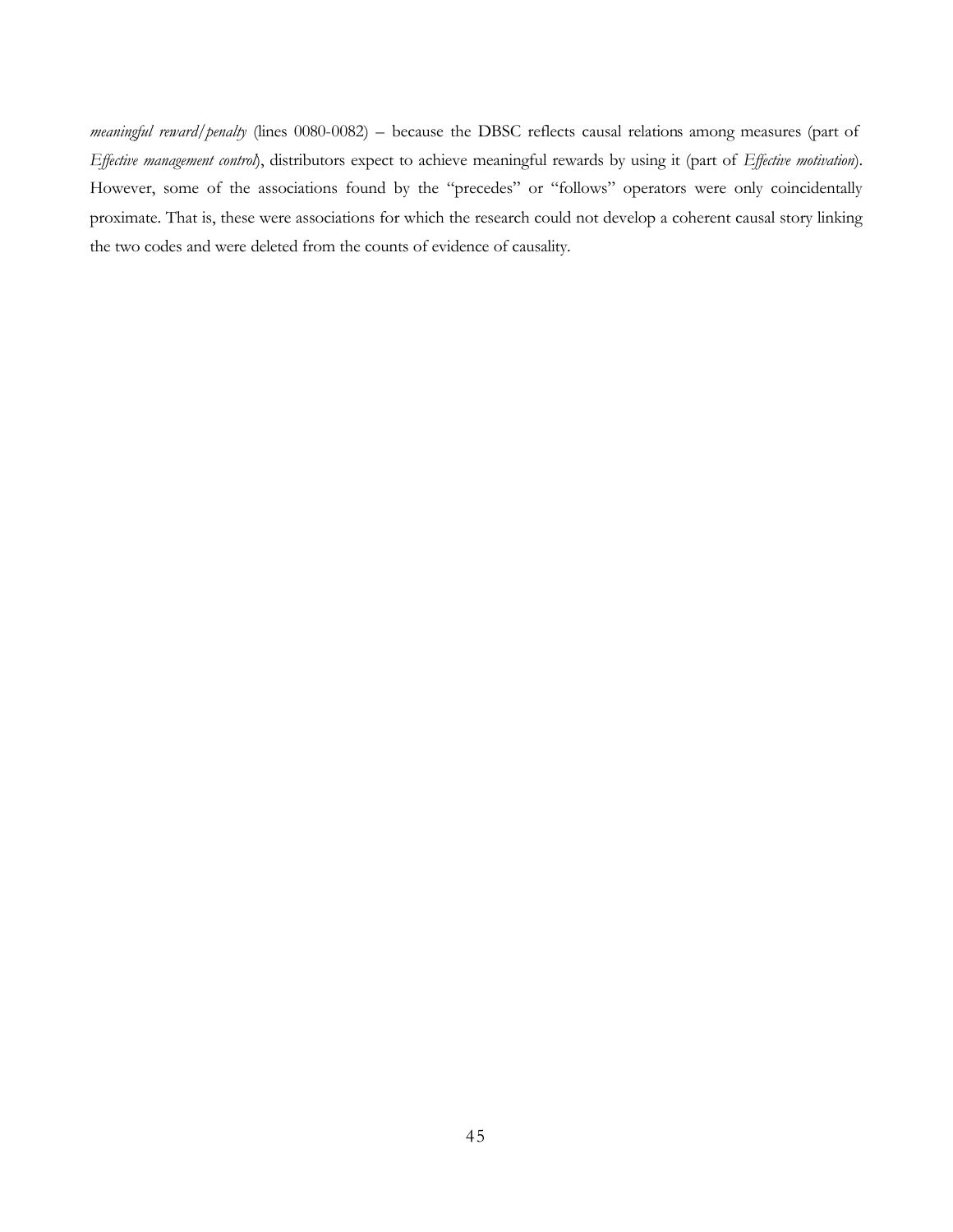*meaningful reward/penalty* (lines 0080-0082) – because the DBSC reflects causal relations among measures (part of *Effective management control*), distributors expect to achieve meaningful rewards by using it (part of *Effective motivation*). However, some of the associations found by the "precedes" or "follows" operators were only coincidentally proximate. That is, these were associations for which the research could not develop a coherent causal story linking the two codes and were deleted from the counts of evidence of causality.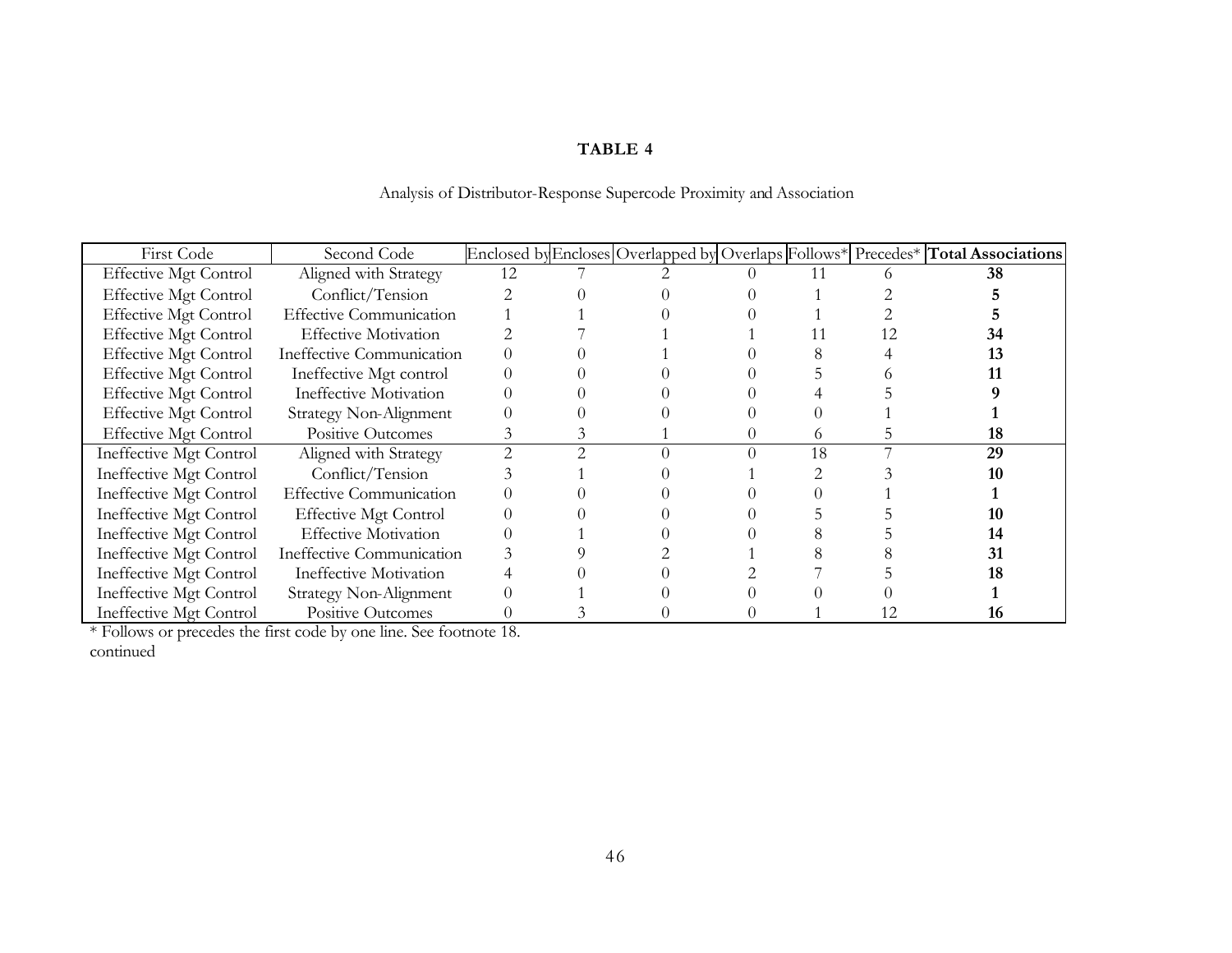# **TABLE 4**

| First Code                   | Second Code                    |    |                          |  |    | Enclosed by Encloses Overlapped by Overlaps Follows* Precedes* Total Associations |
|------------------------------|--------------------------------|----|--------------------------|--|----|-----------------------------------------------------------------------------------|
| <b>Effective Mgt Control</b> | Aligned with Strategy          | 12 |                          |  |    | 38                                                                                |
| <b>Effective Mgt Control</b> | Conflict/Tension               |    |                          |  |    |                                                                                   |
| <b>Effective Mgt Control</b> | <b>Effective Communication</b> |    |                          |  |    |                                                                                   |
| <b>Effective Mgt Control</b> | <b>Effective Motivation</b>    |    |                          |  |    | 34                                                                                |
| <b>Effective Mgt Control</b> | Ineffective Communication      |    |                          |  |    |                                                                                   |
| <b>Effective Mgt Control</b> | Ineffective Mgt control        |    |                          |  |    |                                                                                   |
| <b>Effective Mgt Control</b> | Ineffective Motivation         |    |                          |  |    |                                                                                   |
| <b>Effective Mgt Control</b> | <b>Strategy Non-Alignment</b>  |    |                          |  |    |                                                                                   |
| <b>Effective Mgt Control</b> | Positive Outcomes              |    |                          |  | ∩  | 18                                                                                |
| Ineffective Mgt Control      | Aligned with Strategy          |    | $\mathfrak{D}_{1}^{(1)}$ |  | 18 | 29                                                                                |
| Ineffective Mgt Control      | Conflict/Tension               |    |                          |  |    | 10                                                                                |
| Ineffective Mgt Control      | <b>Effective Communication</b> |    |                          |  |    |                                                                                   |
| Ineffective Mgt Control      | <b>Effective Mgt Control</b>   |    |                          |  |    |                                                                                   |
| Ineffective Mgt Control      | <b>Effective Motivation</b>    |    |                          |  |    |                                                                                   |
| Ineffective Mgt Control      | Ineffective Communication      |    |                          |  |    | 31                                                                                |
| Ineffective Mgt Control      | Ineffective Motivation         |    |                          |  |    | 18                                                                                |
| Ineffective Mgt Control      | Strategy Non-Alignment         |    |                          |  |    |                                                                                   |
| Ineffective Mgt Control      | Positive Outcomes              |    |                          |  |    |                                                                                   |

Analysis of Distributor-Response Supercode Proximity and Association

\* Follows or precedes the first code by one line. See footnote 18. continued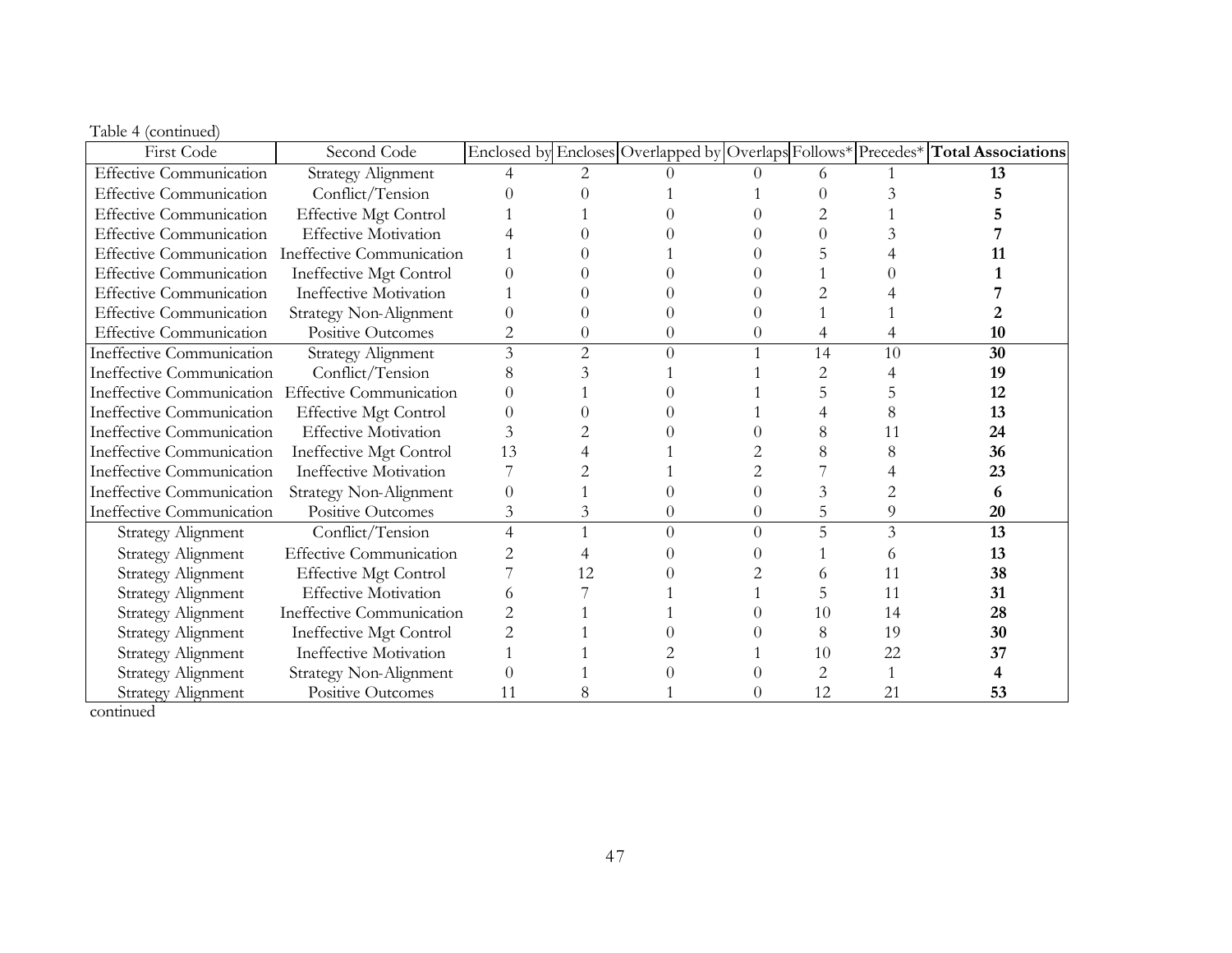### Table 4 (continued)

| First Code                       | Second Code                    |                |                |          |          |    |    | Enclosed by Encloses Overlapped by Overlaps Follows* Precedes* Total Associations |
|----------------------------------|--------------------------------|----------------|----------------|----------|----------|----|----|-----------------------------------------------------------------------------------|
| <b>Effective Communication</b>   | <b>Strategy Alignment</b>      |                |                |          |          |    |    | 13                                                                                |
| <b>Effective Communication</b>   | Conflict/Tension               |                |                |          |          |    |    |                                                                                   |
| <b>Effective Communication</b>   | <b>Effective Mgt Control</b>   |                |                |          |          |    |    |                                                                                   |
| <b>Effective Communication</b>   | <b>Effective Motivation</b>    |                |                |          |          |    |    |                                                                                   |
| <b>Effective Communication</b>   | Ineffective Communication      |                |                |          |          |    |    |                                                                                   |
| <b>Effective Communication</b>   | Ineffective Mgt Control        |                |                |          |          |    |    |                                                                                   |
| <b>Effective Communication</b>   | Ineffective Motivation         |                |                |          |          |    |    |                                                                                   |
| <b>Effective Communication</b>   | <b>Strategy Non-Alignment</b>  |                |                |          |          |    |    |                                                                                   |
| <b>Effective Communication</b>   | Positive Outcomes              |                |                |          | $^{(1)}$ |    |    | 10                                                                                |
| <b>Ineffective Communication</b> | <b>Strategy Alignment</b>      | 3              | $\overline{2}$ | ∩        |          | 14 | 10 | 30                                                                                |
| Ineffective Communication        | Conflict/Tension               |                |                |          |          |    |    | 19                                                                                |
| <b>Ineffective Communication</b> | <b>Effective Communication</b> |                |                |          |          |    |    | 12                                                                                |
| Ineffective Communication        | <b>Effective Mgt Control</b>   |                |                |          |          |    |    | 13                                                                                |
| <b>Ineffective Communication</b> | <b>Effective Motivation</b>    |                |                |          |          |    |    | 24                                                                                |
| Ineffective Communication        | Ineffective Mgt Control        | 13             |                |          | 2        |    |    | 36                                                                                |
| <b>Ineffective Communication</b> | Ineffective Motivation         |                |                |          |          |    |    | 23                                                                                |
| Ineffective Communication        | <b>Strategy Non-Alignment</b>  |                |                |          |          |    |    | 6                                                                                 |
| Ineffective Communication        | Positive Outcomes              | 3              | 3              |          | 0        | 5  | 9  | 20                                                                                |
| <b>Strategy Alignment</b>        | Conflict/Tension               | $\overline{4}$ |                | $\Omega$ | 0        | 5  | 3  | 13                                                                                |
| <b>Strategy Alignment</b>        | <b>Effective Communication</b> |                |                |          |          |    |    | 13                                                                                |
| <b>Strategy Alignment</b>        | Effective Mgt Control          |                | 12             |          |          |    | 11 | 38                                                                                |
| <b>Strategy Alignment</b>        | <b>Effective Motivation</b>    |                |                |          |          | 5  | 11 | 31                                                                                |
| <b>Strategy Alignment</b>        | Ineffective Communication      |                |                |          |          | 10 | 14 | 28                                                                                |
| <b>Strategy Alignment</b>        | Ineffective Mgt Control        |                |                |          |          | 8  | 19 | 30                                                                                |
| <b>Strategy Alignment</b>        | Ineffective Motivation         |                |                |          |          | 10 | 22 | 37                                                                                |
| <b>Strategy Alignment</b>        | Strategy Non-Alignment         |                |                |          |          |    |    |                                                                                   |
| <b>Strategy Alignment</b>        | Positive Outcomes              | 11             |                |          |          | 12 | 21 | 53                                                                                |

continued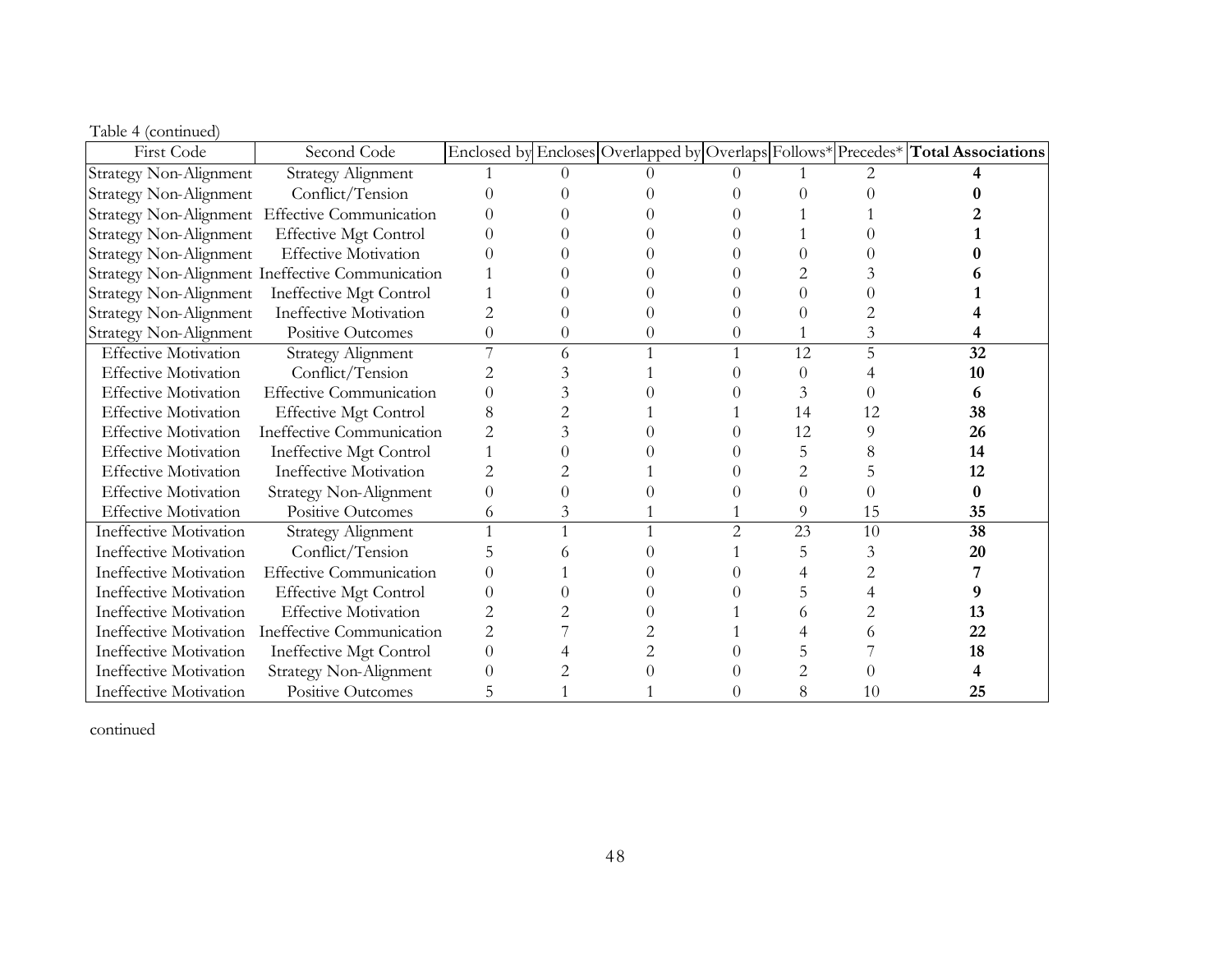|  | Table 4 (continued) |
|--|---------------------|
|--|---------------------|

| First Code                    | Second Code                                      |          |          |                |    |    | Enclosed by Encloses Overlapped by Overlaps Follows* Precedes* Total Associations |
|-------------------------------|--------------------------------------------------|----------|----------|----------------|----|----|-----------------------------------------------------------------------------------|
| <b>Strategy Non-Alignment</b> | <b>Strategy Alignment</b>                        |          |          |                |    |    |                                                                                   |
| Strategy Non-Alignment        | Conflict/Tension                                 |          |          |                |    |    |                                                                                   |
|                               | Strategy Non-Alignment Effective Communication   |          |          |                |    |    |                                                                                   |
| <b>Strategy Non-Alignment</b> | <b>Effective Mgt Control</b>                     |          |          |                |    |    |                                                                                   |
| Strategy Non-Alignment        | <b>Effective Motivation</b>                      | $\theta$ |          |                |    |    |                                                                                   |
|                               | Strategy Non-Alignment Ineffective Communication |          |          |                |    |    |                                                                                   |
| <b>Strategy Non-Alignment</b> | Ineffective Mgt Control                          |          |          |                |    |    |                                                                                   |
| Strategy Non-Alignment        | Ineffective Motivation                           |          |          |                |    |    |                                                                                   |
| Strategy Non-Alignment        | Positive Outcomes                                | 0        | $\theta$ |                |    |    |                                                                                   |
| <b>Effective Motivation</b>   | <b>Strategy Alignment</b>                        |          | 6        |                | 12 | 5  | 32                                                                                |
| <b>Effective Motivation</b>   | Conflict/Tension                                 |          |          |                |    |    | 10                                                                                |
| <b>Effective Motivation</b>   | <b>Effective Communication</b>                   |          |          |                |    |    | 6                                                                                 |
| <b>Effective Motivation</b>   | <b>Effective Mgt Control</b>                     | 8        |          |                | 14 | 12 | 38                                                                                |
| <b>Effective Motivation</b>   | Ineffective Communication                        |          |          |                |    |    | 26                                                                                |
| <b>Effective Motivation</b>   | Ineffective Mgt Control                          |          |          |                |    |    | 14                                                                                |
| <b>Effective Motivation</b>   | Ineffective Motivation                           |          |          |                |    |    | 12                                                                                |
| <b>Effective Motivation</b>   | Strategy Non-Alignment                           |          |          |                |    |    |                                                                                   |
| <b>Effective Motivation</b>   | Positive Outcomes                                | 6        | 3        |                | 9  | 15 | 35                                                                                |
| Ineffective Motivation        | <b>Strategy Alignment</b>                        |          |          | $\overline{2}$ | 23 | 10 | 38                                                                                |
| Ineffective Motivation        | Conflict/Tension                                 |          |          |                | 5  |    | 20                                                                                |
| Ineffective Motivation        | <b>Effective Communication</b>                   |          |          |                |    |    |                                                                                   |
| Ineffective Motivation        | <b>Effective Mgt Control</b>                     |          |          |                |    |    |                                                                                   |
| Ineffective Motivation        | <b>Effective Motivation</b>                      |          |          |                |    |    | 13                                                                                |
| Ineffective Motivation        | Ineffective Communication                        | 2        |          |                |    |    | 22                                                                                |
| Ineffective Motivation        | Ineffective Mgt Control                          | $\Omega$ |          |                |    |    | 18                                                                                |
| Ineffective Motivation        | <b>Strategy Non-Alignment</b>                    |          |          |                |    |    |                                                                                   |
| Ineffective Motivation        | Positive Outcomes                                | 5        |          |                | 8  | 10 | 25                                                                                |

continued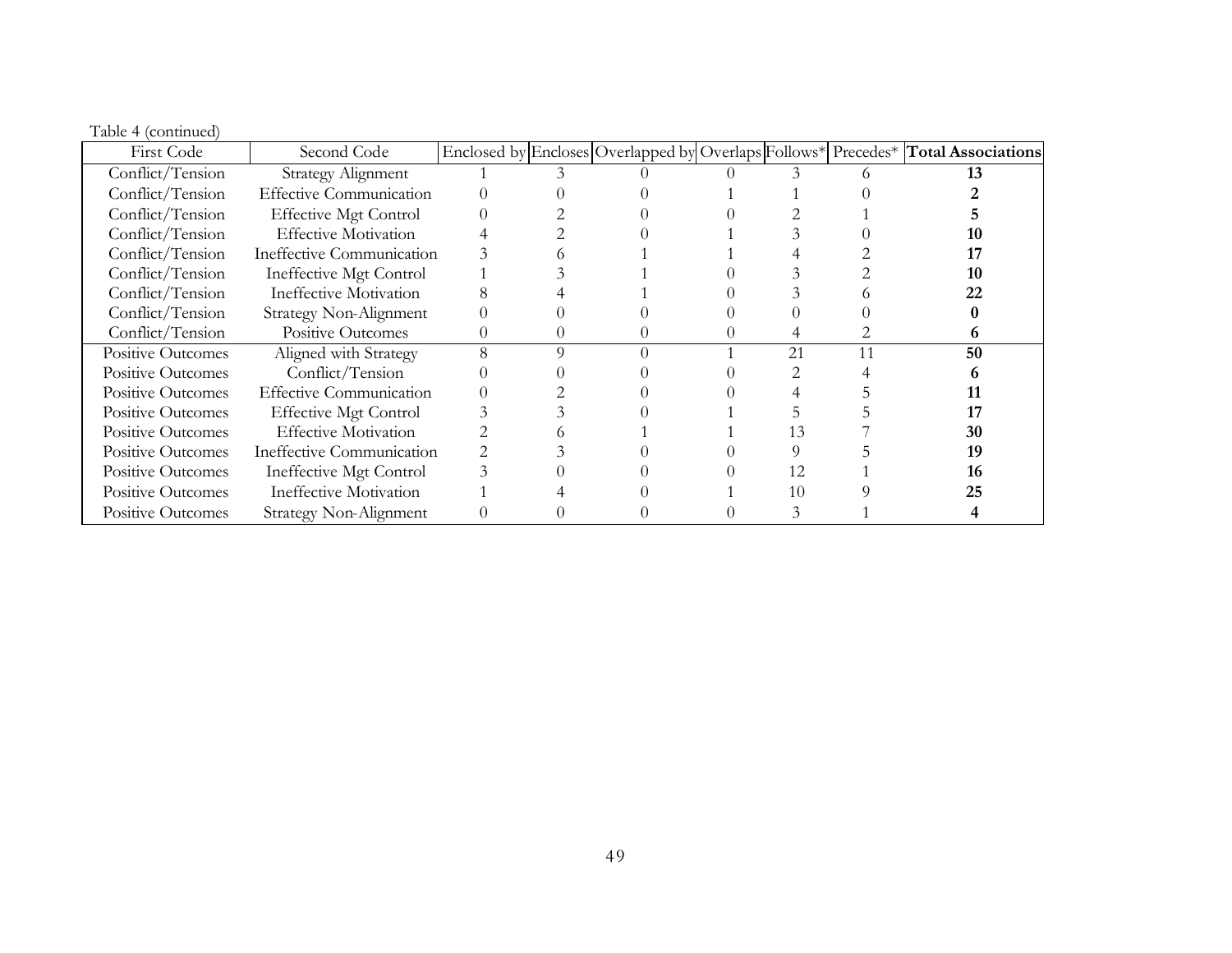| Table 4 (continued) |  |  |
|---------------------|--|--|
|                     |  |  |

| First Code        | Second Code                    |                  |   |  |    | Enclosed by Encloses Overlapped by Overlaps Follows* Precedes* Total Associations |
|-------------------|--------------------------------|------------------|---|--|----|-----------------------------------------------------------------------------------|
| Conflict/Tension  | <b>Strategy Alignment</b>      |                  |   |  |    | 13                                                                                |
| Conflict/Tension  | <b>Effective Communication</b> |                  |   |  |    |                                                                                   |
| Conflict/Tension  | <b>Effective Mgt Control</b>   |                  |   |  |    |                                                                                   |
| Conflict/Tension  | <b>Effective Motivation</b>    |                  |   |  |    | 10                                                                                |
| Conflict/Tension  | Ineffective Communication      | 3                |   |  |    |                                                                                   |
| Conflict/Tension  | Ineffective Mgt Control        |                  |   |  |    | 10                                                                                |
| Conflict/Tension  | Ineffective Motivation         |                  |   |  |    | 22                                                                                |
| Conflict/Tension  | Strategy Non-Alignment         |                  |   |  |    |                                                                                   |
| Conflict/Tension  | Positive Outcomes              | $\theta$         |   |  |    |                                                                                   |
| Positive Outcomes | Aligned with Strategy          | 8                | 9 |  | 21 | 50                                                                                |
| Positive Outcomes | Conflict/Tension               |                  |   |  |    |                                                                                   |
| Positive Outcomes | <b>Effective Communication</b> |                  |   |  |    |                                                                                   |
| Positive Outcomes | <b>Effective Mgt Control</b>   |                  |   |  |    |                                                                                   |
| Positive Outcomes | <b>Effective Motivation</b>    |                  |   |  | 13 | 30                                                                                |
| Positive Outcomes | Ineffective Communication      |                  |   |  |    | 19                                                                                |
| Positive Outcomes | Ineffective Mgt Control        |                  |   |  | 12 | 16                                                                                |
| Positive Outcomes | Ineffective Motivation         |                  |   |  | 10 | 25                                                                                |
| Positive Outcomes | Strategy Non-Alignment         | $\left( \right)$ |   |  | 3  |                                                                                   |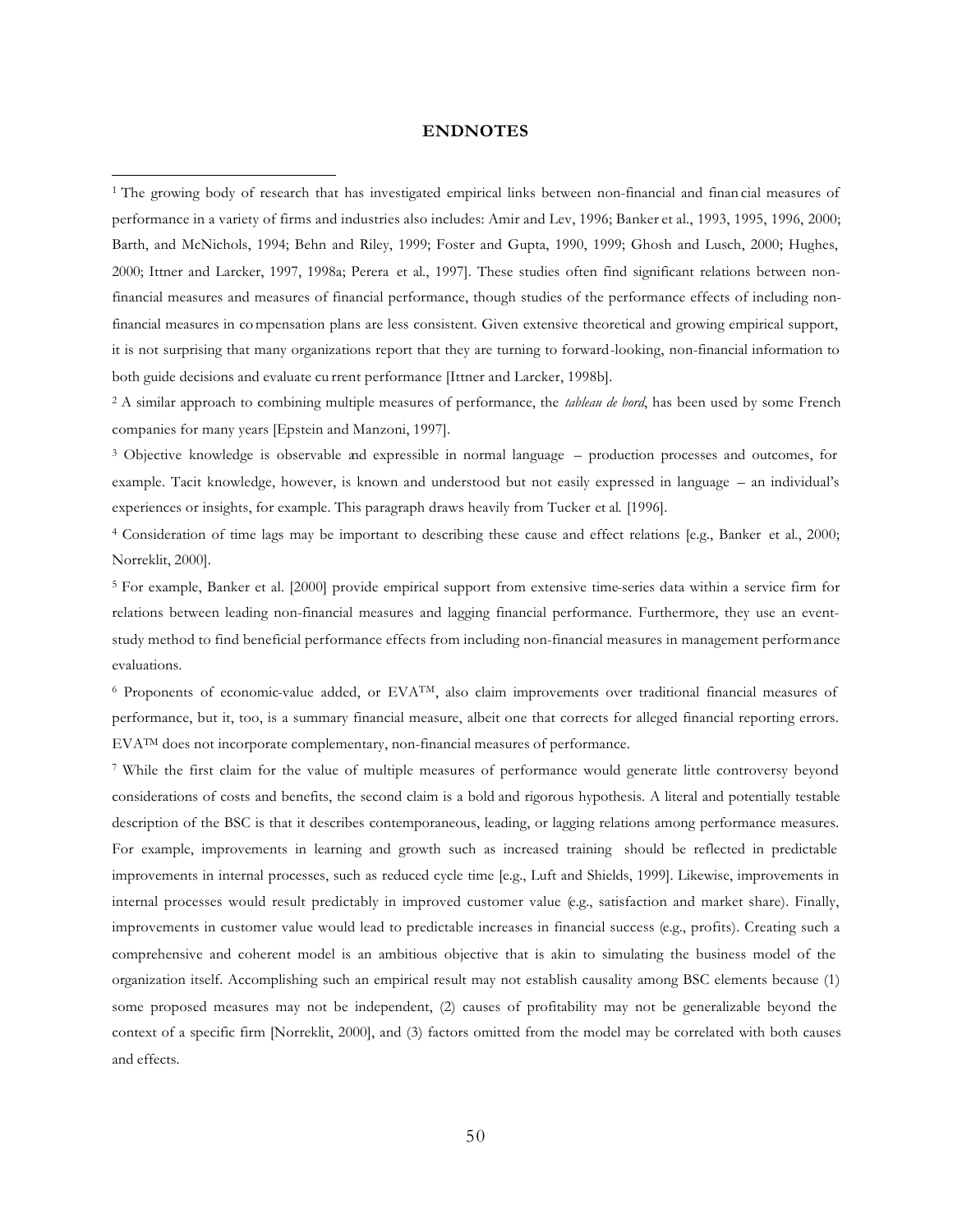#### **ENDNOTES**

 $\ddot{\phantom{a}}$ 

<sup>1</sup>The growing body of research that has investigated empirical links between non-financial and finan cial measures of performance in a variety of firms and industries also includes: Amir and Lev, 1996; Banker et al., 1993, 1995, 1996, 2000; Barth, and McNichols, 1994; Behn and Riley, 1999; Foster and Gupta, 1990, 1999; Ghosh and Lusch, 2000; Hughes, 2000; Ittner and Larcker, 1997, 1998a; Perera et al., 1997]. These studies often find significant relations between nonfinancial measures and measures of financial performance, though studies of the performance effects of including nonfinancial measures in compensation plans are less consistent. Given extensive theoretical and growing empirical support, it is not surprising that many organizations report that they are turning to forward-looking, non-financial information to both guide decisions and evaluate cu rrent performance [Ittner and Larcker, 1998b].

<sup>2</sup> A similar approach to combining multiple measures of performance, the *tableau de bord*, has been used by some French companies for many years [Epstein and Manzoni, 1997].

<sup>3</sup> Objective knowledge is observable and expressible in normal language – production processes and outcomes, for example. Tacit knowledge, however, is known and understood but not easily expressed in language – an individual's experiences or insights, for example. This paragraph draws heavily from Tucker et al*.* [1996].

<sup>4</sup> Consideration of time lags may be important to describing these cause and effect relations [e.g., Banker et al., 2000; Norreklit, 2000].

<sup>5</sup> For example, Banker et al. [2000] provide empirical support from extensive time-series data within a service firm for relations between leading non-financial measures and lagging financial performance. Furthermore, they use an eventstudy method to find beneficial performance effects from including non-financial measures in management performance evaluations.

<sup>6</sup> Proponents of economic-value added, or EVATM, also claim improvements over traditional financial measures of performance, but it, too, is a summary financial measure, albeit one that corrects for alleged financial reporting errors. EVATM does not incorporate complementary, non-financial measures of performance.

<sup>7</sup> While the first claim for the value of multiple measures of performance would generate little controversy beyond considerations of costs and benefits, the second claim is a bold and rigorous hypothesis. A literal and potentially testable description of the BSC is that it describes contemporaneous, leading, or lagging relations among performance measures. For example, improvements in learning and growth such as increased training should be reflected in predictable improvements in internal processes, such as reduced cycle time [e.g., Luft and Shields, 1999]. Likewise, improvements in internal processes would result predictably in improved customer value (e.g., satisfaction and market share). Finally, improvements in customer value would lead to predictable increases in financial success (e.g., profits). Creating such a comprehensive and coherent model is an ambitious objective that is akin to simulating the business model of the organization itself. Accomplishing such an empirical result may not establish causality among BSC elements because (1) some proposed measures may not be independent, (2) causes of profitability may not be generalizable beyond the context of a specific firm [Norreklit, 2000], and (3) factors omitted from the model may be correlated with both causes and effects.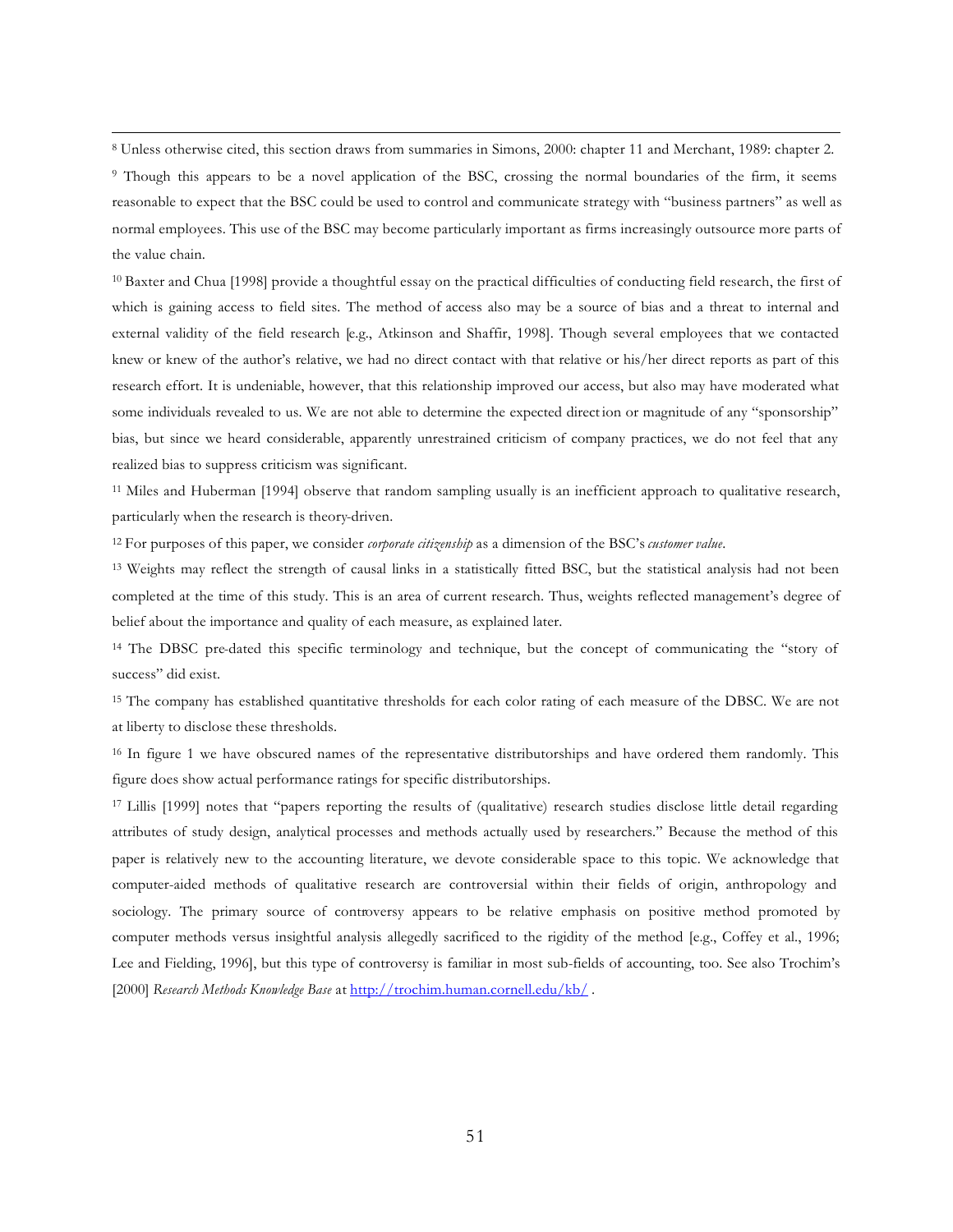$\ddot{\phantom{a}}$ <sup>8</sup> Unless otherwise cited, this section draws from summaries in Simons, 2000: chapter 11 and Merchant, 1989: chapter 2.

<sup>9</sup> Though this appears to be a novel application of the BSC, crossing the normal boundaries of the firm, it seems reasonable to expect that the BSC could be used to control and communicate strategy with "business partners" as well as normal employees. This use of the BSC may become particularly important as firms increasingly outsource more parts of the value chain.

<sup>10</sup> Baxter and Chua [1998] provide a thoughtful essay on the practical difficulties of conducting field research, the first of which is gaining access to field sites. The method of access also may be a source of bias and a threat to internal and external validity of the field research [e.g., Atkinson and Shaffir, 1998]. Though several employees that we contacted knew or knew of the author's relative, we had no direct contact with that relative or his/her direct reports as part of this research effort. It is undeniable, however, that this relationship improved our access, but also may have moderated what some individuals revealed to us. We are not able to determine the expected direct ion or magnitude of any "sponsorship" bias, but since we heard considerable, apparently unrestrained criticism of company practices, we do not feel that any realized bias to suppress criticism was significant.

<sup>11</sup> Miles and Huberman [1994] observe that random sampling usually is an inefficient approach to qualitative research, particularly when the research is theory-driven.

<sup>12</sup> For purposes of this paper, we consider *corporate citizenship* as a dimension of the BSC's *customer value*.

<sup>13</sup> Weights may reflect the strength of causal links in a statistically fitted BSC, but the statistical analysis had not been completed at the time of this study. This is an area of current research. Thus, weights reflected management's degree of belief about the importance and quality of each measure, as explained later.

<sup>14</sup> The DBSC pre-dated this specific terminology and technique, but the concept of communicating the "story of success" did exist.

<sup>15</sup> The company has established quantitative thresholds for each color rating of each measure of the DBSC. We are not at liberty to disclose these thresholds.

<sup>16</sup> In figure 1 we have obscured names of the representative distributorships and have ordered them randomly. This figure does show actual performance ratings for specific distributorships.

<sup>17</sup> Lillis [1999] notes that "papers reporting the results of (qualitative) research studies disclose little detail regarding attributes of study design, analytical processes and methods actually used by researchers." Because the method of this paper is relatively new to the accounting literature, we devote considerable space to this topic. We acknowledge that computer-aided methods of qualitative research are controversial within their fields of origin, anthropology and sociology. The primary source of controversy appears to be relative emphasis on positive method promoted by computer methods versus insightful analysis allegedly sacrificed to the rigidity of the method [e.g., Coffey et al., 1996; Lee and Fielding, 1996], but this type of controversy is familiar in most sub-fields of accounting, too. See also Trochim's [2000] *Research Methods Knowledge Base* at http://trochim.human.cornell.edu/kb/.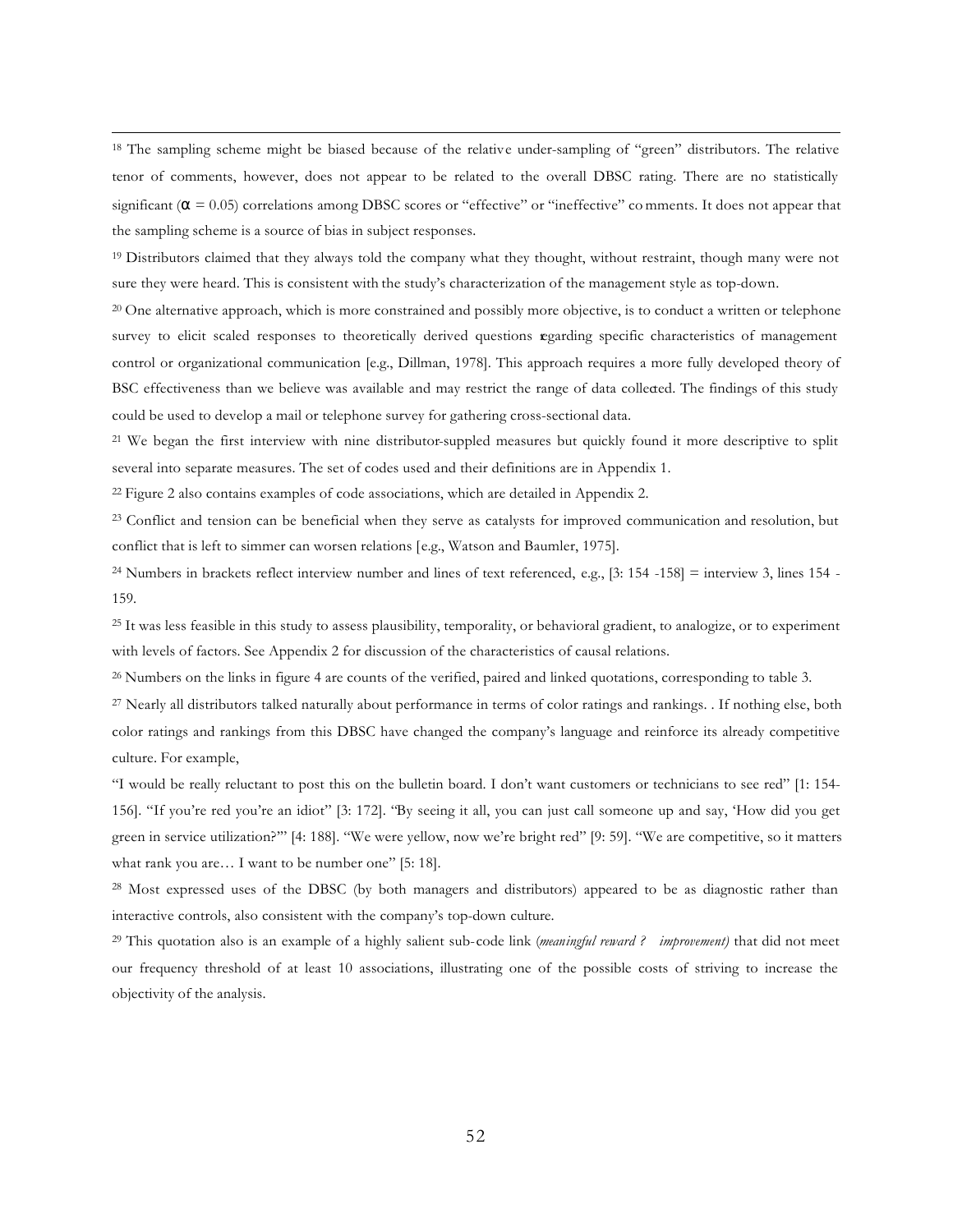<sup>18</sup> The sampling scheme might be biased because of the relative under-sampling of "green" distributors. The relative tenor of comments, however, does not appear to be related to the overall DBSC rating. There are no statistically significant ( $\alpha$  = 0.05) correlations among DBSC scores or "effective" or "ineffective" comments. It does not appear that the sampling scheme is a source of bias in subject responses.

<sup>19</sup> Distributors claimed that they always told the company what they thought, without restraint, though many were not sure they were heard. This is consistent with the study's characterization of the management style as top-down.

<sup>20</sup> One alternative approach, which is more constrained and possibly more objective, is to conduct a written or telephone survey to elicit scaled responses to theoretically derived questions regarding specific characteristics of management control or organizational communication [e.g., Dillman, 1978]. This approach requires a more fully developed theory of BSC effectiveness than we believe was available and may restrict the range of data collected. The findings of this study could be used to develop a mail or telephone survey for gathering cross-sectional data.

<sup>21</sup> We began the first interview with nine distributor-suppled measures but quickly found it more descriptive to split several into separate measures. The set of codes used and their definitions are in Appendix 1.

<sup>22</sup> Figure 2 also contains examples of code associations, which are detailed in Appendix 2.

 $\ddot{\phantom{a}}$ 

<sup>23</sup> Conflict and tension can be beneficial when they serve as catalysts for improved communication and resolution, but conflict that is left to simmer can worsen relations [e.g., Watson and Baumler, 1975].

<sup>24</sup> Numbers in brackets reflect interview number and lines of text referenced, e.g.,  $[3: 154 -158]$  = interview 3, lines 154 -159.

<sup>25</sup> It was less feasible in this study to assess plausibility, temporality, or behavioral gradient, to analogize, or to experiment with levels of factors. See Appendix 2 for discussion of the characteristics of causal relations.

<sup>26</sup> Numbers on the links in figure 4 are counts of the verified, paired and linked quotations, corresponding to table 3.

<sup>27</sup> Nearly all distributors talked naturally about performance in terms of color ratings and rankings. . If nothing else, both color ratings and rankings from this DBSC have changed the company's language and reinforce its already competitive culture. For example,

"I would be really reluctant to post this on the bulletin board. I don't want customers or technicians to see red" [1: 154- 156]. "If you're red you're an idiot" [3: 172]. "By seeing it all, you can just call someone up and say, 'How did you get green in service utilization?'" [4: 188]. "We were yellow, now we're bright red" [9: 59]. "We are competitive, so it matters what rank you are… I want to be number one" [5: 18].

<sup>28</sup> Most expressed uses of the DBSC (by both managers and distributors) appeared to be as diagnostic rather than interactive controls, also consistent with the company's top-down culture.

<sup>29</sup> This quotation also is an example of a highly salient sub-code link (*meaningful reward ? improvement)* that did not meet our frequency threshold of at least 10 associations, illustrating one of the possible costs of striving to increase the objectivity of the analysis.